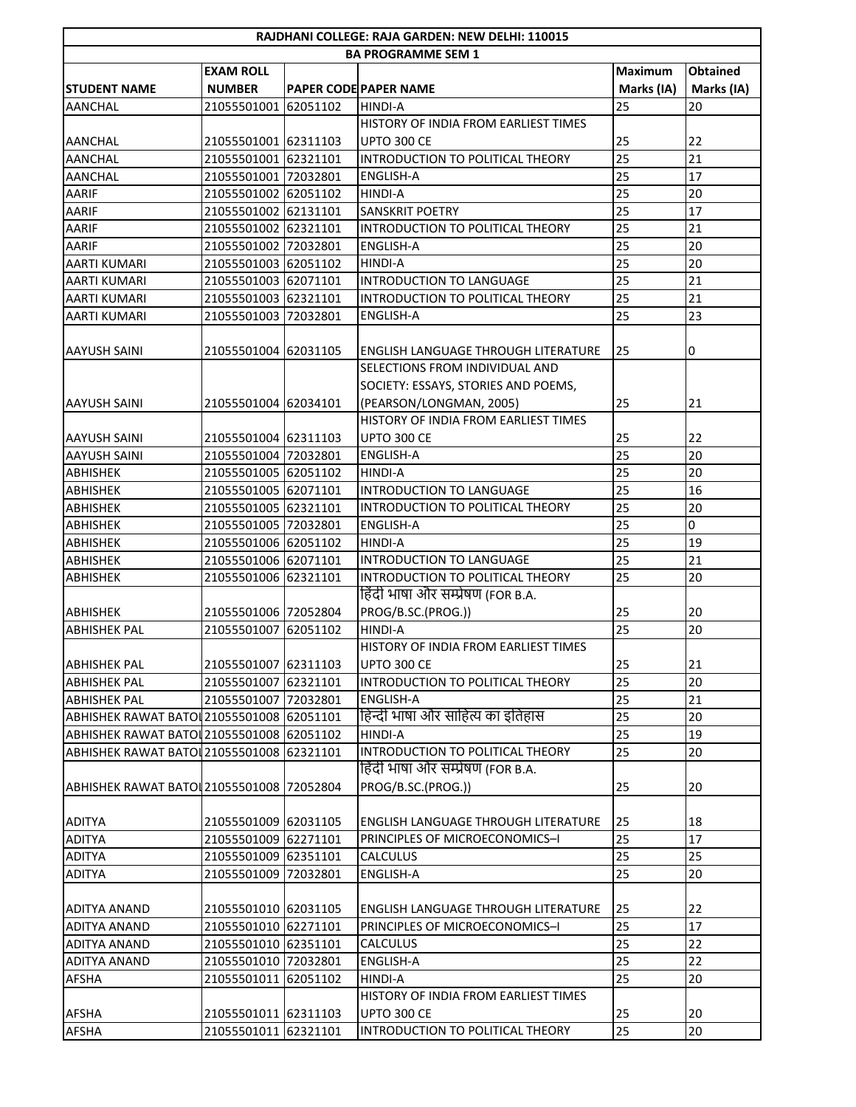|                                           |                           |          | RAJDHANI COLLEGE: RAJA GARDEN: NEW DELHI: 110015 |                 |                 |  |  |  |  |
|-------------------------------------------|---------------------------|----------|--------------------------------------------------|-----------------|-----------------|--|--|--|--|
|                                           | <b>BA PROGRAMME SEM 1</b> |          |                                                  |                 |                 |  |  |  |  |
|                                           | <b>EXAM ROLL</b>          |          |                                                  | <b>Maximum</b>  | <b>Obtained</b> |  |  |  |  |
| <b>STUDENT NAME</b>                       | <b>NUMBER</b>             |          | PAPER CODE PAPER NAME                            | Marks (IA)      | Marks (IA)      |  |  |  |  |
| AANCHAL                                   | 21055501001 62051102      |          | HINDI-A                                          | 25              | 20              |  |  |  |  |
|                                           |                           |          | HISTORY OF INDIA FROM EARLIEST TIMES             |                 |                 |  |  |  |  |
| <b>AANCHAL</b>                            | 21055501001 62311103      |          | <b>UPTO 300 CE</b>                               | 25              | 22              |  |  |  |  |
| <b>AANCHAL</b>                            | 21055501001 62321101      |          | INTRODUCTION TO POLITICAL THEORY                 | 25              | 21              |  |  |  |  |
| <b>AANCHAL</b>                            | 21055501001 72032801      |          | <b>ENGLISH-A</b>                                 | 25              | 17              |  |  |  |  |
| AARIF                                     | 21055501002 62051102      |          | HINDI-A                                          | 25              | 20              |  |  |  |  |
| AARIF                                     | 21055501002 62131101      |          | <b>SANSKRIT POETRY</b>                           | 25              | 17              |  |  |  |  |
| <b>AARIF</b>                              | 21055501002 62321101      |          | INTRODUCTION TO POLITICAL THEORY                 | 25              | 21              |  |  |  |  |
| AARIF                                     | 21055501002 72032801      |          | <b>ENGLISH-A</b>                                 | 25              | 20              |  |  |  |  |
| <b>AARTI KUMARI</b>                       | 21055501003 62051102      |          | HINDI-A                                          | 25              | 20              |  |  |  |  |
| <b>AARTI KUMARI</b>                       | 21055501003 62071101      |          | <b>INTRODUCTION TO LANGUAGE</b>                  | 25              | 21              |  |  |  |  |
| <b>AARTI KUMARI</b>                       | 21055501003 62321101      |          | INTRODUCTION TO POLITICAL THEORY                 | 25              | 21              |  |  |  |  |
| <b>AARTI KUMARI</b>                       | 21055501003               | 72032801 | <b>ENGLISH-A</b>                                 | 25              | 23              |  |  |  |  |
|                                           |                           |          |                                                  |                 |                 |  |  |  |  |
| <b>AAYUSH SAINI</b>                       | 21055501004 62031105      |          | <b>ENGLISH LANGUAGE THROUGH LITERATURE</b>       | 25              | 0               |  |  |  |  |
|                                           |                           |          | SELECTIONS FROM INDIVIDUAL AND                   |                 |                 |  |  |  |  |
|                                           |                           |          | SOCIETY: ESSAYS, STORIES AND POEMS,              |                 |                 |  |  |  |  |
| <b>AAYUSH SAINI</b>                       | 21055501004 62034101      |          | (PEARSON/LONGMAN, 2005)                          | 25              | 21              |  |  |  |  |
|                                           |                           |          | HISTORY OF INDIA FROM EARLIEST TIMES             |                 |                 |  |  |  |  |
| AAYUSH SAINI                              | 21055501004 62311103      |          | <b>UPTO 300 CE</b>                               | 25              | 22              |  |  |  |  |
| <b>AAYUSH SAINI</b>                       | 21055501004 72032801      |          | <b>ENGLISH-A</b>                                 | $\overline{25}$ | $\overline{20}$ |  |  |  |  |
| <b>ABHISHEK</b>                           | 21055501005 62051102      |          | HINDI-A                                          | 25              | 20              |  |  |  |  |
| <b>ABHISHEK</b>                           | 21055501005 62071101      |          | <b>INTRODUCTION TO LANGUAGE</b>                  | 25              | 16              |  |  |  |  |
| ABHISHEK                                  | 21055501005 62321101      |          | INTRODUCTION TO POLITICAL THEORY                 | 25              | 20              |  |  |  |  |
| <b>ABHISHEK</b>                           | 21055501005 72032801      |          | <b>ENGLISH-A</b>                                 | 25              | $\pmb{0}$       |  |  |  |  |
| <b>ABHISHEK</b>                           | 21055501006 62051102      |          | HINDI-A                                          | 25              | 19              |  |  |  |  |
| <b>ABHISHEK</b>                           | 21055501006 62071101      |          | INTRODUCTION TO LANGUAGE                         | 25              | 21              |  |  |  |  |
| <b>ABHISHEK</b>                           | 21055501006 62321101      |          | INTRODUCTION TO POLITICAL THEORY                 | 25              | 20              |  |  |  |  |
|                                           |                           |          | हिंदी भाषा और सम्प्रेषण (FOR B.A.                |                 |                 |  |  |  |  |
| ABHISHEK                                  | 21055501006 72052804      |          | PROG/B.SC.(PROG.))                               | 25              | 20              |  |  |  |  |
| <b>ABHISHEK PAL</b>                       | 21055501007               | 62051102 | <b>HINDI-A</b>                                   | 25              | 20              |  |  |  |  |
|                                           |                           |          | HISTORY OF INDIA FROM EARLIEST TIMES             |                 |                 |  |  |  |  |
| <b>ABHISHEK PAL</b>                       | 21055501007 62311103      |          | <b>UPTO 300 CE</b>                               | 25              | 21              |  |  |  |  |
| <b>ABHISHEK PAL</b>                       | 21055501007               | 62321101 | INTRODUCTION TO POLITICAL THEORY                 | 25              | 20              |  |  |  |  |
| <b>ABHISHEK PAL</b>                       | 21055501007 72032801      |          | <b>ENGLISH-A</b>                                 | 25              | 21              |  |  |  |  |
| ABHISHEK RAWAT BATOL 21055501008 62051101 |                           |          | हिन्दी भाषा और साहित्य का इतिहास                 | 25              | 20              |  |  |  |  |
| ABHISHEK RAWAT BATOL 21055501008 62051102 |                           |          | HINDI-A                                          | 25              | 19              |  |  |  |  |
| ABHISHEK RAWAT BATOL 21055501008 62321101 |                           |          | INTRODUCTION TO POLITICAL THEORY                 | 25              | 20              |  |  |  |  |
|                                           |                           |          | हिंदी भाषा और सम्प्रेषण (FOR B.A.                |                 |                 |  |  |  |  |
| ABHISHEK RAWAT BATOL 21055501008 72052804 |                           |          | PROG/B.SC.(PROG.))                               | 25              | 20              |  |  |  |  |
|                                           |                           |          |                                                  |                 |                 |  |  |  |  |
| <b>ADITYA</b>                             | 21055501009 62031105      |          | <b>ENGLISH LANGUAGE THROUGH LITERATURE</b>       | 25              | 18              |  |  |  |  |
| <b>ADITYA</b>                             | 21055501009               | 62271101 | PRINCIPLES OF MICROECONOMICS-I                   | 25              | 17              |  |  |  |  |
| <b>ADITYA</b>                             | 21055501009 62351101      |          | <b>CALCULUS</b>                                  | 25              | 25              |  |  |  |  |
| <b>ADITYA</b>                             | 21055501009 72032801      |          | <b>ENGLISH-A</b>                                 | 25              | 20              |  |  |  |  |
|                                           |                           |          |                                                  |                 |                 |  |  |  |  |
| <b>ADITYA ANAND</b>                       | 21055501010 62031105      |          | ENGLISH LANGUAGE THROUGH LITERATURE              | 25              | 22              |  |  |  |  |
| <b>ADITYA ANAND</b>                       | 21055501010 62271101      |          | PRINCIPLES OF MICROECONOMICS-I                   | 25              | 17              |  |  |  |  |
| ADITYA ANAND                              | 21055501010 62351101      |          | <b>CALCULUS</b>                                  | 25              | 22              |  |  |  |  |
| ADITYA ANAND                              | 21055501010 72032801      |          | ENGLISH-A                                        | 25              | 22              |  |  |  |  |
| <b>AFSHA</b>                              | 21055501011 62051102      |          | <b>HINDI-A</b>                                   | 25              | 20              |  |  |  |  |
|                                           |                           |          | HISTORY OF INDIA FROM EARLIEST TIMES             |                 |                 |  |  |  |  |
| <b>AFSHA</b>                              | 21055501011 62311103      |          | <b>UPTO 300 CE</b>                               | 25              | 20              |  |  |  |  |
| <b>AFSHA</b>                              | 21055501011 62321101      |          | INTRODUCTION TO POLITICAL THEORY                 | 25              | 20              |  |  |  |  |
|                                           |                           |          |                                                  |                 |                 |  |  |  |  |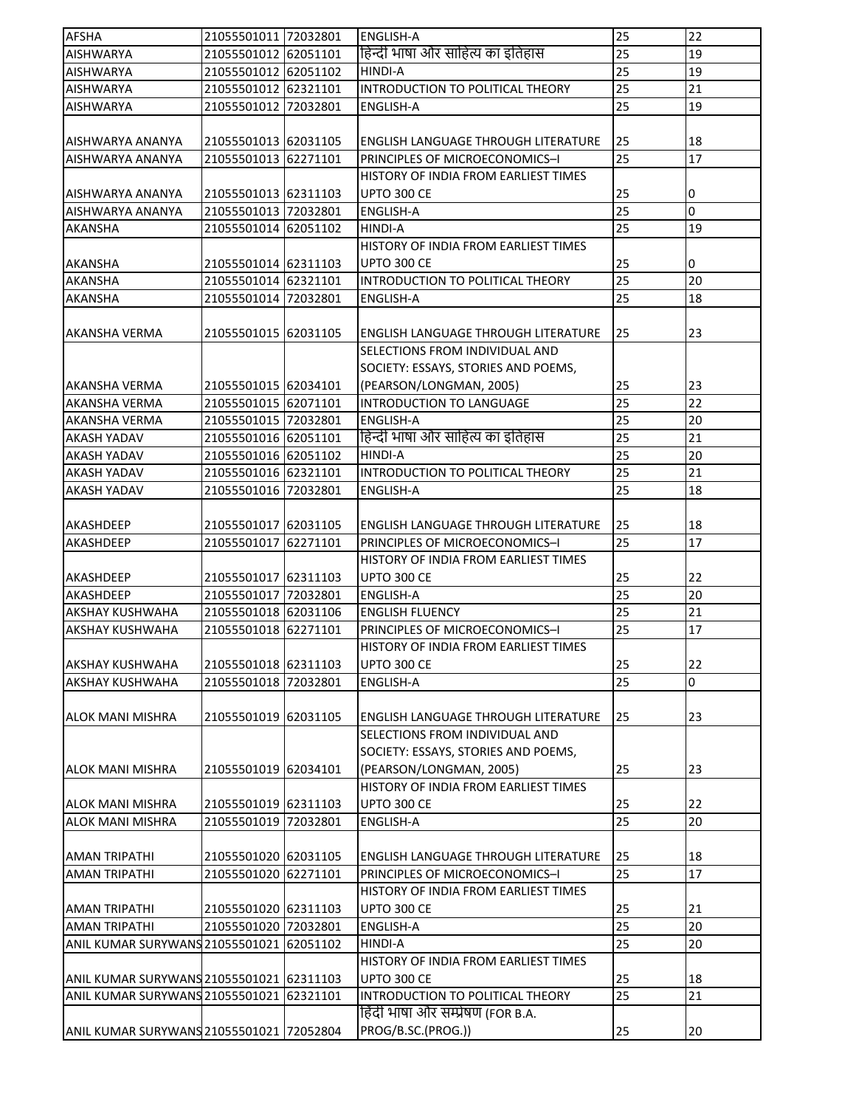| हिन्दी भाषा और साहित्य का इतिहास<br>25<br>21055501012 62051101<br>19<br><b>AISHWARYA</b><br>25<br>19<br><b>AISHWARYA</b><br>21055501012 62051102<br>HINDI-A<br>25<br>INTRODUCTION TO POLITICAL THEORY<br>21<br>21055501012 62321101<br><b>AISHWARYA</b><br>25<br>19<br><b>AISHWARYA</b><br>21055501012 72032801<br><b>ENGLISH-A</b><br>18<br>21055501013 62031105<br>25<br>AISHWARYA ANANYA<br><b>ENGLISH LANGUAGE THROUGH LITERATURE</b><br>25<br>17<br>21055501013 62271101<br>PRINCIPLES OF MICROECONOMICS-I<br>AISHWARYA ANANYA<br>HISTORY OF INDIA FROM EARLIEST TIMES<br>25<br>21055501013 62311103<br><b>UPTO 300 CE</b><br>AISHWARYA ANANYA<br>0<br>25<br>0<br><b>ENGLISH-A</b><br><b>AISHWARYA ANANYA</b><br>21055501013 72032801<br>25<br>21055501014 62051102<br><b>HINDI-A</b><br>19<br><b>AKANSHA</b><br>HISTORY OF INDIA FROM EARLIEST TIMES<br>25<br><b>AKANSHA</b><br>21055501014 62311103<br><b>UPTO 300 CE</b><br>0<br>INTRODUCTION TO POLITICAL THEORY<br>25<br>20<br><b>AKANSHA</b><br>21055501014 62321101<br>25<br>18<br>21055501014 72032801<br><b>ENGLISH-A</b><br>AKANSHA<br>23<br><b>AKANSHA VERMA</b><br>21055501015 62031105<br>25<br>ENGLISH LANGUAGE THROUGH LITERATURE<br>SELECTIONS FROM INDIVIDUAL AND<br>SOCIETY: ESSAYS, STORIES AND POEMS,<br>(PEARSON/LONGMAN, 2005)<br>23<br><b>AKANSHA VERMA</b><br>21055501015 62034101<br>25<br>INTRODUCTION TO LANGUAGE<br>25<br>22<br>21055501015 62071101<br>AKANSHA VERMA<br>25<br>20<br>21055501015 72032801<br><b>AKANSHA VERMA</b><br><b>ENGLISH-A</b><br>हिन्दी भाषा और साहित्य का इतिहास<br>25<br>21<br>21055501016 62051101<br><b>AKASH YADAV</b><br>25<br>20<br>21055501016 62051102<br><b>HINDI-A</b><br><b>AKASH YADAV</b><br>25<br>21<br>INTRODUCTION TO POLITICAL THEORY<br>21055501016 62321101<br><b>AKASH YADAV</b><br>25<br>18<br>AKASH YADAV<br>21055501016 72032801<br><b>ENGLISH-A</b><br>AKASHDEEP<br>21055501017 62031105<br>ENGLISH LANGUAGE THROUGH LITERATURE<br>25<br>18<br>17<br>25<br>AKASHDEEP<br>21055501017 62271101<br>PRINCIPLES OF MICROECONOMICS-I<br>HISTORY OF INDIA FROM EARLIEST TIMES<br>UPTO 300 CE<br>25<br>22<br>AKASHDEEP<br>21055501017 62311103<br>25<br>20<br>21055501017 72032801<br><b>ENGLISH-A</b><br>AKASHDEEP<br>25<br>21055501018 62031106<br>21<br><b>AKSHAY KUSHWAHA</b><br><b>ENGLISH FLUENCY</b><br>25<br>17<br><b>AKSHAY KUSHWAHA</b><br>21055501018 62271101<br>PRINCIPLES OF MICROECONOMICS-I<br>HISTORY OF INDIA FROM EARLIEST TIMES<br>UPTO 300 CE<br>21055501018 62311103<br>25<br>22<br><b>AKSHAY KUSHWAHA</b><br>25<br>0<br>21055501018 72032801<br><b>AKSHAY KUSHWAHA</b><br><b>ENGLISH-A</b><br>25<br>21055501019 62031105<br>ENGLISH LANGUAGE THROUGH LITERATURE<br>23<br><b>ALOK MANI MISHRA</b><br>SELECTIONS FROM INDIVIDUAL AND<br>SOCIETY: ESSAYS, STORIES AND POEMS,<br>(PEARSON/LONGMAN, 2005)<br>21055501019 62034101<br>25<br>23<br>ALOK MANI MISHRA<br>HISTORY OF INDIA FROM EARLIEST TIMES<br>UPTO 300 CE<br><b>ALOK MANI MISHRA</b><br>21055501019 62311103<br>25<br>22<br>25<br>20<br><b>ALOK MANI MISHRA</b><br>21055501019 72032801<br>ENGLISH-A<br>21055501020 62031105<br><b>AMAN TRIPATHI</b><br>ENGLISH LANGUAGE THROUGH LITERATURE<br>25<br>18<br>25<br>17<br>21055501020 62271101<br><b>AMAN TRIPATHI</b><br>PRINCIPLES OF MICROECONOMICS-I<br>HISTORY OF INDIA FROM EARLIEST TIMES<br><b>UPTO 300 CE</b><br>25<br><b>AMAN TRIPATHI</b><br>21055501020 62311103<br>21<br>25<br>20<br><b>AMAN TRIPATHI</b><br>21055501020 72032801<br>ENGLISH-A<br>25<br>20<br>ANIL KUMAR SURYWANS 21055501021 62051102<br>HINDI-A<br>HISTORY OF INDIA FROM EARLIEST TIMES<br>UPTO 300 CE<br>18<br>ANIL KUMAR SURYWANS 21055501021 62311103<br>25<br>25<br>21<br>ANIL KUMAR SURYWANS 21055501021 62321101<br>INTRODUCTION TO POLITICAL THEORY<br>हिंदी भाषा और सम्प्रेषण (FOR B.A.<br>PROG/B.SC.(PROG.))<br>ANIL KUMAR SURYWANS 21055501021 72052804<br>25<br>20 | <b>AFSHA</b> | 21055501011 72032801 | <b>ENGLISH-A</b> | 25 | 22 |
|----------------------------------------------------------------------------------------------------------------------------------------------------------------------------------------------------------------------------------------------------------------------------------------------------------------------------------------------------------------------------------------------------------------------------------------------------------------------------------------------------------------------------------------------------------------------------------------------------------------------------------------------------------------------------------------------------------------------------------------------------------------------------------------------------------------------------------------------------------------------------------------------------------------------------------------------------------------------------------------------------------------------------------------------------------------------------------------------------------------------------------------------------------------------------------------------------------------------------------------------------------------------------------------------------------------------------------------------------------------------------------------------------------------------------------------------------------------------------------------------------------------------------------------------------------------------------------------------------------------------------------------------------------------------------------------------------------------------------------------------------------------------------------------------------------------------------------------------------------------------------------------------------------------------------------------------------------------------------------------------------------------------------------------------------------------------------------------------------------------------------------------------------------------------------------------------------------------------------------------------------------------------------------------------------------------------------------------------------------------------------------------------------------------------------------------------------------------------------------------------------------------------------------------------------------------------------------------------------------------------------------------------------------------------------------------------------------------------------------------------------------------------------------------------------------------------------------------------------------------------------------------------------------------------------------------------------------------------------------------------------------------------------------------------------------------------------------------------------------------------------------------------------------------------------------------------------------------------------------------------------------------------------------------------------------------------------------------------------------------------------------------------------------------------------------------------------------------------------------------------------------------------------------------------------------------------------------------------------------------------------------------------------------------------------------------------------------------------------------------------------------------------------------------------------------------------------------------------------------------------------------------------------------------------|--------------|----------------------|------------------|----|----|
|                                                                                                                                                                                                                                                                                                                                                                                                                                                                                                                                                                                                                                                                                                                                                                                                                                                                                                                                                                                                                                                                                                                                                                                                                                                                                                                                                                                                                                                                                                                                                                                                                                                                                                                                                                                                                                                                                                                                                                                                                                                                                                                                                                                                                                                                                                                                                                                                                                                                                                                                                                                                                                                                                                                                                                                                                                                                                                                                                                                                                                                                                                                                                                                                                                                                                                                                                                                                                                                                                                                                                                                                                                                                                                                                                                                                                                                                                                                      |              |                      |                  |    |    |
|                                                                                                                                                                                                                                                                                                                                                                                                                                                                                                                                                                                                                                                                                                                                                                                                                                                                                                                                                                                                                                                                                                                                                                                                                                                                                                                                                                                                                                                                                                                                                                                                                                                                                                                                                                                                                                                                                                                                                                                                                                                                                                                                                                                                                                                                                                                                                                                                                                                                                                                                                                                                                                                                                                                                                                                                                                                                                                                                                                                                                                                                                                                                                                                                                                                                                                                                                                                                                                                                                                                                                                                                                                                                                                                                                                                                                                                                                                                      |              |                      |                  |    |    |
|                                                                                                                                                                                                                                                                                                                                                                                                                                                                                                                                                                                                                                                                                                                                                                                                                                                                                                                                                                                                                                                                                                                                                                                                                                                                                                                                                                                                                                                                                                                                                                                                                                                                                                                                                                                                                                                                                                                                                                                                                                                                                                                                                                                                                                                                                                                                                                                                                                                                                                                                                                                                                                                                                                                                                                                                                                                                                                                                                                                                                                                                                                                                                                                                                                                                                                                                                                                                                                                                                                                                                                                                                                                                                                                                                                                                                                                                                                                      |              |                      |                  |    |    |
|                                                                                                                                                                                                                                                                                                                                                                                                                                                                                                                                                                                                                                                                                                                                                                                                                                                                                                                                                                                                                                                                                                                                                                                                                                                                                                                                                                                                                                                                                                                                                                                                                                                                                                                                                                                                                                                                                                                                                                                                                                                                                                                                                                                                                                                                                                                                                                                                                                                                                                                                                                                                                                                                                                                                                                                                                                                                                                                                                                                                                                                                                                                                                                                                                                                                                                                                                                                                                                                                                                                                                                                                                                                                                                                                                                                                                                                                                                                      |              |                      |                  |    |    |
|                                                                                                                                                                                                                                                                                                                                                                                                                                                                                                                                                                                                                                                                                                                                                                                                                                                                                                                                                                                                                                                                                                                                                                                                                                                                                                                                                                                                                                                                                                                                                                                                                                                                                                                                                                                                                                                                                                                                                                                                                                                                                                                                                                                                                                                                                                                                                                                                                                                                                                                                                                                                                                                                                                                                                                                                                                                                                                                                                                                                                                                                                                                                                                                                                                                                                                                                                                                                                                                                                                                                                                                                                                                                                                                                                                                                                                                                                                                      |              |                      |                  |    |    |
|                                                                                                                                                                                                                                                                                                                                                                                                                                                                                                                                                                                                                                                                                                                                                                                                                                                                                                                                                                                                                                                                                                                                                                                                                                                                                                                                                                                                                                                                                                                                                                                                                                                                                                                                                                                                                                                                                                                                                                                                                                                                                                                                                                                                                                                                                                                                                                                                                                                                                                                                                                                                                                                                                                                                                                                                                                                                                                                                                                                                                                                                                                                                                                                                                                                                                                                                                                                                                                                                                                                                                                                                                                                                                                                                                                                                                                                                                                                      |              |                      |                  |    |    |
|                                                                                                                                                                                                                                                                                                                                                                                                                                                                                                                                                                                                                                                                                                                                                                                                                                                                                                                                                                                                                                                                                                                                                                                                                                                                                                                                                                                                                                                                                                                                                                                                                                                                                                                                                                                                                                                                                                                                                                                                                                                                                                                                                                                                                                                                                                                                                                                                                                                                                                                                                                                                                                                                                                                                                                                                                                                                                                                                                                                                                                                                                                                                                                                                                                                                                                                                                                                                                                                                                                                                                                                                                                                                                                                                                                                                                                                                                                                      |              |                      |                  |    |    |
|                                                                                                                                                                                                                                                                                                                                                                                                                                                                                                                                                                                                                                                                                                                                                                                                                                                                                                                                                                                                                                                                                                                                                                                                                                                                                                                                                                                                                                                                                                                                                                                                                                                                                                                                                                                                                                                                                                                                                                                                                                                                                                                                                                                                                                                                                                                                                                                                                                                                                                                                                                                                                                                                                                                                                                                                                                                                                                                                                                                                                                                                                                                                                                                                                                                                                                                                                                                                                                                                                                                                                                                                                                                                                                                                                                                                                                                                                                                      |              |                      |                  |    |    |
|                                                                                                                                                                                                                                                                                                                                                                                                                                                                                                                                                                                                                                                                                                                                                                                                                                                                                                                                                                                                                                                                                                                                                                                                                                                                                                                                                                                                                                                                                                                                                                                                                                                                                                                                                                                                                                                                                                                                                                                                                                                                                                                                                                                                                                                                                                                                                                                                                                                                                                                                                                                                                                                                                                                                                                                                                                                                                                                                                                                                                                                                                                                                                                                                                                                                                                                                                                                                                                                                                                                                                                                                                                                                                                                                                                                                                                                                                                                      |              |                      |                  |    |    |
|                                                                                                                                                                                                                                                                                                                                                                                                                                                                                                                                                                                                                                                                                                                                                                                                                                                                                                                                                                                                                                                                                                                                                                                                                                                                                                                                                                                                                                                                                                                                                                                                                                                                                                                                                                                                                                                                                                                                                                                                                                                                                                                                                                                                                                                                                                                                                                                                                                                                                                                                                                                                                                                                                                                                                                                                                                                                                                                                                                                                                                                                                                                                                                                                                                                                                                                                                                                                                                                                                                                                                                                                                                                                                                                                                                                                                                                                                                                      |              |                      |                  |    |    |
|                                                                                                                                                                                                                                                                                                                                                                                                                                                                                                                                                                                                                                                                                                                                                                                                                                                                                                                                                                                                                                                                                                                                                                                                                                                                                                                                                                                                                                                                                                                                                                                                                                                                                                                                                                                                                                                                                                                                                                                                                                                                                                                                                                                                                                                                                                                                                                                                                                                                                                                                                                                                                                                                                                                                                                                                                                                                                                                                                                                                                                                                                                                                                                                                                                                                                                                                                                                                                                                                                                                                                                                                                                                                                                                                                                                                                                                                                                                      |              |                      |                  |    |    |
|                                                                                                                                                                                                                                                                                                                                                                                                                                                                                                                                                                                                                                                                                                                                                                                                                                                                                                                                                                                                                                                                                                                                                                                                                                                                                                                                                                                                                                                                                                                                                                                                                                                                                                                                                                                                                                                                                                                                                                                                                                                                                                                                                                                                                                                                                                                                                                                                                                                                                                                                                                                                                                                                                                                                                                                                                                                                                                                                                                                                                                                                                                                                                                                                                                                                                                                                                                                                                                                                                                                                                                                                                                                                                                                                                                                                                                                                                                                      |              |                      |                  |    |    |
|                                                                                                                                                                                                                                                                                                                                                                                                                                                                                                                                                                                                                                                                                                                                                                                                                                                                                                                                                                                                                                                                                                                                                                                                                                                                                                                                                                                                                                                                                                                                                                                                                                                                                                                                                                                                                                                                                                                                                                                                                                                                                                                                                                                                                                                                                                                                                                                                                                                                                                                                                                                                                                                                                                                                                                                                                                                                                                                                                                                                                                                                                                                                                                                                                                                                                                                                                                                                                                                                                                                                                                                                                                                                                                                                                                                                                                                                                                                      |              |                      |                  |    |    |
|                                                                                                                                                                                                                                                                                                                                                                                                                                                                                                                                                                                                                                                                                                                                                                                                                                                                                                                                                                                                                                                                                                                                                                                                                                                                                                                                                                                                                                                                                                                                                                                                                                                                                                                                                                                                                                                                                                                                                                                                                                                                                                                                                                                                                                                                                                                                                                                                                                                                                                                                                                                                                                                                                                                                                                                                                                                                                                                                                                                                                                                                                                                                                                                                                                                                                                                                                                                                                                                                                                                                                                                                                                                                                                                                                                                                                                                                                                                      |              |                      |                  |    |    |
|                                                                                                                                                                                                                                                                                                                                                                                                                                                                                                                                                                                                                                                                                                                                                                                                                                                                                                                                                                                                                                                                                                                                                                                                                                                                                                                                                                                                                                                                                                                                                                                                                                                                                                                                                                                                                                                                                                                                                                                                                                                                                                                                                                                                                                                                                                                                                                                                                                                                                                                                                                                                                                                                                                                                                                                                                                                                                                                                                                                                                                                                                                                                                                                                                                                                                                                                                                                                                                                                                                                                                                                                                                                                                                                                                                                                                                                                                                                      |              |                      |                  |    |    |
|                                                                                                                                                                                                                                                                                                                                                                                                                                                                                                                                                                                                                                                                                                                                                                                                                                                                                                                                                                                                                                                                                                                                                                                                                                                                                                                                                                                                                                                                                                                                                                                                                                                                                                                                                                                                                                                                                                                                                                                                                                                                                                                                                                                                                                                                                                                                                                                                                                                                                                                                                                                                                                                                                                                                                                                                                                                                                                                                                                                                                                                                                                                                                                                                                                                                                                                                                                                                                                                                                                                                                                                                                                                                                                                                                                                                                                                                                                                      |              |                      |                  |    |    |
|                                                                                                                                                                                                                                                                                                                                                                                                                                                                                                                                                                                                                                                                                                                                                                                                                                                                                                                                                                                                                                                                                                                                                                                                                                                                                                                                                                                                                                                                                                                                                                                                                                                                                                                                                                                                                                                                                                                                                                                                                                                                                                                                                                                                                                                                                                                                                                                                                                                                                                                                                                                                                                                                                                                                                                                                                                                                                                                                                                                                                                                                                                                                                                                                                                                                                                                                                                                                                                                                                                                                                                                                                                                                                                                                                                                                                                                                                                                      |              |                      |                  |    |    |
|                                                                                                                                                                                                                                                                                                                                                                                                                                                                                                                                                                                                                                                                                                                                                                                                                                                                                                                                                                                                                                                                                                                                                                                                                                                                                                                                                                                                                                                                                                                                                                                                                                                                                                                                                                                                                                                                                                                                                                                                                                                                                                                                                                                                                                                                                                                                                                                                                                                                                                                                                                                                                                                                                                                                                                                                                                                                                                                                                                                                                                                                                                                                                                                                                                                                                                                                                                                                                                                                                                                                                                                                                                                                                                                                                                                                                                                                                                                      |              |                      |                  |    |    |
|                                                                                                                                                                                                                                                                                                                                                                                                                                                                                                                                                                                                                                                                                                                                                                                                                                                                                                                                                                                                                                                                                                                                                                                                                                                                                                                                                                                                                                                                                                                                                                                                                                                                                                                                                                                                                                                                                                                                                                                                                                                                                                                                                                                                                                                                                                                                                                                                                                                                                                                                                                                                                                                                                                                                                                                                                                                                                                                                                                                                                                                                                                                                                                                                                                                                                                                                                                                                                                                                                                                                                                                                                                                                                                                                                                                                                                                                                                                      |              |                      |                  |    |    |
|                                                                                                                                                                                                                                                                                                                                                                                                                                                                                                                                                                                                                                                                                                                                                                                                                                                                                                                                                                                                                                                                                                                                                                                                                                                                                                                                                                                                                                                                                                                                                                                                                                                                                                                                                                                                                                                                                                                                                                                                                                                                                                                                                                                                                                                                                                                                                                                                                                                                                                                                                                                                                                                                                                                                                                                                                                                                                                                                                                                                                                                                                                                                                                                                                                                                                                                                                                                                                                                                                                                                                                                                                                                                                                                                                                                                                                                                                                                      |              |                      |                  |    |    |
|                                                                                                                                                                                                                                                                                                                                                                                                                                                                                                                                                                                                                                                                                                                                                                                                                                                                                                                                                                                                                                                                                                                                                                                                                                                                                                                                                                                                                                                                                                                                                                                                                                                                                                                                                                                                                                                                                                                                                                                                                                                                                                                                                                                                                                                                                                                                                                                                                                                                                                                                                                                                                                                                                                                                                                                                                                                                                                                                                                                                                                                                                                                                                                                                                                                                                                                                                                                                                                                                                                                                                                                                                                                                                                                                                                                                                                                                                                                      |              |                      |                  |    |    |
|                                                                                                                                                                                                                                                                                                                                                                                                                                                                                                                                                                                                                                                                                                                                                                                                                                                                                                                                                                                                                                                                                                                                                                                                                                                                                                                                                                                                                                                                                                                                                                                                                                                                                                                                                                                                                                                                                                                                                                                                                                                                                                                                                                                                                                                                                                                                                                                                                                                                                                                                                                                                                                                                                                                                                                                                                                                                                                                                                                                                                                                                                                                                                                                                                                                                                                                                                                                                                                                                                                                                                                                                                                                                                                                                                                                                                                                                                                                      |              |                      |                  |    |    |
|                                                                                                                                                                                                                                                                                                                                                                                                                                                                                                                                                                                                                                                                                                                                                                                                                                                                                                                                                                                                                                                                                                                                                                                                                                                                                                                                                                                                                                                                                                                                                                                                                                                                                                                                                                                                                                                                                                                                                                                                                                                                                                                                                                                                                                                                                                                                                                                                                                                                                                                                                                                                                                                                                                                                                                                                                                                                                                                                                                                                                                                                                                                                                                                                                                                                                                                                                                                                                                                                                                                                                                                                                                                                                                                                                                                                                                                                                                                      |              |                      |                  |    |    |
|                                                                                                                                                                                                                                                                                                                                                                                                                                                                                                                                                                                                                                                                                                                                                                                                                                                                                                                                                                                                                                                                                                                                                                                                                                                                                                                                                                                                                                                                                                                                                                                                                                                                                                                                                                                                                                                                                                                                                                                                                                                                                                                                                                                                                                                                                                                                                                                                                                                                                                                                                                                                                                                                                                                                                                                                                                                                                                                                                                                                                                                                                                                                                                                                                                                                                                                                                                                                                                                                                                                                                                                                                                                                                                                                                                                                                                                                                                                      |              |                      |                  |    |    |
|                                                                                                                                                                                                                                                                                                                                                                                                                                                                                                                                                                                                                                                                                                                                                                                                                                                                                                                                                                                                                                                                                                                                                                                                                                                                                                                                                                                                                                                                                                                                                                                                                                                                                                                                                                                                                                                                                                                                                                                                                                                                                                                                                                                                                                                                                                                                                                                                                                                                                                                                                                                                                                                                                                                                                                                                                                                                                                                                                                                                                                                                                                                                                                                                                                                                                                                                                                                                                                                                                                                                                                                                                                                                                                                                                                                                                                                                                                                      |              |                      |                  |    |    |
|                                                                                                                                                                                                                                                                                                                                                                                                                                                                                                                                                                                                                                                                                                                                                                                                                                                                                                                                                                                                                                                                                                                                                                                                                                                                                                                                                                                                                                                                                                                                                                                                                                                                                                                                                                                                                                                                                                                                                                                                                                                                                                                                                                                                                                                                                                                                                                                                                                                                                                                                                                                                                                                                                                                                                                                                                                                                                                                                                                                                                                                                                                                                                                                                                                                                                                                                                                                                                                                                                                                                                                                                                                                                                                                                                                                                                                                                                                                      |              |                      |                  |    |    |
|                                                                                                                                                                                                                                                                                                                                                                                                                                                                                                                                                                                                                                                                                                                                                                                                                                                                                                                                                                                                                                                                                                                                                                                                                                                                                                                                                                                                                                                                                                                                                                                                                                                                                                                                                                                                                                                                                                                                                                                                                                                                                                                                                                                                                                                                                                                                                                                                                                                                                                                                                                                                                                                                                                                                                                                                                                                                                                                                                                                                                                                                                                                                                                                                                                                                                                                                                                                                                                                                                                                                                                                                                                                                                                                                                                                                                                                                                                                      |              |                      |                  |    |    |
|                                                                                                                                                                                                                                                                                                                                                                                                                                                                                                                                                                                                                                                                                                                                                                                                                                                                                                                                                                                                                                                                                                                                                                                                                                                                                                                                                                                                                                                                                                                                                                                                                                                                                                                                                                                                                                                                                                                                                                                                                                                                                                                                                                                                                                                                                                                                                                                                                                                                                                                                                                                                                                                                                                                                                                                                                                                                                                                                                                                                                                                                                                                                                                                                                                                                                                                                                                                                                                                                                                                                                                                                                                                                                                                                                                                                                                                                                                                      |              |                      |                  |    |    |
|                                                                                                                                                                                                                                                                                                                                                                                                                                                                                                                                                                                                                                                                                                                                                                                                                                                                                                                                                                                                                                                                                                                                                                                                                                                                                                                                                                                                                                                                                                                                                                                                                                                                                                                                                                                                                                                                                                                                                                                                                                                                                                                                                                                                                                                                                                                                                                                                                                                                                                                                                                                                                                                                                                                                                                                                                                                                                                                                                                                                                                                                                                                                                                                                                                                                                                                                                                                                                                                                                                                                                                                                                                                                                                                                                                                                                                                                                                                      |              |                      |                  |    |    |
|                                                                                                                                                                                                                                                                                                                                                                                                                                                                                                                                                                                                                                                                                                                                                                                                                                                                                                                                                                                                                                                                                                                                                                                                                                                                                                                                                                                                                                                                                                                                                                                                                                                                                                                                                                                                                                                                                                                                                                                                                                                                                                                                                                                                                                                                                                                                                                                                                                                                                                                                                                                                                                                                                                                                                                                                                                                                                                                                                                                                                                                                                                                                                                                                                                                                                                                                                                                                                                                                                                                                                                                                                                                                                                                                                                                                                                                                                                                      |              |                      |                  |    |    |
|                                                                                                                                                                                                                                                                                                                                                                                                                                                                                                                                                                                                                                                                                                                                                                                                                                                                                                                                                                                                                                                                                                                                                                                                                                                                                                                                                                                                                                                                                                                                                                                                                                                                                                                                                                                                                                                                                                                                                                                                                                                                                                                                                                                                                                                                                                                                                                                                                                                                                                                                                                                                                                                                                                                                                                                                                                                                                                                                                                                                                                                                                                                                                                                                                                                                                                                                                                                                                                                                                                                                                                                                                                                                                                                                                                                                                                                                                                                      |              |                      |                  |    |    |
|                                                                                                                                                                                                                                                                                                                                                                                                                                                                                                                                                                                                                                                                                                                                                                                                                                                                                                                                                                                                                                                                                                                                                                                                                                                                                                                                                                                                                                                                                                                                                                                                                                                                                                                                                                                                                                                                                                                                                                                                                                                                                                                                                                                                                                                                                                                                                                                                                                                                                                                                                                                                                                                                                                                                                                                                                                                                                                                                                                                                                                                                                                                                                                                                                                                                                                                                                                                                                                                                                                                                                                                                                                                                                                                                                                                                                                                                                                                      |              |                      |                  |    |    |
|                                                                                                                                                                                                                                                                                                                                                                                                                                                                                                                                                                                                                                                                                                                                                                                                                                                                                                                                                                                                                                                                                                                                                                                                                                                                                                                                                                                                                                                                                                                                                                                                                                                                                                                                                                                                                                                                                                                                                                                                                                                                                                                                                                                                                                                                                                                                                                                                                                                                                                                                                                                                                                                                                                                                                                                                                                                                                                                                                                                                                                                                                                                                                                                                                                                                                                                                                                                                                                                                                                                                                                                                                                                                                                                                                                                                                                                                                                                      |              |                      |                  |    |    |
|                                                                                                                                                                                                                                                                                                                                                                                                                                                                                                                                                                                                                                                                                                                                                                                                                                                                                                                                                                                                                                                                                                                                                                                                                                                                                                                                                                                                                                                                                                                                                                                                                                                                                                                                                                                                                                                                                                                                                                                                                                                                                                                                                                                                                                                                                                                                                                                                                                                                                                                                                                                                                                                                                                                                                                                                                                                                                                                                                                                                                                                                                                                                                                                                                                                                                                                                                                                                                                                                                                                                                                                                                                                                                                                                                                                                                                                                                                                      |              |                      |                  |    |    |
|                                                                                                                                                                                                                                                                                                                                                                                                                                                                                                                                                                                                                                                                                                                                                                                                                                                                                                                                                                                                                                                                                                                                                                                                                                                                                                                                                                                                                                                                                                                                                                                                                                                                                                                                                                                                                                                                                                                                                                                                                                                                                                                                                                                                                                                                                                                                                                                                                                                                                                                                                                                                                                                                                                                                                                                                                                                                                                                                                                                                                                                                                                                                                                                                                                                                                                                                                                                                                                                                                                                                                                                                                                                                                                                                                                                                                                                                                                                      |              |                      |                  |    |    |
|                                                                                                                                                                                                                                                                                                                                                                                                                                                                                                                                                                                                                                                                                                                                                                                                                                                                                                                                                                                                                                                                                                                                                                                                                                                                                                                                                                                                                                                                                                                                                                                                                                                                                                                                                                                                                                                                                                                                                                                                                                                                                                                                                                                                                                                                                                                                                                                                                                                                                                                                                                                                                                                                                                                                                                                                                                                                                                                                                                                                                                                                                                                                                                                                                                                                                                                                                                                                                                                                                                                                                                                                                                                                                                                                                                                                                                                                                                                      |              |                      |                  |    |    |
|                                                                                                                                                                                                                                                                                                                                                                                                                                                                                                                                                                                                                                                                                                                                                                                                                                                                                                                                                                                                                                                                                                                                                                                                                                                                                                                                                                                                                                                                                                                                                                                                                                                                                                                                                                                                                                                                                                                                                                                                                                                                                                                                                                                                                                                                                                                                                                                                                                                                                                                                                                                                                                                                                                                                                                                                                                                                                                                                                                                                                                                                                                                                                                                                                                                                                                                                                                                                                                                                                                                                                                                                                                                                                                                                                                                                                                                                                                                      |              |                      |                  |    |    |
|                                                                                                                                                                                                                                                                                                                                                                                                                                                                                                                                                                                                                                                                                                                                                                                                                                                                                                                                                                                                                                                                                                                                                                                                                                                                                                                                                                                                                                                                                                                                                                                                                                                                                                                                                                                                                                                                                                                                                                                                                                                                                                                                                                                                                                                                                                                                                                                                                                                                                                                                                                                                                                                                                                                                                                                                                                                                                                                                                                                                                                                                                                                                                                                                                                                                                                                                                                                                                                                                                                                                                                                                                                                                                                                                                                                                                                                                                                                      |              |                      |                  |    |    |
|                                                                                                                                                                                                                                                                                                                                                                                                                                                                                                                                                                                                                                                                                                                                                                                                                                                                                                                                                                                                                                                                                                                                                                                                                                                                                                                                                                                                                                                                                                                                                                                                                                                                                                                                                                                                                                                                                                                                                                                                                                                                                                                                                                                                                                                                                                                                                                                                                                                                                                                                                                                                                                                                                                                                                                                                                                                                                                                                                                                                                                                                                                                                                                                                                                                                                                                                                                                                                                                                                                                                                                                                                                                                                                                                                                                                                                                                                                                      |              |                      |                  |    |    |
|                                                                                                                                                                                                                                                                                                                                                                                                                                                                                                                                                                                                                                                                                                                                                                                                                                                                                                                                                                                                                                                                                                                                                                                                                                                                                                                                                                                                                                                                                                                                                                                                                                                                                                                                                                                                                                                                                                                                                                                                                                                                                                                                                                                                                                                                                                                                                                                                                                                                                                                                                                                                                                                                                                                                                                                                                                                                                                                                                                                                                                                                                                                                                                                                                                                                                                                                                                                                                                                                                                                                                                                                                                                                                                                                                                                                                                                                                                                      |              |                      |                  |    |    |
|                                                                                                                                                                                                                                                                                                                                                                                                                                                                                                                                                                                                                                                                                                                                                                                                                                                                                                                                                                                                                                                                                                                                                                                                                                                                                                                                                                                                                                                                                                                                                                                                                                                                                                                                                                                                                                                                                                                                                                                                                                                                                                                                                                                                                                                                                                                                                                                                                                                                                                                                                                                                                                                                                                                                                                                                                                                                                                                                                                                                                                                                                                                                                                                                                                                                                                                                                                                                                                                                                                                                                                                                                                                                                                                                                                                                                                                                                                                      |              |                      |                  |    |    |
|                                                                                                                                                                                                                                                                                                                                                                                                                                                                                                                                                                                                                                                                                                                                                                                                                                                                                                                                                                                                                                                                                                                                                                                                                                                                                                                                                                                                                                                                                                                                                                                                                                                                                                                                                                                                                                                                                                                                                                                                                                                                                                                                                                                                                                                                                                                                                                                                                                                                                                                                                                                                                                                                                                                                                                                                                                                                                                                                                                                                                                                                                                                                                                                                                                                                                                                                                                                                                                                                                                                                                                                                                                                                                                                                                                                                                                                                                                                      |              |                      |                  |    |    |
|                                                                                                                                                                                                                                                                                                                                                                                                                                                                                                                                                                                                                                                                                                                                                                                                                                                                                                                                                                                                                                                                                                                                                                                                                                                                                                                                                                                                                                                                                                                                                                                                                                                                                                                                                                                                                                                                                                                                                                                                                                                                                                                                                                                                                                                                                                                                                                                                                                                                                                                                                                                                                                                                                                                                                                                                                                                                                                                                                                                                                                                                                                                                                                                                                                                                                                                                                                                                                                                                                                                                                                                                                                                                                                                                                                                                                                                                                                                      |              |                      |                  |    |    |
|                                                                                                                                                                                                                                                                                                                                                                                                                                                                                                                                                                                                                                                                                                                                                                                                                                                                                                                                                                                                                                                                                                                                                                                                                                                                                                                                                                                                                                                                                                                                                                                                                                                                                                                                                                                                                                                                                                                                                                                                                                                                                                                                                                                                                                                                                                                                                                                                                                                                                                                                                                                                                                                                                                                                                                                                                                                                                                                                                                                                                                                                                                                                                                                                                                                                                                                                                                                                                                                                                                                                                                                                                                                                                                                                                                                                                                                                                                                      |              |                      |                  |    |    |
|                                                                                                                                                                                                                                                                                                                                                                                                                                                                                                                                                                                                                                                                                                                                                                                                                                                                                                                                                                                                                                                                                                                                                                                                                                                                                                                                                                                                                                                                                                                                                                                                                                                                                                                                                                                                                                                                                                                                                                                                                                                                                                                                                                                                                                                                                                                                                                                                                                                                                                                                                                                                                                                                                                                                                                                                                                                                                                                                                                                                                                                                                                                                                                                                                                                                                                                                                                                                                                                                                                                                                                                                                                                                                                                                                                                                                                                                                                                      |              |                      |                  |    |    |
|                                                                                                                                                                                                                                                                                                                                                                                                                                                                                                                                                                                                                                                                                                                                                                                                                                                                                                                                                                                                                                                                                                                                                                                                                                                                                                                                                                                                                                                                                                                                                                                                                                                                                                                                                                                                                                                                                                                                                                                                                                                                                                                                                                                                                                                                                                                                                                                                                                                                                                                                                                                                                                                                                                                                                                                                                                                                                                                                                                                                                                                                                                                                                                                                                                                                                                                                                                                                                                                                                                                                                                                                                                                                                                                                                                                                                                                                                                                      |              |                      |                  |    |    |
|                                                                                                                                                                                                                                                                                                                                                                                                                                                                                                                                                                                                                                                                                                                                                                                                                                                                                                                                                                                                                                                                                                                                                                                                                                                                                                                                                                                                                                                                                                                                                                                                                                                                                                                                                                                                                                                                                                                                                                                                                                                                                                                                                                                                                                                                                                                                                                                                                                                                                                                                                                                                                                                                                                                                                                                                                                                                                                                                                                                                                                                                                                                                                                                                                                                                                                                                                                                                                                                                                                                                                                                                                                                                                                                                                                                                                                                                                                                      |              |                      |                  |    |    |
|                                                                                                                                                                                                                                                                                                                                                                                                                                                                                                                                                                                                                                                                                                                                                                                                                                                                                                                                                                                                                                                                                                                                                                                                                                                                                                                                                                                                                                                                                                                                                                                                                                                                                                                                                                                                                                                                                                                                                                                                                                                                                                                                                                                                                                                                                                                                                                                                                                                                                                                                                                                                                                                                                                                                                                                                                                                                                                                                                                                                                                                                                                                                                                                                                                                                                                                                                                                                                                                                                                                                                                                                                                                                                                                                                                                                                                                                                                                      |              |                      |                  |    |    |
|                                                                                                                                                                                                                                                                                                                                                                                                                                                                                                                                                                                                                                                                                                                                                                                                                                                                                                                                                                                                                                                                                                                                                                                                                                                                                                                                                                                                                                                                                                                                                                                                                                                                                                                                                                                                                                                                                                                                                                                                                                                                                                                                                                                                                                                                                                                                                                                                                                                                                                                                                                                                                                                                                                                                                                                                                                                                                                                                                                                                                                                                                                                                                                                                                                                                                                                                                                                                                                                                                                                                                                                                                                                                                                                                                                                                                                                                                                                      |              |                      |                  |    |    |
|                                                                                                                                                                                                                                                                                                                                                                                                                                                                                                                                                                                                                                                                                                                                                                                                                                                                                                                                                                                                                                                                                                                                                                                                                                                                                                                                                                                                                                                                                                                                                                                                                                                                                                                                                                                                                                                                                                                                                                                                                                                                                                                                                                                                                                                                                                                                                                                                                                                                                                                                                                                                                                                                                                                                                                                                                                                                                                                                                                                                                                                                                                                                                                                                                                                                                                                                                                                                                                                                                                                                                                                                                                                                                                                                                                                                                                                                                                                      |              |                      |                  |    |    |
|                                                                                                                                                                                                                                                                                                                                                                                                                                                                                                                                                                                                                                                                                                                                                                                                                                                                                                                                                                                                                                                                                                                                                                                                                                                                                                                                                                                                                                                                                                                                                                                                                                                                                                                                                                                                                                                                                                                                                                                                                                                                                                                                                                                                                                                                                                                                                                                                                                                                                                                                                                                                                                                                                                                                                                                                                                                                                                                                                                                                                                                                                                                                                                                                                                                                                                                                                                                                                                                                                                                                                                                                                                                                                                                                                                                                                                                                                                                      |              |                      |                  |    |    |
|                                                                                                                                                                                                                                                                                                                                                                                                                                                                                                                                                                                                                                                                                                                                                                                                                                                                                                                                                                                                                                                                                                                                                                                                                                                                                                                                                                                                                                                                                                                                                                                                                                                                                                                                                                                                                                                                                                                                                                                                                                                                                                                                                                                                                                                                                                                                                                                                                                                                                                                                                                                                                                                                                                                                                                                                                                                                                                                                                                                                                                                                                                                                                                                                                                                                                                                                                                                                                                                                                                                                                                                                                                                                                                                                                                                                                                                                                                                      |              |                      |                  |    |    |
|                                                                                                                                                                                                                                                                                                                                                                                                                                                                                                                                                                                                                                                                                                                                                                                                                                                                                                                                                                                                                                                                                                                                                                                                                                                                                                                                                                                                                                                                                                                                                                                                                                                                                                                                                                                                                                                                                                                                                                                                                                                                                                                                                                                                                                                                                                                                                                                                                                                                                                                                                                                                                                                                                                                                                                                                                                                                                                                                                                                                                                                                                                                                                                                                                                                                                                                                                                                                                                                                                                                                                                                                                                                                                                                                                                                                                                                                                                                      |              |                      |                  |    |    |
|                                                                                                                                                                                                                                                                                                                                                                                                                                                                                                                                                                                                                                                                                                                                                                                                                                                                                                                                                                                                                                                                                                                                                                                                                                                                                                                                                                                                                                                                                                                                                                                                                                                                                                                                                                                                                                                                                                                                                                                                                                                                                                                                                                                                                                                                                                                                                                                                                                                                                                                                                                                                                                                                                                                                                                                                                                                                                                                                                                                                                                                                                                                                                                                                                                                                                                                                                                                                                                                                                                                                                                                                                                                                                                                                                                                                                                                                                                                      |              |                      |                  |    |    |
|                                                                                                                                                                                                                                                                                                                                                                                                                                                                                                                                                                                                                                                                                                                                                                                                                                                                                                                                                                                                                                                                                                                                                                                                                                                                                                                                                                                                                                                                                                                                                                                                                                                                                                                                                                                                                                                                                                                                                                                                                                                                                                                                                                                                                                                                                                                                                                                                                                                                                                                                                                                                                                                                                                                                                                                                                                                                                                                                                                                                                                                                                                                                                                                                                                                                                                                                                                                                                                                                                                                                                                                                                                                                                                                                                                                                                                                                                                                      |              |                      |                  |    |    |
|                                                                                                                                                                                                                                                                                                                                                                                                                                                                                                                                                                                                                                                                                                                                                                                                                                                                                                                                                                                                                                                                                                                                                                                                                                                                                                                                                                                                                                                                                                                                                                                                                                                                                                                                                                                                                                                                                                                                                                                                                                                                                                                                                                                                                                                                                                                                                                                                                                                                                                                                                                                                                                                                                                                                                                                                                                                                                                                                                                                                                                                                                                                                                                                                                                                                                                                                                                                                                                                                                                                                                                                                                                                                                                                                                                                                                                                                                                                      |              |                      |                  |    |    |
|                                                                                                                                                                                                                                                                                                                                                                                                                                                                                                                                                                                                                                                                                                                                                                                                                                                                                                                                                                                                                                                                                                                                                                                                                                                                                                                                                                                                                                                                                                                                                                                                                                                                                                                                                                                                                                                                                                                                                                                                                                                                                                                                                                                                                                                                                                                                                                                                                                                                                                                                                                                                                                                                                                                                                                                                                                                                                                                                                                                                                                                                                                                                                                                                                                                                                                                                                                                                                                                                                                                                                                                                                                                                                                                                                                                                                                                                                                                      |              |                      |                  |    |    |
|                                                                                                                                                                                                                                                                                                                                                                                                                                                                                                                                                                                                                                                                                                                                                                                                                                                                                                                                                                                                                                                                                                                                                                                                                                                                                                                                                                                                                                                                                                                                                                                                                                                                                                                                                                                                                                                                                                                                                                                                                                                                                                                                                                                                                                                                                                                                                                                                                                                                                                                                                                                                                                                                                                                                                                                                                                                                                                                                                                                                                                                                                                                                                                                                                                                                                                                                                                                                                                                                                                                                                                                                                                                                                                                                                                                                                                                                                                                      |              |                      |                  |    |    |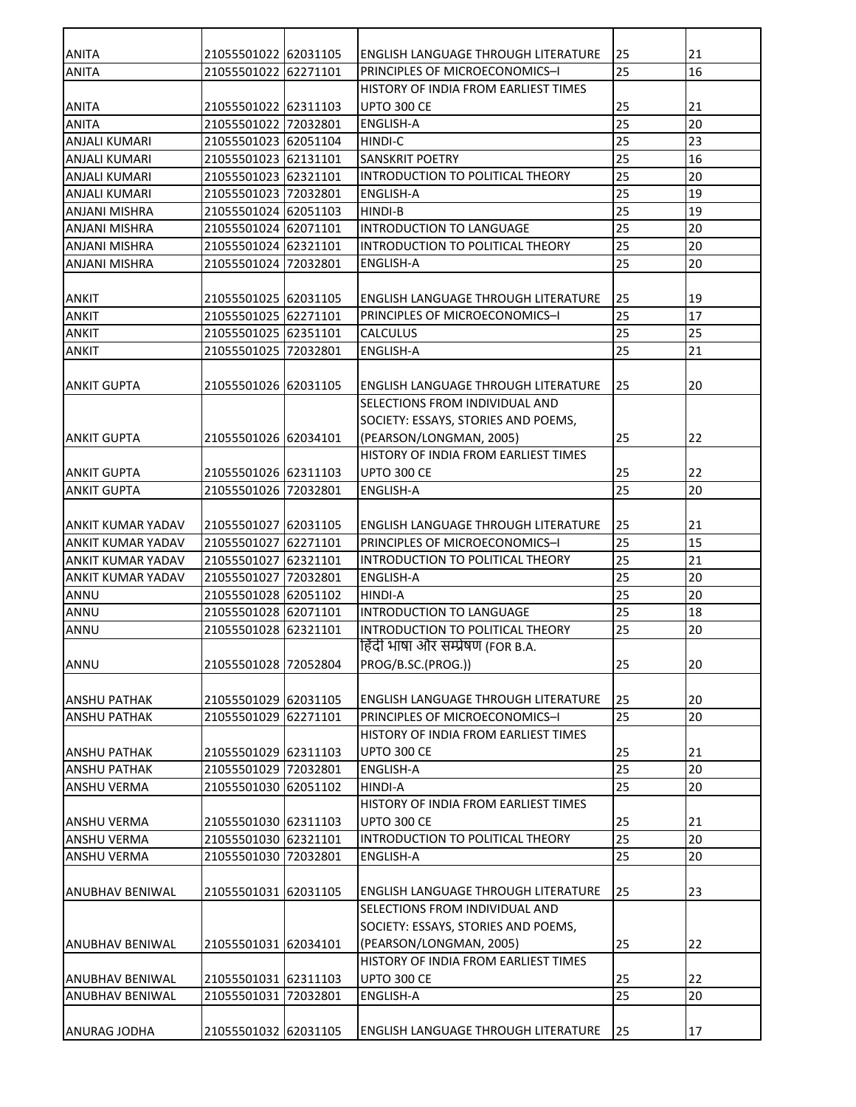| <b>ANITA</b>             | 21055501022 62031105 |          | <b>ENGLISH LANGUAGE THROUGH LITERATURE</b> | 25 | 21 |
|--------------------------|----------------------|----------|--------------------------------------------|----|----|
| <b>ANITA</b>             | 21055501022 62271101 |          | PRINCIPLES OF MICROECONOMICS-I             | 25 | 16 |
|                          |                      |          | HISTORY OF INDIA FROM EARLIEST TIMES       |    |    |
| <b>ANITA</b>             | 21055501022 62311103 |          | <b>UPTO 300 CE</b>                         | 25 | 21 |
| <b>ANITA</b>             | 21055501022 72032801 |          | <b>ENGLISH-A</b>                           | 25 | 20 |
| <b>ANJALI KUMARI</b>     | 21055501023 62051104 |          | <b>HINDI-C</b>                             | 25 | 23 |
| <b>ANJALI KUMARI</b>     | 21055501023 62131101 |          | <b>SANSKRIT POETRY</b>                     | 25 | 16 |
| <b>ANJALI KUMARI</b>     | 21055501023 62321101 |          | INTRODUCTION TO POLITICAL THEORY           | 25 | 20 |
| <b>ANJALI KUMARI</b>     | 21055501023 72032801 |          | <b>ENGLISH-A</b>                           | 25 | 19 |
| ANJANI MISHRA            | 21055501024          | 62051103 | <b>HINDI-B</b>                             | 25 | 19 |
| <b>ANJANI MISHRA</b>     | 21055501024 62071101 |          | INTRODUCTION TO LANGUAGE                   | 25 | 20 |
| <b>ANJANI MISHRA</b>     | 21055501024 62321101 |          | INTRODUCTION TO POLITICAL THEORY           | 25 | 20 |
| <b>ANJANI MISHRA</b>     | 21055501024          | 72032801 | <b>ENGLISH-A</b>                           | 25 | 20 |
|                          |                      |          |                                            |    |    |
| <b>ANKIT</b>             | 21055501025 62031105 |          | ENGLISH LANGUAGE THROUGH LITERATURE        | 25 | 19 |
| <b>ANKIT</b>             | 21055501025 62271101 |          | <b>PRINCIPLES OF MICROECONOMICS-I</b>      | 25 | 17 |
| <b>ANKIT</b>             | 21055501025 62351101 |          | <b>CALCULUS</b>                            | 25 | 25 |
| <b>ANKIT</b>             | 21055501025 72032801 |          | <b>ENGLISH-A</b>                           | 25 | 21 |
|                          |                      |          |                                            |    |    |
| <b>ANKIT GUPTA</b>       | 21055501026 62031105 |          | <b>ENGLISH LANGUAGE THROUGH LITERATURE</b> | 25 | 20 |
|                          |                      |          | SELECTIONS FROM INDIVIDUAL AND             |    |    |
|                          |                      |          | SOCIETY: ESSAYS, STORIES AND POEMS,        |    |    |
| <b>ANKIT GUPTA</b>       | 21055501026 62034101 |          | (PEARSON/LONGMAN, 2005)                    | 25 | 22 |
|                          |                      |          | HISTORY OF INDIA FROM EARLIEST TIMES       |    |    |
| ANKIT GUPTA              | 21055501026 62311103 |          | <b>UPTO 300 CE</b>                         | 25 | 22 |
| <b>ANKIT GUPTA</b>       | 21055501026 72032801 |          | <b>ENGLISH-A</b>                           | 25 | 20 |
|                          |                      |          |                                            |    |    |
| ANKIT KUMAR YADAV        | 21055501027 62031105 |          | <b>ENGLISH LANGUAGE THROUGH LITERATURE</b> | 25 | 21 |
| <b>ANKIT KUMAR YADAV</b> | 21055501027          | 62271101 | PRINCIPLES OF MICROECONOMICS-I             | 25 | 15 |
| <b>ANKIT KUMAR YADAV</b> | 21055501027          | 62321101 | INTRODUCTION TO POLITICAL THEORY           | 25 | 21 |
| <b>ANKIT KUMAR YADAV</b> | 21055501027          | 72032801 | <b>ENGLISH-A</b>                           | 25 | 20 |
| ANNU                     | 21055501028 62051102 |          | <b>HINDI-A</b>                             | 25 | 20 |
| ANNU                     | 21055501028 62071101 |          | INTRODUCTION TO LANGUAGE                   | 25 | 18 |
| ANNU                     | 21055501028 62321101 |          | INTRODUCTION TO POLITICAL THEORY           | 25 | 20 |
|                          |                      |          | हिंदी भाषा और सम्प्रेषण (FOR B.A.          |    |    |
| ANNU                     | 21055501028 72052804 |          | PROG/B.SC.(PROG.))                         | 25 | 20 |
|                          |                      |          |                                            |    |    |
| <b>ANSHU PATHAK</b>      | 21055501029 62031105 |          | ENGLISH LANGUAGE THROUGH LITERATURE        | 25 | 20 |
| <b>ANSHU PATHAK</b>      | 21055501029 62271101 |          | PRINCIPLES OF MICROECONOMICS-I             | 25 | 20 |
|                          |                      |          | HISTORY OF INDIA FROM EARLIEST TIMES       |    |    |
| <b>ANSHU PATHAK</b>      | 21055501029 62311103 |          | <b>UPTO 300 CE</b>                         | 25 | 21 |
| <b>ANSHU PATHAK</b>      | 21055501029 72032801 |          | <b>ENGLISH-A</b>                           | 25 | 20 |
| <b>ANSHU VERMA</b>       | 21055501030 62051102 |          | <b>HINDI-A</b>                             | 25 | 20 |
|                          |                      |          | HISTORY OF INDIA FROM EARLIEST TIMES       |    |    |
| ANSHU VERMA              | 21055501030 62311103 |          | <b>UPTO 300 CE</b>                         | 25 | 21 |
| ANSHU VERMA              | 21055501030 62321101 |          | INTRODUCTION TO POLITICAL THEORY           | 25 | 20 |
| <b>ANSHU VERMA</b>       | 21055501030 72032801 |          | <b>ENGLISH-A</b>                           | 25 | 20 |
|                          |                      |          |                                            |    |    |
| ANUBHAV BENIWAL          | 21055501031 62031105 |          | ENGLISH LANGUAGE THROUGH LITERATURE        | 25 | 23 |
|                          |                      |          | SELECTIONS FROM INDIVIDUAL AND             |    |    |
|                          |                      |          | SOCIETY: ESSAYS, STORIES AND POEMS,        |    |    |
| ANUBHAV BENIWAL          | 21055501031 62034101 |          | (PEARSON/LONGMAN, 2005)                    | 25 | 22 |
|                          |                      |          | HISTORY OF INDIA FROM EARLIEST TIMES       |    |    |
| <b>ANUBHAV BENIWAL</b>   | 21055501031 62311103 |          | <b>UPTO 300 CE</b>                         | 25 | 22 |
| <b>ANUBHAV BENIWAL</b>   | 21055501031 72032801 |          | <b>ENGLISH-A</b>                           | 25 | 20 |
|                          |                      |          |                                            |    |    |
| ANURAG JODHA             | 21055501032 62031105 |          | ENGLISH LANGUAGE THROUGH LITERATURE        | 25 | 17 |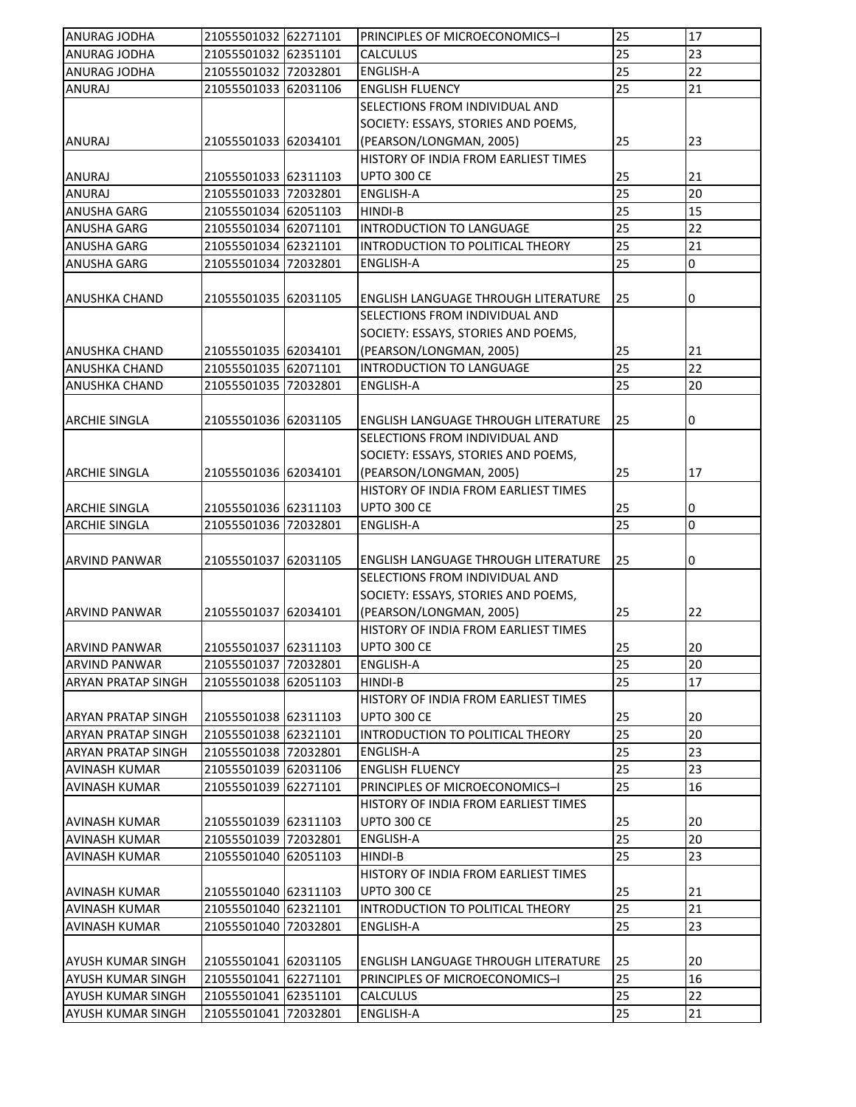| <b>ANURAG JODHA</b>       | 21055501032 62271101 |          | PRINCIPLES OF MICROECONOMICS-I             | 25              | 17              |
|---------------------------|----------------------|----------|--------------------------------------------|-----------------|-----------------|
| <b>ANURAG JODHA</b>       | 21055501032 62351101 |          | <b>CALCULUS</b>                            | 25              | 23              |
| <b>ANURAG JODHA</b>       | 21055501032 72032801 |          | <b>ENGLISH-A</b>                           | $\overline{25}$ | $\overline{22}$ |
| <b>ANURAJ</b>             | 21055501033 62031106 |          | <b>ENGLISH FLUENCY</b>                     | 25              | 21              |
|                           |                      |          | SELECTIONS FROM INDIVIDUAL AND             |                 |                 |
|                           |                      |          | SOCIETY: ESSAYS, STORIES AND POEMS,        |                 |                 |
| ANURAJ                    | 21055501033 62034101 |          | (PEARSON/LONGMAN, 2005)                    | 25              | 23              |
|                           |                      |          | HISTORY OF INDIA FROM EARLIEST TIMES       |                 |                 |
| <b>ANURAJ</b>             | 21055501033 62311103 |          | UPTO 300 CE                                | 25              | 21              |
| <b>ANURAJ</b>             | 21055501033 72032801 |          | <b>ENGLISH-A</b>                           | 25              | 20              |
| <b>ANUSHA GARG</b>        | 21055501034 62051103 |          | <b>HINDI-B</b>                             | 25              | 15              |
| <b>ANUSHA GARG</b>        | 21055501034 62071101 |          | <b>INTRODUCTION TO LANGUAGE</b>            | 25              | 22              |
| <b>ANUSHA GARG</b>        | 21055501034 62321101 |          | INTRODUCTION TO POLITICAL THEORY           | 25              | 21              |
| <b>ANUSHA GARG</b>        | 21055501034          | 72032801 | <b>ENGLISH-A</b>                           | 25              | 0               |
|                           |                      |          |                                            |                 |                 |
| ANUSHKA CHAND             | 21055501035 62031105 |          | ENGLISH LANGUAGE THROUGH LITERATURE        | 25              | 0               |
|                           |                      |          | SELECTIONS FROM INDIVIDUAL AND             |                 |                 |
|                           |                      |          |                                            |                 |                 |
|                           |                      |          | SOCIETY: ESSAYS, STORIES AND POEMS,        |                 |                 |
| <b>ANUSHKA CHAND</b>      | 21055501035 62034101 |          | (PEARSON/LONGMAN, 2005)                    | 25              | 21              |
| <b>ANUSHKA CHAND</b>      | 21055501035 62071101 |          | INTRODUCTION TO LANGUAGE                   | 25              | 22              |
| <b>ANUSHKA CHAND</b>      | 21055501035 72032801 |          | <b>ENGLISH-A</b>                           | 25              | 20              |
|                           |                      |          |                                            |                 |                 |
| <b>ARCHIE SINGLA</b>      | 21055501036 62031105 |          | <b>ENGLISH LANGUAGE THROUGH LITERATURE</b> | 25              | 0               |
|                           |                      |          | SELECTIONS FROM INDIVIDUAL AND             |                 |                 |
|                           |                      |          | SOCIETY: ESSAYS, STORIES AND POEMS,        |                 |                 |
| <b>ARCHIE SINGLA</b>      | 21055501036 62034101 |          | (PEARSON/LONGMAN, 2005)                    | 25              | 17              |
|                           |                      |          | HISTORY OF INDIA FROM EARLIEST TIMES       |                 |                 |
| ARCHIE SINGLA             | 21055501036 62311103 |          | <b>UPTO 300 CE</b>                         | 25              | 0               |
| <b>ARCHIE SINGLA</b>      | 21055501036 72032801 |          | <b>ENGLISH-A</b>                           | 25              | 0               |
|                           |                      |          |                                            |                 |                 |
| ARVIND PANWAR             | 21055501037 62031105 |          | <b>ENGLISH LANGUAGE THROUGH LITERATURE</b> | 25              | 0               |
|                           |                      |          | SELECTIONS FROM INDIVIDUAL AND             |                 |                 |
|                           |                      |          | SOCIETY: ESSAYS, STORIES AND POEMS,        |                 |                 |
| ARVIND PANWAR             | 21055501037 62034101 |          | (PEARSON/LONGMAN, 2005)                    | 25              | 22              |
|                           |                      |          | HISTORY OF INDIA FROM EARLIEST TIMES       |                 |                 |
| <b>ARVIND PANWAR</b>      | 21055501037 62311103 |          | <b>UPTO 300 CE</b>                         | 25              | 20              |
| <b>ARVIND PANWAR</b>      | 21055501037 72032801 |          | <b>ENGLISH-A</b>                           | 25              | 20              |
| ARYAN PRATAP SINGH        | 21055501038 62051103 |          | HINDI-B                                    | 25              | 17              |
|                           |                      |          | HISTORY OF INDIA FROM EARLIEST TIMES       |                 |                 |
| ARYAN PRATAP SINGH        | 21055501038 62311103 |          | <b>UPTO 300 CE</b>                         | 25              | 20              |
| <b>ARYAN PRATAP SINGH</b> | 21055501038 62321101 |          | INTRODUCTION TO POLITICAL THEORY           | 25              | 20              |
| <b>ARYAN PRATAP SINGH</b> | 21055501038 72032801 |          | <b>ENGLISH-A</b>                           | 25              | 23              |
| <b>AVINASH KUMAR</b>      | 21055501039 62031106 |          | <b>ENGLISH FLUENCY</b>                     | 25              | 23              |
| <b>AVINASH KUMAR</b>      | 21055501039 62271101 |          | PRINCIPLES OF MICROECONOMICS-I             | 25              | 16              |
|                           |                      |          | HISTORY OF INDIA FROM EARLIEST TIMES       |                 |                 |
| AVINASH KUMAR             | 21055501039 62311103 |          | <b>UPTO 300 CE</b>                         | 25              | 20              |
| <b>AVINASH KUMAR</b>      | 21055501039 72032801 |          | <b>ENGLISH-A</b>                           | 25              | 20              |
|                           |                      |          |                                            | 25              |                 |
| <b>AVINASH KUMAR</b>      | 21055501040 62051103 |          | HINDI-B                                    |                 | 23              |
|                           |                      |          | HISTORY OF INDIA FROM EARLIEST TIMES       |                 |                 |
| <b>AVINASH KUMAR</b>      | 21055501040 62311103 |          | <b>UPTO 300 CE</b>                         | 25              | 21              |
| <b>AVINASH KUMAR</b>      | 21055501040 62321101 |          | INTRODUCTION TO POLITICAL THEORY           | 25              | 21              |
| <b>AVINASH KUMAR</b>      | 21055501040 72032801 |          | <b>ENGLISH-A</b>                           | 25              | 23              |
|                           |                      |          |                                            |                 |                 |
| <b>AYUSH KUMAR SINGH</b>  | 21055501041 62031105 |          | ENGLISH LANGUAGE THROUGH LITERATURE        | 25              | 20              |
| <b>AYUSH KUMAR SINGH</b>  | 21055501041 62271101 |          | PRINCIPLES OF MICROECONOMICS-I             | 25              | 16              |
| AYUSH KUMAR SINGH         | 21055501041 62351101 |          | CALCULUS                                   | 25              | 22              |
| AYUSH KUMAR SINGH         | 21055501041 72032801 |          | ENGLISH-A                                  | 25              | 21              |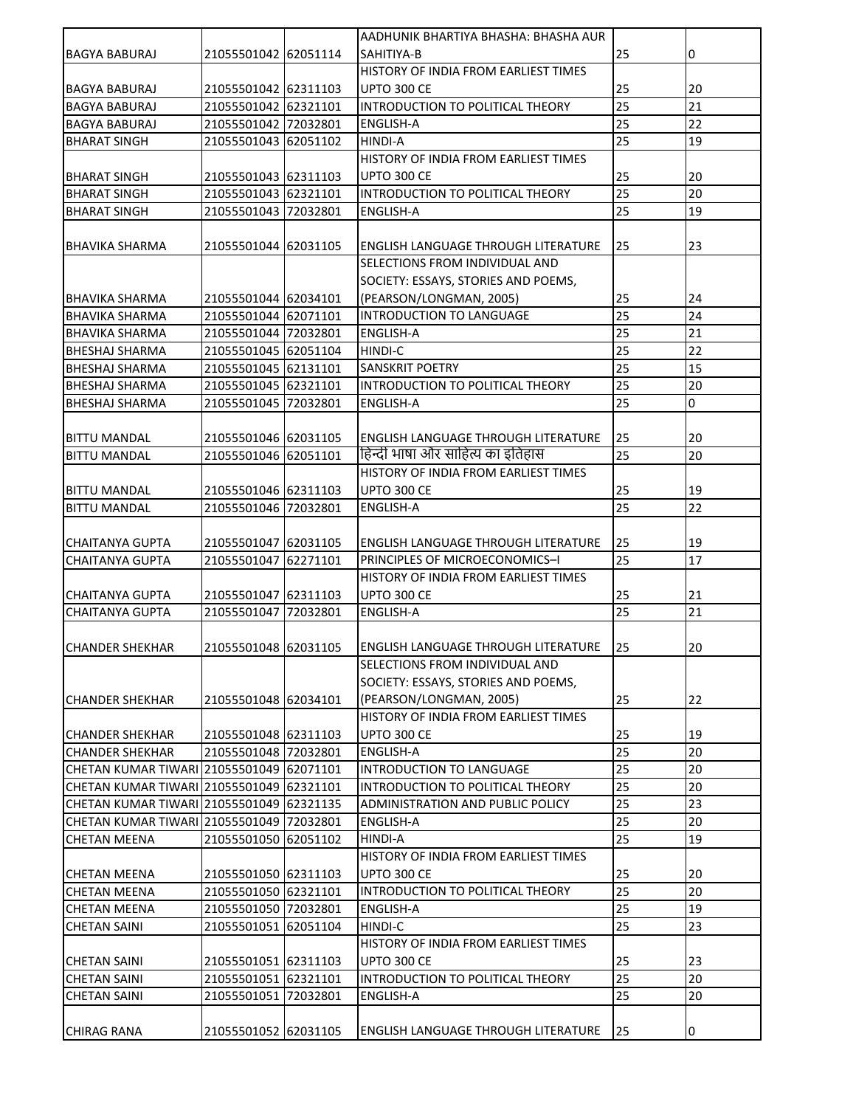|                                            |                                              |          | AADHUNIK BHARTIYA BHASHA: BHASHA AUR       |    |    |
|--------------------------------------------|----------------------------------------------|----------|--------------------------------------------|----|----|
| BAGYA BABURAJ                              | 21055501042 62051114                         |          | SAHITIYA-B                                 | 25 | 0  |
|                                            |                                              |          | HISTORY OF INDIA FROM EARLIEST TIMES       |    |    |
| <b>BAGYA BABURAJ</b>                       | 21055501042 62311103                         |          | <b>UPTO 300 CE</b>                         | 25 | 20 |
| <b>BAGYA BABURAJ</b>                       | 21055501042 62321101                         |          | INTRODUCTION TO POLITICAL THEORY           | 25 | 21 |
| <b>BAGYA BABURAJ</b>                       | 21055501042 72032801                         |          | <b>ENGLISH-A</b>                           | 25 | 22 |
| <b>BHARAT SINGH</b>                        | 21055501043 62051102                         |          | <b>HINDI-A</b>                             | 25 | 19 |
|                                            |                                              |          | HISTORY OF INDIA FROM EARLIEST TIMES       |    |    |
| <b>BHARAT SINGH</b>                        | 21055501043 62311103                         |          | <b>UPTO 300 CE</b>                         | 25 | 20 |
| <b>BHARAT SINGH</b>                        | 21055501043 62321101                         |          | INTRODUCTION TO POLITICAL THEORY           | 25 | 20 |
| <b>BHARAT SINGH</b>                        | 21055501043 72032801                         |          | ENGLISH-A                                  | 25 | 19 |
|                                            |                                              |          |                                            |    |    |
| BHAVIKA SHARMA                             | 21055501044 62031105                         |          | ENGLISH LANGUAGE THROUGH LITERATURE        | 25 | 23 |
|                                            |                                              |          | SELECTIONS FROM INDIVIDUAL AND             |    |    |
|                                            |                                              |          | SOCIETY: ESSAYS, STORIES AND POEMS,        |    |    |
| BHAVIKA SHARMA                             | 21055501044 62034101                         |          | (PEARSON/LONGMAN, 2005)                    | 25 | 24 |
| <b>BHAVIKA SHARMA</b>                      | 21055501044 62071101                         |          | INTRODUCTION TO LANGUAGE                   | 25 | 24 |
| <b>BHAVIKA SHARMA</b>                      | 21055501044 72032801                         |          | <b>ENGLISH-A</b>                           | 25 | 21 |
| <b>BHESHAJ SHARMA</b>                      | 21055501045 62051104                         |          | HINDI-C                                    | 25 | 22 |
| BHESHAJ SHARMA                             | 21055501045 62131101                         |          | <b>SANSKRIT POETRY</b>                     | 25 | 15 |
| <b>BHESHAJ SHARMA</b>                      | 21055501045 62321101                         |          | INTRODUCTION TO POLITICAL THEORY           | 25 | 20 |
| <b>BHESHAJ SHARMA</b>                      | 21055501045 72032801                         |          | <b>ENGLISH-A</b>                           | 25 | 0  |
|                                            |                                              |          |                                            |    |    |
|                                            |                                              |          | <b>ENGLISH LANGUAGE THROUGH LITERATURE</b> | 25 | 20 |
| <b>BITTU MANDAL</b><br><b>BITTU MANDAL</b> | 21055501046 62031105<br>21055501046 62051101 |          | हिन्दी भाषा और साहित्य का इतिहास           | 25 | 20 |
|                                            |                                              |          | HISTORY OF INDIA FROM EARLIEST TIMES       |    |    |
|                                            |                                              |          |                                            |    |    |
| BITTU MANDAL                               | 21055501046 62311103                         |          | <b>UPTO 300 CE</b>                         | 25 | 19 |
| <b>BITTU MANDAL</b>                        | 21055501046 72032801                         |          | <b>ENGLISH-A</b>                           | 25 | 22 |
|                                            |                                              |          |                                            |    |    |
| <b>CHAITANYA GUPTA</b>                     | 21055501047 62031105                         |          | <b>ENGLISH LANGUAGE THROUGH LITERATURE</b> | 25 | 19 |
| <b>CHAITANYA GUPTA</b>                     | 21055501047                                  | 62271101 | PRINCIPLES OF MICROECONOMICS-I             | 25 | 17 |
|                                            |                                              |          | HISTORY OF INDIA FROM EARLIEST TIMES       |    |    |
| <b>CHAITANYA GUPTA</b>                     | 21055501047 62311103                         |          | <b>UPTO 300 CE</b>                         | 25 | 21 |
| <b>CHAITANYA GUPTA</b>                     | 21055501047                                  | 72032801 | <b>ENGLISH-A</b>                           | 25 | 21 |
|                                            |                                              |          |                                            |    |    |
| CHANDER SHEKHAR                            | 21055501048 62031105                         |          | ENGLISH LANGUAGE THROUGH LITERATURE        | 25 | 20 |
|                                            |                                              |          | SELECTIONS FROM INDIVIDUAL AND             |    |    |
|                                            |                                              |          | SOCIETY: ESSAYS, STORIES AND POEMS,        |    |    |
| CHANDER SHEKHAR                            | 21055501048 62034101                         |          | (PEARSON/LONGMAN, 2005)                    | 25 | 22 |
|                                            |                                              |          | HISTORY OF INDIA FROM EARLIEST TIMES       |    |    |
| <b>CHANDER SHEKHAR</b>                     | 21055501048 62311103                         |          | <b>UPTO 300 CE</b>                         | 25 | 19 |
| <b>CHANDER SHEKHAR</b>                     | 21055501048 72032801                         |          | <b>ENGLISH-A</b>                           | 25 | 20 |
| CHETAN KUMAR TIWARI 21055501049 62071101   |                                              |          | INTRODUCTION TO LANGUAGE                   | 25 | 20 |
| CHETAN KUMAR TIWARI 21055501049 62321101   |                                              |          | INTRODUCTION TO POLITICAL THEORY           | 25 | 20 |
| CHETAN KUMAR TIWARI 21055501049 62321135   |                                              |          | <b>ADMINISTRATION AND PUBLIC POLICY</b>    | 25 | 23 |
| CHETAN KUMAR TIWARI 21055501049 72032801   |                                              |          | <b>ENGLISH-A</b>                           | 25 | 20 |
| <b>CHETAN MEENA</b>                        | 21055501050 62051102                         |          | <b>HINDI-A</b>                             | 25 | 19 |
|                                            |                                              |          | HISTORY OF INDIA FROM EARLIEST TIMES       |    |    |
| CHETAN MEENA                               | 21055501050 62311103                         |          | <b>UPTO 300 CE</b>                         | 25 | 20 |
| <b>CHETAN MEENA</b>                        | 21055501050 62321101                         |          | INTRODUCTION TO POLITICAL THEORY           | 25 | 20 |
| <b>CHETAN MEENA</b>                        | 21055501050 72032801                         |          | <b>ENGLISH-A</b>                           | 25 | 19 |
| <b>CHETAN SAINI</b>                        | 21055501051 62051104                         |          | HINDI-C                                    | 25 | 23 |
|                                            |                                              |          | HISTORY OF INDIA FROM EARLIEST TIMES       |    |    |
| <b>CHETAN SAINI</b>                        | 21055501051 62311103                         |          | UPTO 300 CE                                | 25 | 23 |
| <b>CHETAN SAINI</b>                        | 21055501051 62321101                         |          | INTRODUCTION TO POLITICAL THEORY           | 25 | 20 |
| <b>CHETAN SAINI</b>                        | 21055501051 72032801                         |          | <b>ENGLISH-A</b>                           | 25 | 20 |
|                                            |                                              |          |                                            |    |    |
| <b>CHIRAG RANA</b>                         | 21055501052 62031105                         |          | <b>ENGLISH LANGUAGE THROUGH LITERATURE</b> | 25 | 0  |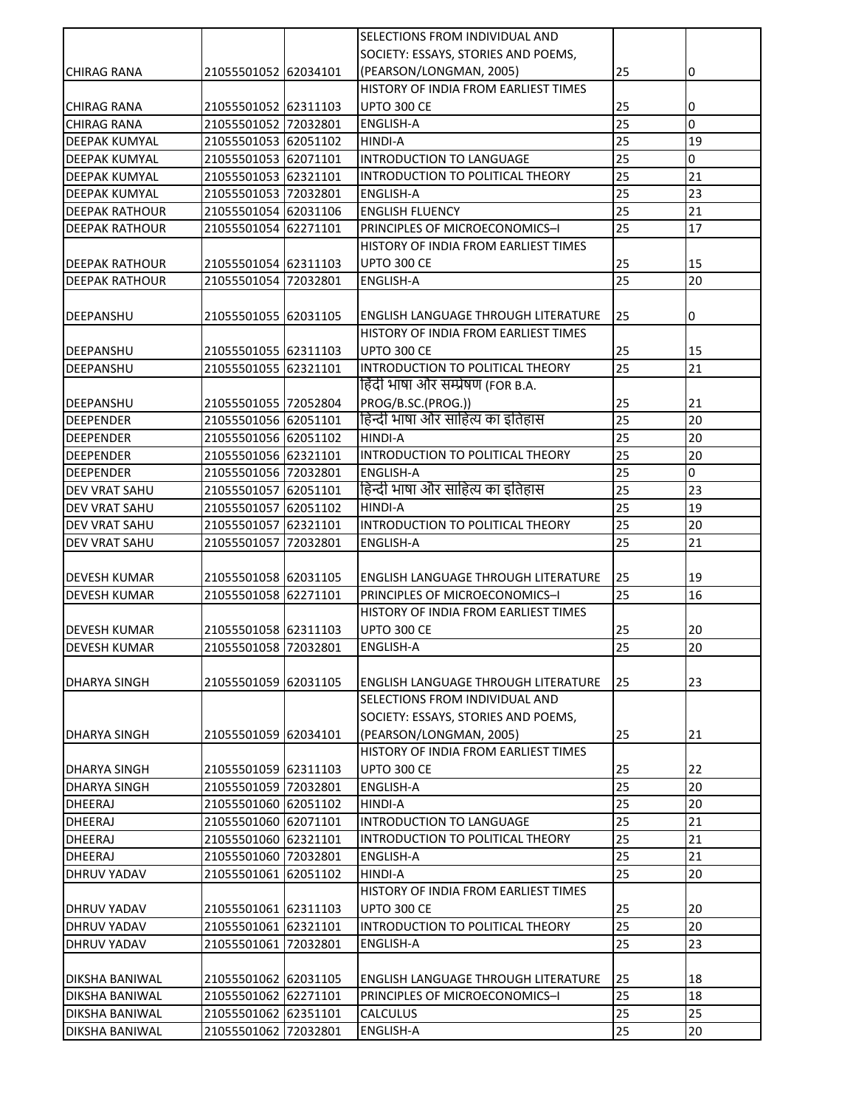| SOCIETY: ESSAYS, STORIES AND POEMS,<br>21055501052 62034101<br>(PEARSON/LONGMAN, 2005)<br>25<br>0<br><b>CHIRAG RANA</b><br>HISTORY OF INDIA FROM EARLIEST TIMES<br>25<br>21055501052 62311103<br><b>UPTO 300 CE</b><br>0<br>CHIRAG RANA<br>25<br>l0<br><b>CHIRAG RANA</b><br>21055501052 72032801<br><b>ENGLISH-A</b><br>25<br>21055501053 62051102<br>19<br><b>DEEPAK KUMYAL</b><br>HINDI-A<br>25<br>INTRODUCTION TO LANGUAGE<br>0<br>21055501053 62071101<br><b>DEEPAK KUMYAL</b><br>25<br>21<br>21055501053 62321101<br>INTRODUCTION TO POLITICAL THEORY<br>DEEPAK KUMYAL<br>25<br>23<br><b>DEEPAK KUMYAL</b><br>21055501053 72032801<br>ENGLISH-A<br>25<br>21<br>21055501054 62031106<br><b>ENGLISH FLUENCY</b><br>DEEPAK RATHOUR<br>25<br>17<br>21055501054 62271101<br>PRINCIPLES OF MICROECONOMICS-I<br><b>DEEPAK RATHOUR</b><br>HISTORY OF INDIA FROM EARLIEST TIMES<br>25<br>15<br><b>DEEPAK RATHOUR</b><br>21055501054 62311103<br><b>UPTO 300 CE</b><br>25<br><b>ENGLISH-A</b><br>20<br><b>DEEPAK RATHOUR</b><br>21055501054 72032801<br>25<br>0<br><b>DEEPANSHU</b><br>21055501055 62031105<br><b>ENGLISH LANGUAGE THROUGH LITERATURE</b><br>HISTORY OF INDIA FROM EARLIEST TIMES<br><b>UPTO 300 CE</b><br>15<br>DEEPANSHU<br>21055501055 62311103<br>25<br>25<br>21<br>21055501055 62321101<br>INTRODUCTION TO POLITICAL THEORY<br><b>DEEPANSHU</b><br>हिंदी भाषा और सम्प्रेषण (FOR B.A.<br>PROG/B.SC.(PROG.))<br>25<br>21<br>DEEPANSHU<br>21055501055 72052804<br>हिन्दी भाषा और साहित्य का इतिहास<br>25<br>20<br>21055501056 62051101<br><b>DEEPENDER</b><br>25<br>20<br>21055501056 62051102<br><b>DEEPENDER</b><br>HINDI-A<br>$\overline{25}$<br>20<br>21055501056 62321101<br>INTRODUCTION TO POLITICAL THEORY<br><b>DEEPENDER</b><br>25<br>$\overline{0}$<br><b>ENGLISH-A</b><br><b>DEEPENDER</b><br>21055501056 72032801<br>हिन्दी भाषा और साहित्य का इतिहास<br>25<br>23<br>21055501057 62051101<br><b>DEV VRAT SAHU</b><br>25<br>19<br><b>DEV VRAT SAHU</b><br>21055501057 62051102<br>HINDI-A<br>25<br>20<br>INTRODUCTION TO POLITICAL THEORY<br>62321101<br><b>DEV VRAT SAHU</b><br>21055501057<br>25<br>21<br>21055501057 72032801<br><b>DEV VRAT SAHU</b><br><b>ENGLISH-A</b><br>19<br><b>DEVESH KUMAR</b><br>21055501058 62031105<br><b>ENGLISH LANGUAGE THROUGH LITERATURE</b><br>25<br>25<br>21055501058 62271101<br>PRINCIPLES OF MICROECONOMICS-I<br>16<br><b>DEVESH KUMAR</b><br>HISTORY OF INDIA FROM EARLIEST TIMES<br>20<br>21055501058 62311103<br><b>UPTO 300 CE</b><br>25<br><b>DEVESH KUMAR</b><br>25<br>20<br>21055501058 72032801<br><b>ENGLISH-A</b><br><b>DEVESH KUMAR</b><br>21055501059 62031105<br>25<br>23<br>DHARYA SINGH<br>ENGLISH LANGUAGE THROUGH LITERATURE<br>SELECTIONS FROM INDIVIDUAL AND<br>SOCIETY: ESSAYS, STORIES AND POEMS,<br><b>DHARYA SINGH</b><br>21055501059 62034101<br>(PEARSON/LONGMAN, 2005)<br>25<br>21<br>HISTORY OF INDIA FROM EARLIEST TIMES<br>UPTO 300 CE<br>21055501059 62311103<br>25<br>22<br>DHARYA SINGH<br>25<br>20<br>21055501059 72032801<br><b>ENGLISH-A</b><br><b>DHARYA SINGH</b><br>25<br>20<br>21055501060 62051102<br>DHEERAJ<br><b>HINDI-A</b><br>25<br>21055501060 62071101<br>21<br><b>DHEERAJ</b><br>INTRODUCTION TO LANGUAGE<br>25<br>21<br>21055501060 62321101<br>INTRODUCTION TO POLITICAL THEORY<br><b>DHEERAJ</b><br>25<br>21<br>21055501060 72032801<br>ENGLISH-A<br>DHEERAJ<br>25<br>20<br>21055501061 62051102<br><b>DHRUV YADAV</b><br><b>HINDI-A</b><br>HISTORY OF INDIA FROM EARLIEST TIMES<br><b>UPTO 300 CE</b><br>25<br>20<br><b>DHRUV YADAV</b><br>21055501061 62311103<br>25<br>20<br><b>DHRUV YADAV</b><br>21055501061 62321101<br>INTRODUCTION TO POLITICAL THEORY<br>25<br>23<br>21055501061 72032801<br>DHRUV YADAV<br>ENGLISH-A<br>18<br>21055501062 62031105<br>25<br>DIKSHA BANIWAL<br>ENGLISH LANGUAGE THROUGH LITERATURE<br>25<br>18<br>21055501062 62271101<br><b>DIKSHA BANIWAL</b><br>PRINCIPLES OF MICROECONOMICS-I<br>25<br>25<br>21055501062 62351101<br><b>DIKSHA BANIWAL</b><br><b>CALCULUS</b><br>21055501062 72032801<br><b>ENGLISH-A</b><br>25<br>20<br><b>DIKSHA BANIWAL</b> |  | SELECTIONS FROM INDIVIDUAL AND |  |
|------------------------------------------------------------------------------------------------------------------------------------------------------------------------------------------------------------------------------------------------------------------------------------------------------------------------------------------------------------------------------------------------------------------------------------------------------------------------------------------------------------------------------------------------------------------------------------------------------------------------------------------------------------------------------------------------------------------------------------------------------------------------------------------------------------------------------------------------------------------------------------------------------------------------------------------------------------------------------------------------------------------------------------------------------------------------------------------------------------------------------------------------------------------------------------------------------------------------------------------------------------------------------------------------------------------------------------------------------------------------------------------------------------------------------------------------------------------------------------------------------------------------------------------------------------------------------------------------------------------------------------------------------------------------------------------------------------------------------------------------------------------------------------------------------------------------------------------------------------------------------------------------------------------------------------------------------------------------------------------------------------------------------------------------------------------------------------------------------------------------------------------------------------------------------------------------------------------------------------------------------------------------------------------------------------------------------------------------------------------------------------------------------------------------------------------------------------------------------------------------------------------------------------------------------------------------------------------------------------------------------------------------------------------------------------------------------------------------------------------------------------------------------------------------------------------------------------------------------------------------------------------------------------------------------------------------------------------------------------------------------------------------------------------------------------------------------------------------------------------------------------------------------------------------------------------------------------------------------------------------------------------------------------------------------------------------------------------------------------------------------------------------------------------------------------------------------------------------------------------------------------------------------------------------------------------------------------------------------------------------------------------------------------------------------------------------------------------------------------------------------------------------------------------------------------------------------------------------------------------------------------------------------------------------------------------------------------------------------------------------------------------------------------------------------------------------------------------------------------------|--|--------------------------------|--|
|                                                                                                                                                                                                                                                                                                                                                                                                                                                                                                                                                                                                                                                                                                                                                                                                                                                                                                                                                                                                                                                                                                                                                                                                                                                                                                                                                                                                                                                                                                                                                                                                                                                                                                                                                                                                                                                                                                                                                                                                                                                                                                                                                                                                                                                                                                                                                                                                                                                                                                                                                                                                                                                                                                                                                                                                                                                                                                                                                                                                                                                                                                                                                                                                                                                                                                                                                                                                                                                                                                                                                                                                                                                                                                                                                                                                                                                                                                                                                                                                                                                                                                                  |  |                                |  |
|                                                                                                                                                                                                                                                                                                                                                                                                                                                                                                                                                                                                                                                                                                                                                                                                                                                                                                                                                                                                                                                                                                                                                                                                                                                                                                                                                                                                                                                                                                                                                                                                                                                                                                                                                                                                                                                                                                                                                                                                                                                                                                                                                                                                                                                                                                                                                                                                                                                                                                                                                                                                                                                                                                                                                                                                                                                                                                                                                                                                                                                                                                                                                                                                                                                                                                                                                                                                                                                                                                                                                                                                                                                                                                                                                                                                                                                                                                                                                                                                                                                                                                                  |  |                                |  |
|                                                                                                                                                                                                                                                                                                                                                                                                                                                                                                                                                                                                                                                                                                                                                                                                                                                                                                                                                                                                                                                                                                                                                                                                                                                                                                                                                                                                                                                                                                                                                                                                                                                                                                                                                                                                                                                                                                                                                                                                                                                                                                                                                                                                                                                                                                                                                                                                                                                                                                                                                                                                                                                                                                                                                                                                                                                                                                                                                                                                                                                                                                                                                                                                                                                                                                                                                                                                                                                                                                                                                                                                                                                                                                                                                                                                                                                                                                                                                                                                                                                                                                                  |  |                                |  |
|                                                                                                                                                                                                                                                                                                                                                                                                                                                                                                                                                                                                                                                                                                                                                                                                                                                                                                                                                                                                                                                                                                                                                                                                                                                                                                                                                                                                                                                                                                                                                                                                                                                                                                                                                                                                                                                                                                                                                                                                                                                                                                                                                                                                                                                                                                                                                                                                                                                                                                                                                                                                                                                                                                                                                                                                                                                                                                                                                                                                                                                                                                                                                                                                                                                                                                                                                                                                                                                                                                                                                                                                                                                                                                                                                                                                                                                                                                                                                                                                                                                                                                                  |  |                                |  |
|                                                                                                                                                                                                                                                                                                                                                                                                                                                                                                                                                                                                                                                                                                                                                                                                                                                                                                                                                                                                                                                                                                                                                                                                                                                                                                                                                                                                                                                                                                                                                                                                                                                                                                                                                                                                                                                                                                                                                                                                                                                                                                                                                                                                                                                                                                                                                                                                                                                                                                                                                                                                                                                                                                                                                                                                                                                                                                                                                                                                                                                                                                                                                                                                                                                                                                                                                                                                                                                                                                                                                                                                                                                                                                                                                                                                                                                                                                                                                                                                                                                                                                                  |  |                                |  |
|                                                                                                                                                                                                                                                                                                                                                                                                                                                                                                                                                                                                                                                                                                                                                                                                                                                                                                                                                                                                                                                                                                                                                                                                                                                                                                                                                                                                                                                                                                                                                                                                                                                                                                                                                                                                                                                                                                                                                                                                                                                                                                                                                                                                                                                                                                                                                                                                                                                                                                                                                                                                                                                                                                                                                                                                                                                                                                                                                                                                                                                                                                                                                                                                                                                                                                                                                                                                                                                                                                                                                                                                                                                                                                                                                                                                                                                                                                                                                                                                                                                                                                                  |  |                                |  |
|                                                                                                                                                                                                                                                                                                                                                                                                                                                                                                                                                                                                                                                                                                                                                                                                                                                                                                                                                                                                                                                                                                                                                                                                                                                                                                                                                                                                                                                                                                                                                                                                                                                                                                                                                                                                                                                                                                                                                                                                                                                                                                                                                                                                                                                                                                                                                                                                                                                                                                                                                                                                                                                                                                                                                                                                                                                                                                                                                                                                                                                                                                                                                                                                                                                                                                                                                                                                                                                                                                                                                                                                                                                                                                                                                                                                                                                                                                                                                                                                                                                                                                                  |  |                                |  |
|                                                                                                                                                                                                                                                                                                                                                                                                                                                                                                                                                                                                                                                                                                                                                                                                                                                                                                                                                                                                                                                                                                                                                                                                                                                                                                                                                                                                                                                                                                                                                                                                                                                                                                                                                                                                                                                                                                                                                                                                                                                                                                                                                                                                                                                                                                                                                                                                                                                                                                                                                                                                                                                                                                                                                                                                                                                                                                                                                                                                                                                                                                                                                                                                                                                                                                                                                                                                                                                                                                                                                                                                                                                                                                                                                                                                                                                                                                                                                                                                                                                                                                                  |  |                                |  |
|                                                                                                                                                                                                                                                                                                                                                                                                                                                                                                                                                                                                                                                                                                                                                                                                                                                                                                                                                                                                                                                                                                                                                                                                                                                                                                                                                                                                                                                                                                                                                                                                                                                                                                                                                                                                                                                                                                                                                                                                                                                                                                                                                                                                                                                                                                                                                                                                                                                                                                                                                                                                                                                                                                                                                                                                                                                                                                                                                                                                                                                                                                                                                                                                                                                                                                                                                                                                                                                                                                                                                                                                                                                                                                                                                                                                                                                                                                                                                                                                                                                                                                                  |  |                                |  |
|                                                                                                                                                                                                                                                                                                                                                                                                                                                                                                                                                                                                                                                                                                                                                                                                                                                                                                                                                                                                                                                                                                                                                                                                                                                                                                                                                                                                                                                                                                                                                                                                                                                                                                                                                                                                                                                                                                                                                                                                                                                                                                                                                                                                                                                                                                                                                                                                                                                                                                                                                                                                                                                                                                                                                                                                                                                                                                                                                                                                                                                                                                                                                                                                                                                                                                                                                                                                                                                                                                                                                                                                                                                                                                                                                                                                                                                                                                                                                                                                                                                                                                                  |  |                                |  |
|                                                                                                                                                                                                                                                                                                                                                                                                                                                                                                                                                                                                                                                                                                                                                                                                                                                                                                                                                                                                                                                                                                                                                                                                                                                                                                                                                                                                                                                                                                                                                                                                                                                                                                                                                                                                                                                                                                                                                                                                                                                                                                                                                                                                                                                                                                                                                                                                                                                                                                                                                                                                                                                                                                                                                                                                                                                                                                                                                                                                                                                                                                                                                                                                                                                                                                                                                                                                                                                                                                                                                                                                                                                                                                                                                                                                                                                                                                                                                                                                                                                                                                                  |  |                                |  |
|                                                                                                                                                                                                                                                                                                                                                                                                                                                                                                                                                                                                                                                                                                                                                                                                                                                                                                                                                                                                                                                                                                                                                                                                                                                                                                                                                                                                                                                                                                                                                                                                                                                                                                                                                                                                                                                                                                                                                                                                                                                                                                                                                                                                                                                                                                                                                                                                                                                                                                                                                                                                                                                                                                                                                                                                                                                                                                                                                                                                                                                                                                                                                                                                                                                                                                                                                                                                                                                                                                                                                                                                                                                                                                                                                                                                                                                                                                                                                                                                                                                                                                                  |  |                                |  |
|                                                                                                                                                                                                                                                                                                                                                                                                                                                                                                                                                                                                                                                                                                                                                                                                                                                                                                                                                                                                                                                                                                                                                                                                                                                                                                                                                                                                                                                                                                                                                                                                                                                                                                                                                                                                                                                                                                                                                                                                                                                                                                                                                                                                                                                                                                                                                                                                                                                                                                                                                                                                                                                                                                                                                                                                                                                                                                                                                                                                                                                                                                                                                                                                                                                                                                                                                                                                                                                                                                                                                                                                                                                                                                                                                                                                                                                                                                                                                                                                                                                                                                                  |  |                                |  |
|                                                                                                                                                                                                                                                                                                                                                                                                                                                                                                                                                                                                                                                                                                                                                                                                                                                                                                                                                                                                                                                                                                                                                                                                                                                                                                                                                                                                                                                                                                                                                                                                                                                                                                                                                                                                                                                                                                                                                                                                                                                                                                                                                                                                                                                                                                                                                                                                                                                                                                                                                                                                                                                                                                                                                                                                                                                                                                                                                                                                                                                                                                                                                                                                                                                                                                                                                                                                                                                                                                                                                                                                                                                                                                                                                                                                                                                                                                                                                                                                                                                                                                                  |  |                                |  |
|                                                                                                                                                                                                                                                                                                                                                                                                                                                                                                                                                                                                                                                                                                                                                                                                                                                                                                                                                                                                                                                                                                                                                                                                                                                                                                                                                                                                                                                                                                                                                                                                                                                                                                                                                                                                                                                                                                                                                                                                                                                                                                                                                                                                                                                                                                                                                                                                                                                                                                                                                                                                                                                                                                                                                                                                                                                                                                                                                                                                                                                                                                                                                                                                                                                                                                                                                                                                                                                                                                                                                                                                                                                                                                                                                                                                                                                                                                                                                                                                                                                                                                                  |  |                                |  |
|                                                                                                                                                                                                                                                                                                                                                                                                                                                                                                                                                                                                                                                                                                                                                                                                                                                                                                                                                                                                                                                                                                                                                                                                                                                                                                                                                                                                                                                                                                                                                                                                                                                                                                                                                                                                                                                                                                                                                                                                                                                                                                                                                                                                                                                                                                                                                                                                                                                                                                                                                                                                                                                                                                                                                                                                                                                                                                                                                                                                                                                                                                                                                                                                                                                                                                                                                                                                                                                                                                                                                                                                                                                                                                                                                                                                                                                                                                                                                                                                                                                                                                                  |  |                                |  |
|                                                                                                                                                                                                                                                                                                                                                                                                                                                                                                                                                                                                                                                                                                                                                                                                                                                                                                                                                                                                                                                                                                                                                                                                                                                                                                                                                                                                                                                                                                                                                                                                                                                                                                                                                                                                                                                                                                                                                                                                                                                                                                                                                                                                                                                                                                                                                                                                                                                                                                                                                                                                                                                                                                                                                                                                                                                                                                                                                                                                                                                                                                                                                                                                                                                                                                                                                                                                                                                                                                                                                                                                                                                                                                                                                                                                                                                                                                                                                                                                                                                                                                                  |  |                                |  |
|                                                                                                                                                                                                                                                                                                                                                                                                                                                                                                                                                                                                                                                                                                                                                                                                                                                                                                                                                                                                                                                                                                                                                                                                                                                                                                                                                                                                                                                                                                                                                                                                                                                                                                                                                                                                                                                                                                                                                                                                                                                                                                                                                                                                                                                                                                                                                                                                                                                                                                                                                                                                                                                                                                                                                                                                                                                                                                                                                                                                                                                                                                                                                                                                                                                                                                                                                                                                                                                                                                                                                                                                                                                                                                                                                                                                                                                                                                                                                                                                                                                                                                                  |  |                                |  |
|                                                                                                                                                                                                                                                                                                                                                                                                                                                                                                                                                                                                                                                                                                                                                                                                                                                                                                                                                                                                                                                                                                                                                                                                                                                                                                                                                                                                                                                                                                                                                                                                                                                                                                                                                                                                                                                                                                                                                                                                                                                                                                                                                                                                                                                                                                                                                                                                                                                                                                                                                                                                                                                                                                                                                                                                                                                                                                                                                                                                                                                                                                                                                                                                                                                                                                                                                                                                                                                                                                                                                                                                                                                                                                                                                                                                                                                                                                                                                                                                                                                                                                                  |  |                                |  |
|                                                                                                                                                                                                                                                                                                                                                                                                                                                                                                                                                                                                                                                                                                                                                                                                                                                                                                                                                                                                                                                                                                                                                                                                                                                                                                                                                                                                                                                                                                                                                                                                                                                                                                                                                                                                                                                                                                                                                                                                                                                                                                                                                                                                                                                                                                                                                                                                                                                                                                                                                                                                                                                                                                                                                                                                                                                                                                                                                                                                                                                                                                                                                                                                                                                                                                                                                                                                                                                                                                                                                                                                                                                                                                                                                                                                                                                                                                                                                                                                                                                                                                                  |  |                                |  |
|                                                                                                                                                                                                                                                                                                                                                                                                                                                                                                                                                                                                                                                                                                                                                                                                                                                                                                                                                                                                                                                                                                                                                                                                                                                                                                                                                                                                                                                                                                                                                                                                                                                                                                                                                                                                                                                                                                                                                                                                                                                                                                                                                                                                                                                                                                                                                                                                                                                                                                                                                                                                                                                                                                                                                                                                                                                                                                                                                                                                                                                                                                                                                                                                                                                                                                                                                                                                                                                                                                                                                                                                                                                                                                                                                                                                                                                                                                                                                                                                                                                                                                                  |  |                                |  |
|                                                                                                                                                                                                                                                                                                                                                                                                                                                                                                                                                                                                                                                                                                                                                                                                                                                                                                                                                                                                                                                                                                                                                                                                                                                                                                                                                                                                                                                                                                                                                                                                                                                                                                                                                                                                                                                                                                                                                                                                                                                                                                                                                                                                                                                                                                                                                                                                                                                                                                                                                                                                                                                                                                                                                                                                                                                                                                                                                                                                                                                                                                                                                                                                                                                                                                                                                                                                                                                                                                                                                                                                                                                                                                                                                                                                                                                                                                                                                                                                                                                                                                                  |  |                                |  |
|                                                                                                                                                                                                                                                                                                                                                                                                                                                                                                                                                                                                                                                                                                                                                                                                                                                                                                                                                                                                                                                                                                                                                                                                                                                                                                                                                                                                                                                                                                                                                                                                                                                                                                                                                                                                                                                                                                                                                                                                                                                                                                                                                                                                                                                                                                                                                                                                                                                                                                                                                                                                                                                                                                                                                                                                                                                                                                                                                                                                                                                                                                                                                                                                                                                                                                                                                                                                                                                                                                                                                                                                                                                                                                                                                                                                                                                                                                                                                                                                                                                                                                                  |  |                                |  |
|                                                                                                                                                                                                                                                                                                                                                                                                                                                                                                                                                                                                                                                                                                                                                                                                                                                                                                                                                                                                                                                                                                                                                                                                                                                                                                                                                                                                                                                                                                                                                                                                                                                                                                                                                                                                                                                                                                                                                                                                                                                                                                                                                                                                                                                                                                                                                                                                                                                                                                                                                                                                                                                                                                                                                                                                                                                                                                                                                                                                                                                                                                                                                                                                                                                                                                                                                                                                                                                                                                                                                                                                                                                                                                                                                                                                                                                                                                                                                                                                                                                                                                                  |  |                                |  |
|                                                                                                                                                                                                                                                                                                                                                                                                                                                                                                                                                                                                                                                                                                                                                                                                                                                                                                                                                                                                                                                                                                                                                                                                                                                                                                                                                                                                                                                                                                                                                                                                                                                                                                                                                                                                                                                                                                                                                                                                                                                                                                                                                                                                                                                                                                                                                                                                                                                                                                                                                                                                                                                                                                                                                                                                                                                                                                                                                                                                                                                                                                                                                                                                                                                                                                                                                                                                                                                                                                                                                                                                                                                                                                                                                                                                                                                                                                                                                                                                                                                                                                                  |  |                                |  |
|                                                                                                                                                                                                                                                                                                                                                                                                                                                                                                                                                                                                                                                                                                                                                                                                                                                                                                                                                                                                                                                                                                                                                                                                                                                                                                                                                                                                                                                                                                                                                                                                                                                                                                                                                                                                                                                                                                                                                                                                                                                                                                                                                                                                                                                                                                                                                                                                                                                                                                                                                                                                                                                                                                                                                                                                                                                                                                                                                                                                                                                                                                                                                                                                                                                                                                                                                                                                                                                                                                                                                                                                                                                                                                                                                                                                                                                                                                                                                                                                                                                                                                                  |  |                                |  |
|                                                                                                                                                                                                                                                                                                                                                                                                                                                                                                                                                                                                                                                                                                                                                                                                                                                                                                                                                                                                                                                                                                                                                                                                                                                                                                                                                                                                                                                                                                                                                                                                                                                                                                                                                                                                                                                                                                                                                                                                                                                                                                                                                                                                                                                                                                                                                                                                                                                                                                                                                                                                                                                                                                                                                                                                                                                                                                                                                                                                                                                                                                                                                                                                                                                                                                                                                                                                                                                                                                                                                                                                                                                                                                                                                                                                                                                                                                                                                                                                                                                                                                                  |  |                                |  |
|                                                                                                                                                                                                                                                                                                                                                                                                                                                                                                                                                                                                                                                                                                                                                                                                                                                                                                                                                                                                                                                                                                                                                                                                                                                                                                                                                                                                                                                                                                                                                                                                                                                                                                                                                                                                                                                                                                                                                                                                                                                                                                                                                                                                                                                                                                                                                                                                                                                                                                                                                                                                                                                                                                                                                                                                                                                                                                                                                                                                                                                                                                                                                                                                                                                                                                                                                                                                                                                                                                                                                                                                                                                                                                                                                                                                                                                                                                                                                                                                                                                                                                                  |  |                                |  |
|                                                                                                                                                                                                                                                                                                                                                                                                                                                                                                                                                                                                                                                                                                                                                                                                                                                                                                                                                                                                                                                                                                                                                                                                                                                                                                                                                                                                                                                                                                                                                                                                                                                                                                                                                                                                                                                                                                                                                                                                                                                                                                                                                                                                                                                                                                                                                                                                                                                                                                                                                                                                                                                                                                                                                                                                                                                                                                                                                                                                                                                                                                                                                                                                                                                                                                                                                                                                                                                                                                                                                                                                                                                                                                                                                                                                                                                                                                                                                                                                                                                                                                                  |  |                                |  |
|                                                                                                                                                                                                                                                                                                                                                                                                                                                                                                                                                                                                                                                                                                                                                                                                                                                                                                                                                                                                                                                                                                                                                                                                                                                                                                                                                                                                                                                                                                                                                                                                                                                                                                                                                                                                                                                                                                                                                                                                                                                                                                                                                                                                                                                                                                                                                                                                                                                                                                                                                                                                                                                                                                                                                                                                                                                                                                                                                                                                                                                                                                                                                                                                                                                                                                                                                                                                                                                                                                                                                                                                                                                                                                                                                                                                                                                                                                                                                                                                                                                                                                                  |  |                                |  |
|                                                                                                                                                                                                                                                                                                                                                                                                                                                                                                                                                                                                                                                                                                                                                                                                                                                                                                                                                                                                                                                                                                                                                                                                                                                                                                                                                                                                                                                                                                                                                                                                                                                                                                                                                                                                                                                                                                                                                                                                                                                                                                                                                                                                                                                                                                                                                                                                                                                                                                                                                                                                                                                                                                                                                                                                                                                                                                                                                                                                                                                                                                                                                                                                                                                                                                                                                                                                                                                                                                                                                                                                                                                                                                                                                                                                                                                                                                                                                                                                                                                                                                                  |  |                                |  |
|                                                                                                                                                                                                                                                                                                                                                                                                                                                                                                                                                                                                                                                                                                                                                                                                                                                                                                                                                                                                                                                                                                                                                                                                                                                                                                                                                                                                                                                                                                                                                                                                                                                                                                                                                                                                                                                                                                                                                                                                                                                                                                                                                                                                                                                                                                                                                                                                                                                                                                                                                                                                                                                                                                                                                                                                                                                                                                                                                                                                                                                                                                                                                                                                                                                                                                                                                                                                                                                                                                                                                                                                                                                                                                                                                                                                                                                                                                                                                                                                                                                                                                                  |  |                                |  |
|                                                                                                                                                                                                                                                                                                                                                                                                                                                                                                                                                                                                                                                                                                                                                                                                                                                                                                                                                                                                                                                                                                                                                                                                                                                                                                                                                                                                                                                                                                                                                                                                                                                                                                                                                                                                                                                                                                                                                                                                                                                                                                                                                                                                                                                                                                                                                                                                                                                                                                                                                                                                                                                                                                                                                                                                                                                                                                                                                                                                                                                                                                                                                                                                                                                                                                                                                                                                                                                                                                                                                                                                                                                                                                                                                                                                                                                                                                                                                                                                                                                                                                                  |  |                                |  |
|                                                                                                                                                                                                                                                                                                                                                                                                                                                                                                                                                                                                                                                                                                                                                                                                                                                                                                                                                                                                                                                                                                                                                                                                                                                                                                                                                                                                                                                                                                                                                                                                                                                                                                                                                                                                                                                                                                                                                                                                                                                                                                                                                                                                                                                                                                                                                                                                                                                                                                                                                                                                                                                                                                                                                                                                                                                                                                                                                                                                                                                                                                                                                                                                                                                                                                                                                                                                                                                                                                                                                                                                                                                                                                                                                                                                                                                                                                                                                                                                                                                                                                                  |  |                                |  |
|                                                                                                                                                                                                                                                                                                                                                                                                                                                                                                                                                                                                                                                                                                                                                                                                                                                                                                                                                                                                                                                                                                                                                                                                                                                                                                                                                                                                                                                                                                                                                                                                                                                                                                                                                                                                                                                                                                                                                                                                                                                                                                                                                                                                                                                                                                                                                                                                                                                                                                                                                                                                                                                                                                                                                                                                                                                                                                                                                                                                                                                                                                                                                                                                                                                                                                                                                                                                                                                                                                                                                                                                                                                                                                                                                                                                                                                                                                                                                                                                                                                                                                                  |  |                                |  |
|                                                                                                                                                                                                                                                                                                                                                                                                                                                                                                                                                                                                                                                                                                                                                                                                                                                                                                                                                                                                                                                                                                                                                                                                                                                                                                                                                                                                                                                                                                                                                                                                                                                                                                                                                                                                                                                                                                                                                                                                                                                                                                                                                                                                                                                                                                                                                                                                                                                                                                                                                                                                                                                                                                                                                                                                                                                                                                                                                                                                                                                                                                                                                                                                                                                                                                                                                                                                                                                                                                                                                                                                                                                                                                                                                                                                                                                                                                                                                                                                                                                                                                                  |  |                                |  |
|                                                                                                                                                                                                                                                                                                                                                                                                                                                                                                                                                                                                                                                                                                                                                                                                                                                                                                                                                                                                                                                                                                                                                                                                                                                                                                                                                                                                                                                                                                                                                                                                                                                                                                                                                                                                                                                                                                                                                                                                                                                                                                                                                                                                                                                                                                                                                                                                                                                                                                                                                                                                                                                                                                                                                                                                                                                                                                                                                                                                                                                                                                                                                                                                                                                                                                                                                                                                                                                                                                                                                                                                                                                                                                                                                                                                                                                                                                                                                                                                                                                                                                                  |  |                                |  |
|                                                                                                                                                                                                                                                                                                                                                                                                                                                                                                                                                                                                                                                                                                                                                                                                                                                                                                                                                                                                                                                                                                                                                                                                                                                                                                                                                                                                                                                                                                                                                                                                                                                                                                                                                                                                                                                                                                                                                                                                                                                                                                                                                                                                                                                                                                                                                                                                                                                                                                                                                                                                                                                                                                                                                                                                                                                                                                                                                                                                                                                                                                                                                                                                                                                                                                                                                                                                                                                                                                                                                                                                                                                                                                                                                                                                                                                                                                                                                                                                                                                                                                                  |  |                                |  |
|                                                                                                                                                                                                                                                                                                                                                                                                                                                                                                                                                                                                                                                                                                                                                                                                                                                                                                                                                                                                                                                                                                                                                                                                                                                                                                                                                                                                                                                                                                                                                                                                                                                                                                                                                                                                                                                                                                                                                                                                                                                                                                                                                                                                                                                                                                                                                                                                                                                                                                                                                                                                                                                                                                                                                                                                                                                                                                                                                                                                                                                                                                                                                                                                                                                                                                                                                                                                                                                                                                                                                                                                                                                                                                                                                                                                                                                                                                                                                                                                                                                                                                                  |  |                                |  |
|                                                                                                                                                                                                                                                                                                                                                                                                                                                                                                                                                                                                                                                                                                                                                                                                                                                                                                                                                                                                                                                                                                                                                                                                                                                                                                                                                                                                                                                                                                                                                                                                                                                                                                                                                                                                                                                                                                                                                                                                                                                                                                                                                                                                                                                                                                                                                                                                                                                                                                                                                                                                                                                                                                                                                                                                                                                                                                                                                                                                                                                                                                                                                                                                                                                                                                                                                                                                                                                                                                                                                                                                                                                                                                                                                                                                                                                                                                                                                                                                                                                                                                                  |  |                                |  |
|                                                                                                                                                                                                                                                                                                                                                                                                                                                                                                                                                                                                                                                                                                                                                                                                                                                                                                                                                                                                                                                                                                                                                                                                                                                                                                                                                                                                                                                                                                                                                                                                                                                                                                                                                                                                                                                                                                                                                                                                                                                                                                                                                                                                                                                                                                                                                                                                                                                                                                                                                                                                                                                                                                                                                                                                                                                                                                                                                                                                                                                                                                                                                                                                                                                                                                                                                                                                                                                                                                                                                                                                                                                                                                                                                                                                                                                                                                                                                                                                                                                                                                                  |  |                                |  |
|                                                                                                                                                                                                                                                                                                                                                                                                                                                                                                                                                                                                                                                                                                                                                                                                                                                                                                                                                                                                                                                                                                                                                                                                                                                                                                                                                                                                                                                                                                                                                                                                                                                                                                                                                                                                                                                                                                                                                                                                                                                                                                                                                                                                                                                                                                                                                                                                                                                                                                                                                                                                                                                                                                                                                                                                                                                                                                                                                                                                                                                                                                                                                                                                                                                                                                                                                                                                                                                                                                                                                                                                                                                                                                                                                                                                                                                                                                                                                                                                                                                                                                                  |  |                                |  |
|                                                                                                                                                                                                                                                                                                                                                                                                                                                                                                                                                                                                                                                                                                                                                                                                                                                                                                                                                                                                                                                                                                                                                                                                                                                                                                                                                                                                                                                                                                                                                                                                                                                                                                                                                                                                                                                                                                                                                                                                                                                                                                                                                                                                                                                                                                                                                                                                                                                                                                                                                                                                                                                                                                                                                                                                                                                                                                                                                                                                                                                                                                                                                                                                                                                                                                                                                                                                                                                                                                                                                                                                                                                                                                                                                                                                                                                                                                                                                                                                                                                                                                                  |  |                                |  |
|                                                                                                                                                                                                                                                                                                                                                                                                                                                                                                                                                                                                                                                                                                                                                                                                                                                                                                                                                                                                                                                                                                                                                                                                                                                                                                                                                                                                                                                                                                                                                                                                                                                                                                                                                                                                                                                                                                                                                                                                                                                                                                                                                                                                                                                                                                                                                                                                                                                                                                                                                                                                                                                                                                                                                                                                                                                                                                                                                                                                                                                                                                                                                                                                                                                                                                                                                                                                                                                                                                                                                                                                                                                                                                                                                                                                                                                                                                                                                                                                                                                                                                                  |  |                                |  |
|                                                                                                                                                                                                                                                                                                                                                                                                                                                                                                                                                                                                                                                                                                                                                                                                                                                                                                                                                                                                                                                                                                                                                                                                                                                                                                                                                                                                                                                                                                                                                                                                                                                                                                                                                                                                                                                                                                                                                                                                                                                                                                                                                                                                                                                                                                                                                                                                                                                                                                                                                                                                                                                                                                                                                                                                                                                                                                                                                                                                                                                                                                                                                                                                                                                                                                                                                                                                                                                                                                                                                                                                                                                                                                                                                                                                                                                                                                                                                                                                                                                                                                                  |  |                                |  |
|                                                                                                                                                                                                                                                                                                                                                                                                                                                                                                                                                                                                                                                                                                                                                                                                                                                                                                                                                                                                                                                                                                                                                                                                                                                                                                                                                                                                                                                                                                                                                                                                                                                                                                                                                                                                                                                                                                                                                                                                                                                                                                                                                                                                                                                                                                                                                                                                                                                                                                                                                                                                                                                                                                                                                                                                                                                                                                                                                                                                                                                                                                                                                                                                                                                                                                                                                                                                                                                                                                                                                                                                                                                                                                                                                                                                                                                                                                                                                                                                                                                                                                                  |  |                                |  |
|                                                                                                                                                                                                                                                                                                                                                                                                                                                                                                                                                                                                                                                                                                                                                                                                                                                                                                                                                                                                                                                                                                                                                                                                                                                                                                                                                                                                                                                                                                                                                                                                                                                                                                                                                                                                                                                                                                                                                                                                                                                                                                                                                                                                                                                                                                                                                                                                                                                                                                                                                                                                                                                                                                                                                                                                                                                                                                                                                                                                                                                                                                                                                                                                                                                                                                                                                                                                                                                                                                                                                                                                                                                                                                                                                                                                                                                                                                                                                                                                                                                                                                                  |  |                                |  |
|                                                                                                                                                                                                                                                                                                                                                                                                                                                                                                                                                                                                                                                                                                                                                                                                                                                                                                                                                                                                                                                                                                                                                                                                                                                                                                                                                                                                                                                                                                                                                                                                                                                                                                                                                                                                                                                                                                                                                                                                                                                                                                                                                                                                                                                                                                                                                                                                                                                                                                                                                                                                                                                                                                                                                                                                                                                                                                                                                                                                                                                                                                                                                                                                                                                                                                                                                                                                                                                                                                                                                                                                                                                                                                                                                                                                                                                                                                                                                                                                                                                                                                                  |  |                                |  |
|                                                                                                                                                                                                                                                                                                                                                                                                                                                                                                                                                                                                                                                                                                                                                                                                                                                                                                                                                                                                                                                                                                                                                                                                                                                                                                                                                                                                                                                                                                                                                                                                                                                                                                                                                                                                                                                                                                                                                                                                                                                                                                                                                                                                                                                                                                                                                                                                                                                                                                                                                                                                                                                                                                                                                                                                                                                                                                                                                                                                                                                                                                                                                                                                                                                                                                                                                                                                                                                                                                                                                                                                                                                                                                                                                                                                                                                                                                                                                                                                                                                                                                                  |  |                                |  |
|                                                                                                                                                                                                                                                                                                                                                                                                                                                                                                                                                                                                                                                                                                                                                                                                                                                                                                                                                                                                                                                                                                                                                                                                                                                                                                                                                                                                                                                                                                                                                                                                                                                                                                                                                                                                                                                                                                                                                                                                                                                                                                                                                                                                                                                                                                                                                                                                                                                                                                                                                                                                                                                                                                                                                                                                                                                                                                                                                                                                                                                                                                                                                                                                                                                                                                                                                                                                                                                                                                                                                                                                                                                                                                                                                                                                                                                                                                                                                                                                                                                                                                                  |  |                                |  |
|                                                                                                                                                                                                                                                                                                                                                                                                                                                                                                                                                                                                                                                                                                                                                                                                                                                                                                                                                                                                                                                                                                                                                                                                                                                                                                                                                                                                                                                                                                                                                                                                                                                                                                                                                                                                                                                                                                                                                                                                                                                                                                                                                                                                                                                                                                                                                                                                                                                                                                                                                                                                                                                                                                                                                                                                                                                                                                                                                                                                                                                                                                                                                                                                                                                                                                                                                                                                                                                                                                                                                                                                                                                                                                                                                                                                                                                                                                                                                                                                                                                                                                                  |  |                                |  |
|                                                                                                                                                                                                                                                                                                                                                                                                                                                                                                                                                                                                                                                                                                                                                                                                                                                                                                                                                                                                                                                                                                                                                                                                                                                                                                                                                                                                                                                                                                                                                                                                                                                                                                                                                                                                                                                                                                                                                                                                                                                                                                                                                                                                                                                                                                                                                                                                                                                                                                                                                                                                                                                                                                                                                                                                                                                                                                                                                                                                                                                                                                                                                                                                                                                                                                                                                                                                                                                                                                                                                                                                                                                                                                                                                                                                                                                                                                                                                                                                                                                                                                                  |  |                                |  |
|                                                                                                                                                                                                                                                                                                                                                                                                                                                                                                                                                                                                                                                                                                                                                                                                                                                                                                                                                                                                                                                                                                                                                                                                                                                                                                                                                                                                                                                                                                                                                                                                                                                                                                                                                                                                                                                                                                                                                                                                                                                                                                                                                                                                                                                                                                                                                                                                                                                                                                                                                                                                                                                                                                                                                                                                                                                                                                                                                                                                                                                                                                                                                                                                                                                                                                                                                                                                                                                                                                                                                                                                                                                                                                                                                                                                                                                                                                                                                                                                                                                                                                                  |  |                                |  |
|                                                                                                                                                                                                                                                                                                                                                                                                                                                                                                                                                                                                                                                                                                                                                                                                                                                                                                                                                                                                                                                                                                                                                                                                                                                                                                                                                                                                                                                                                                                                                                                                                                                                                                                                                                                                                                                                                                                                                                                                                                                                                                                                                                                                                                                                                                                                                                                                                                                                                                                                                                                                                                                                                                                                                                                                                                                                                                                                                                                                                                                                                                                                                                                                                                                                                                                                                                                                                                                                                                                                                                                                                                                                                                                                                                                                                                                                                                                                                                                                                                                                                                                  |  |                                |  |
|                                                                                                                                                                                                                                                                                                                                                                                                                                                                                                                                                                                                                                                                                                                                                                                                                                                                                                                                                                                                                                                                                                                                                                                                                                                                                                                                                                                                                                                                                                                                                                                                                                                                                                                                                                                                                                                                                                                                                                                                                                                                                                                                                                                                                                                                                                                                                                                                                                                                                                                                                                                                                                                                                                                                                                                                                                                                                                                                                                                                                                                                                                                                                                                                                                                                                                                                                                                                                                                                                                                                                                                                                                                                                                                                                                                                                                                                                                                                                                                                                                                                                                                  |  |                                |  |
|                                                                                                                                                                                                                                                                                                                                                                                                                                                                                                                                                                                                                                                                                                                                                                                                                                                                                                                                                                                                                                                                                                                                                                                                                                                                                                                                                                                                                                                                                                                                                                                                                                                                                                                                                                                                                                                                                                                                                                                                                                                                                                                                                                                                                                                                                                                                                                                                                                                                                                                                                                                                                                                                                                                                                                                                                                                                                                                                                                                                                                                                                                                                                                                                                                                                                                                                                                                                                                                                                                                                                                                                                                                                                                                                                                                                                                                                                                                                                                                                                                                                                                                  |  |                                |  |
|                                                                                                                                                                                                                                                                                                                                                                                                                                                                                                                                                                                                                                                                                                                                                                                                                                                                                                                                                                                                                                                                                                                                                                                                                                                                                                                                                                                                                                                                                                                                                                                                                                                                                                                                                                                                                                                                                                                                                                                                                                                                                                                                                                                                                                                                                                                                                                                                                                                                                                                                                                                                                                                                                                                                                                                                                                                                                                                                                                                                                                                                                                                                                                                                                                                                                                                                                                                                                                                                                                                                                                                                                                                                                                                                                                                                                                                                                                                                                                                                                                                                                                                  |  |                                |  |
|                                                                                                                                                                                                                                                                                                                                                                                                                                                                                                                                                                                                                                                                                                                                                                                                                                                                                                                                                                                                                                                                                                                                                                                                                                                                                                                                                                                                                                                                                                                                                                                                                                                                                                                                                                                                                                                                                                                                                                                                                                                                                                                                                                                                                                                                                                                                                                                                                                                                                                                                                                                                                                                                                                                                                                                                                                                                                                                                                                                                                                                                                                                                                                                                                                                                                                                                                                                                                                                                                                                                                                                                                                                                                                                                                                                                                                                                                                                                                                                                                                                                                                                  |  |                                |  |
|                                                                                                                                                                                                                                                                                                                                                                                                                                                                                                                                                                                                                                                                                                                                                                                                                                                                                                                                                                                                                                                                                                                                                                                                                                                                                                                                                                                                                                                                                                                                                                                                                                                                                                                                                                                                                                                                                                                                                                                                                                                                                                                                                                                                                                                                                                                                                                                                                                                                                                                                                                                                                                                                                                                                                                                                                                                                                                                                                                                                                                                                                                                                                                                                                                                                                                                                                                                                                                                                                                                                                                                                                                                                                                                                                                                                                                                                                                                                                                                                                                                                                                                  |  |                                |  |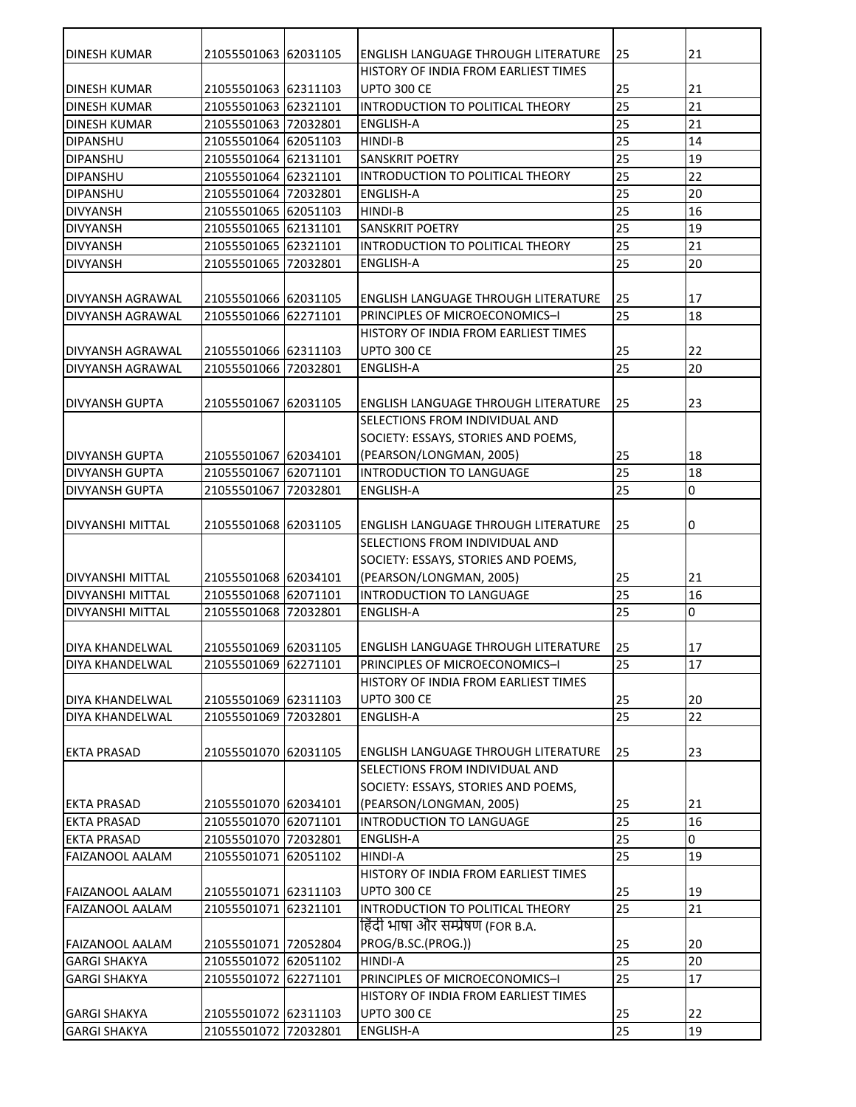| 25<br><b>DINESH KUMAR</b><br>21055501063 62031105<br>ENGLISH LANGUAGE THROUGH LITERATURE             | 21 |
|------------------------------------------------------------------------------------------------------|----|
| HISTORY OF INDIA FROM EARLIEST TIMES                                                                 |    |
| <b>UPTO 300 CE</b><br>25<br><b>DINESH KUMAR</b><br>21055501063 62311103                              | 21 |
| 25<br>21055501063 62321101<br>INTRODUCTION TO POLITICAL THEORY<br><b>DINESH KUMAR</b>                | 21 |
| 25<br><b>DINESH KUMAR</b><br>21055501063 72032801<br><b>ENGLISH-A</b>                                | 21 |
| 25<br>21055501064 62051103<br><b>DIPANSHU</b><br>HINDI-B                                             | 14 |
| 25<br>21055501064 62131101<br><b>SANSKRIT POETRY</b><br><b>DIPANSHU</b>                              | 19 |
| 25<br><b>DIPANSHU</b><br>21055501064 62321101<br>INTRODUCTION TO POLITICAL THEORY                    | 22 |
| 25<br>21055501064 72032801<br><b>DIPANSHU</b><br><b>ENGLISH-A</b>                                    | 20 |
| 25<br>21055501065 62051103<br><b>HINDI-B</b><br><b>DIVYANSH</b>                                      | 16 |
| 25<br><b>SANSKRIT POETRY</b><br><b>DIVYANSH</b><br>21055501065 62131101                              | 19 |
| 25<br>21055501065 62321101<br><b>DIVYANSH</b><br>INTRODUCTION TO POLITICAL THEORY                    | 21 |
| 25<br><b>DIVYANSH</b><br>21055501065 72032801<br><b>ENGLISH-A</b>                                    | 20 |
|                                                                                                      |    |
| 21055501066 62031105<br>25<br><b>DIVYANSH AGRAWAL</b><br>ENGLISH LANGUAGE THROUGH LITERATURE         | 17 |
| 25<br><b>DIVYANSH AGRAWAL</b><br>21055501066 62271101<br>PRINCIPLES OF MICROECONOMICS-I              | 18 |
| HISTORY OF INDIA FROM EARLIEST TIMES                                                                 |    |
| <b>UPTO 300 CE</b><br><b>DIVYANSH AGRAWAL</b><br>21055501066 62311103<br>25                          | 22 |
| 25<br><b>DIVYANSH AGRAWAL</b><br>21055501066 72032801<br><b>ENGLISH-A</b>                            | 20 |
|                                                                                                      |    |
| <b>ENGLISH LANGUAGE THROUGH LITERATURE</b><br>25<br><b>DIVYANSH GUPTA</b><br>21055501067<br>62031105 | 23 |
| SELECTIONS FROM INDIVIDUAL AND                                                                       |    |
| SOCIETY: ESSAYS, STORIES AND POEMS,                                                                  |    |
| <b>DIVYANSH GUPTA</b><br>21055501067 62034101<br>(PEARSON/LONGMAN, 2005)<br>25                       | 18 |
| 25<br>INTRODUCTION TO LANGUAGE<br><b>DIVYANSH GUPTA</b><br>21055501067<br>62071101                   | 18 |
| 25<br><b>DIVYANSH GUPTA</b><br>21055501067<br>72032801<br><b>ENGLISH-A</b>                           | O  |
|                                                                                                      |    |
| ENGLISH LANGUAGE THROUGH LITERATURE<br>25<br>DIVYANSHI MITTAL<br>21055501068 62031105                | 0  |
| SELECTIONS FROM INDIVIDUAL AND                                                                       |    |
|                                                                                                      |    |
| SOCIETY: ESSAYS, STORIES AND POEMS,                                                                  |    |
| <b>DIVYANSHI MITTAL</b><br>21055501068 62034101<br>(PEARSON/LONGMAN, 2005)<br>25                     | 21 |
| INTRODUCTION TO LANGUAGE<br>25<br>21055501068 62071101<br><b>DIVYANSHI MITTAL</b>                    | 16 |
| 25<br>21055501068 72032801<br><b>DIVYANSHI MITTAL</b><br><b>ENGLISH-A</b>                            | 0  |
|                                                                                                      |    |
| 21055501069 62031105<br><b>ENGLISH LANGUAGE THROUGH LITERATURE</b><br>25<br>IDIYA KHANDELWAL         | 17 |
| DIYA KHANDELWAL<br>21055501069 62271101<br>PRINCIPLES OF MICROECONOMICS-I<br>25                      | 17 |
| HISTORY OF INDIA FROM EARLIEST TIMES                                                                 |    |
| 21055501069 62311103<br>25<br>DIYA KHANDELWAL<br><b>UPTO 300 CE</b>                                  | 20 |
| 25<br><b>ENGLISH-A</b><br><b>DIYA KHANDELWAL</b><br>21055501069 72032801                             | 22 |
|                                                                                                      |    |
| <b>EKTA PRASAD</b><br>21055501070 62031105<br>25<br><b>ENGLISH LANGUAGE THROUGH LITERATURE</b>       | 23 |
| SELECTIONS FROM INDIVIDUAL AND                                                                       |    |
| SOCIETY: ESSAYS, STORIES AND POEMS,                                                                  |    |
| (PEARSON/LONGMAN, 2005)<br><b>EKTA PRASAD</b><br>21055501070 62034101<br>25                          | 21 |
| 25<br><b>EKTA PRASAD</b><br>21055501070 62071101<br>INTRODUCTION TO LANGUAGE                         | 16 |
| 25<br><b>EKTA PRASAD</b><br>21055501070 72032801<br><b>ENGLISH-A</b>                                 | 0  |
| 25<br>21055501071 62051102<br><b>FAIZANOOL AALAM</b><br><b>HINDI-A</b>                               | 19 |
| HISTORY OF INDIA FROM EARLIEST TIMES                                                                 |    |
| 21055501071 62311103<br>25<br><b>FAIZANOOL AALAM</b><br><b>UPTO 300 CE</b>                           | 19 |
| INTRODUCTION TO POLITICAL THEORY<br>25<br>21055501071 62321101<br><b>FAIZANOOL AALAM</b>             | 21 |
| हिंदी भाषा और सम्प्रेषण (FOR B.A.                                                                    |    |
| PROG/B.SC.(PROG.))<br><b>FAIZANOOL AALAM</b><br>21055501071 72052804<br>25                           | 20 |
| 25<br>21055501072 62051102<br><b>HINDI-A</b><br><b>GARGI SHAKYA</b>                                  | 20 |
| 25<br><b>GARGI SHAKYA</b><br>21055501072 62271101<br>PRINCIPLES OF MICROECONOMICS-I                  | 17 |
| HISTORY OF INDIA FROM EARLIEST TIMES                                                                 |    |
| <b>UPTO 300 CE</b><br><b>GARGI SHAKYA</b><br>21055501072 62311103<br>25                              | 22 |
| 25<br><b>GARGI SHAKYA</b><br>21055501072 72032801<br><b>ENGLISH-A</b>                                | 19 |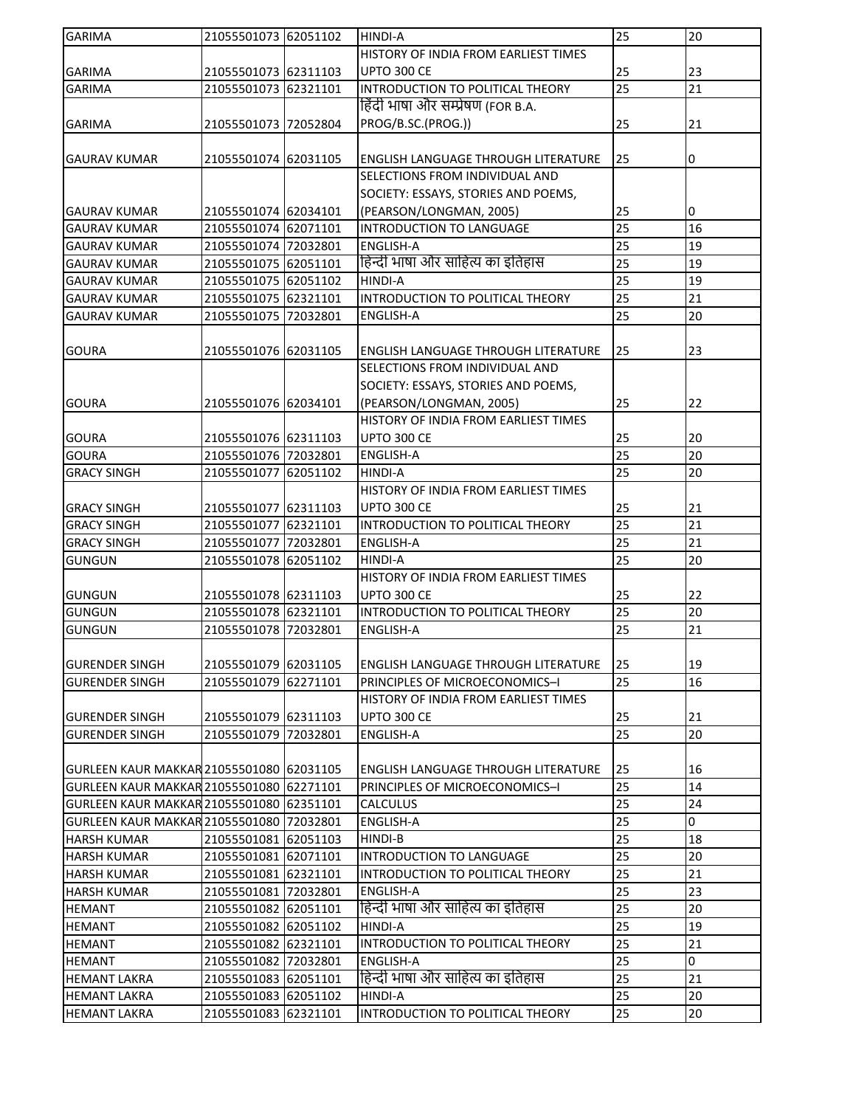| <b>GARIMA</b>                            | 21055501073 62051102 |          | HINDI-A                                    | 25 | 20 |
|------------------------------------------|----------------------|----------|--------------------------------------------|----|----|
|                                          |                      |          | HISTORY OF INDIA FROM EARLIEST TIMES       |    |    |
| <b>GARIMA</b>                            | 21055501073 62311103 |          | UPTO 300 CE                                | 25 | 23 |
| <b>GARIMA</b>                            | 21055501073 62321101 |          | INTRODUCTION TO POLITICAL THEORY           | 25 | 21 |
|                                          |                      |          | हिंदी भाषा और सम्प्रेषण (FOR B.A.          |    |    |
| <b>GARIMA</b>                            | 21055501073 72052804 |          | PROG/B.SC.(PROG.))                         | 25 | 21 |
|                                          |                      |          |                                            |    |    |
| <b>GAURAV KUMAR</b>                      | 21055501074 62031105 |          | ENGLISH LANGUAGE THROUGH LITERATURE        | 25 | 0  |
|                                          |                      |          | SELECTIONS FROM INDIVIDUAL AND             |    |    |
|                                          |                      |          | SOCIETY: ESSAYS, STORIES AND POEMS,        |    |    |
| <b>GAURAV KUMAR</b>                      | 21055501074 62034101 |          | (PEARSON/LONGMAN, 2005)                    | 25 | 0  |
| <b>GAURAV KUMAR</b>                      | 21055501074 62071101 |          | INTRODUCTION TO LANGUAGE                   | 25 | 16 |
| <b>GAURAV KUMAR</b>                      | 21055501074 72032801 |          | <b>ENGLISH-A</b>                           | 25 | 19 |
| <b>GAURAV KUMAR</b>                      | 21055501075 62051101 |          | हिन्दी भाषा और साहित्य का इतिहास           | 25 | 19 |
| <b>GAURAV KUMAR</b>                      | 21055501075 62051102 |          | <b>HINDI-A</b>                             | 25 | 19 |
| <b>GAURAV KUMAR</b>                      | 21055501075 62321101 |          | INTRODUCTION TO POLITICAL THEORY           | 25 | 21 |
| <b>GAURAV KUMAR</b>                      | 21055501075 72032801 |          | <b>ENGLISH-A</b>                           | 25 | 20 |
|                                          |                      |          |                                            |    |    |
|                                          |                      |          | ENGLISH LANGUAGE THROUGH LITERATURE        |    |    |
| <b>GOURA</b>                             | 21055501076 62031105 |          |                                            | 25 | 23 |
|                                          |                      |          | SELECTIONS FROM INDIVIDUAL AND             |    |    |
|                                          |                      |          | SOCIETY: ESSAYS, STORIES AND POEMS,        |    |    |
| <b>GOURA</b>                             | 21055501076 62034101 |          | (PEARSON/LONGMAN, 2005)                    | 25 | 22 |
|                                          |                      |          | HISTORY OF INDIA FROM EARLIEST TIMES       |    |    |
| <b>GOURA</b>                             | 21055501076 62311103 |          | <b>UPTO 300 CE</b>                         | 25 | 20 |
| <b>GOURA</b>                             | 21055501076 72032801 |          | <b>ENGLISH-A</b>                           | 25 | 20 |
| <b>GRACY SINGH</b>                       | 21055501077          | 62051102 | HINDI-A                                    | 25 | 20 |
|                                          |                      |          | HISTORY OF INDIA FROM EARLIEST TIMES       |    |    |
| <b>GRACY SINGH</b>                       | 21055501077 62311103 |          | <b>UPTO 300 CE</b>                         | 25 | 21 |
| <b>GRACY SINGH</b>                       | 21055501077 62321101 |          | INTRODUCTION TO POLITICAL THEORY           | 25 | 21 |
| <b>GRACY SINGH</b>                       | 21055501077 72032801 |          | <b>ENGLISH-A</b>                           | 25 | 21 |
| <b>GUNGUN</b>                            | 21055501078 62051102 |          | HINDI-A                                    | 25 | 20 |
|                                          |                      |          | HISTORY OF INDIA FROM EARLIEST TIMES       |    |    |
| <b>GUNGUN</b>                            | 21055501078 62311103 |          | <b>UPTO 300 CE</b>                         | 25 | 22 |
| <b>GUNGUN</b>                            | 21055501078 62321101 |          | INTRODUCTION TO POLITICAL THEORY           | 25 | 20 |
| <b>GUNGUN</b>                            | 21055501078 72032801 |          | ENGLISH-A                                  | 25 | 21 |
|                                          |                      |          |                                            |    |    |
| <b>GURENDER SINGH</b>                    | 21055501079 62031105 |          | <b>ENGLISH LANGUAGE THROUGH LITERATURE</b> | 25 | 19 |
| <b>GURENDER SINGH</b>                    | 21055501079 62271101 |          | PRINCIPLES OF MICROECONOMICS-I             | 25 | 16 |
|                                          |                      |          | HISTORY OF INDIA FROM EARLIEST TIMES       |    |    |
| <b>GURENDER SINGH</b>                    | 21055501079 62311103 |          | <b>UPTO 300 CE</b>                         | 25 | 21 |
| <b>GURENDER SINGH</b>                    | 21055501079 72032801 |          | ENGLISH-A                                  | 25 | 20 |
|                                          |                      |          |                                            |    |    |
| GURLEEN KAUR MAKKAR 21055501080 62031105 |                      |          | <b>ENGLISH LANGUAGE THROUGH LITERATURE</b> | 25 | 16 |
| GURLEEN KAUR MAKKAR 21055501080          |                      | 62271101 | PRINCIPLES OF MICROECONOMICS-I             | 25 | 14 |
| GURLEEN KAUR MAKKAR 21055501080 62351101 |                      |          | <b>CALCULUS</b>                            | 25 | 24 |
| GURLEEN KAUR MAKKAR 21055501080 72032801 |                      |          | <b>ENGLISH-A</b>                           | 25 | 0  |
| <b>HARSH KUMAR</b>                       | 21055501081          | 62051103 | <b>HINDI-B</b>                             | 25 | 18 |
| <b>HARSH KUMAR</b>                       | 21055501081 62071101 |          | INTRODUCTION TO LANGUAGE                   | 25 | 20 |
| <b>HARSH KUMAR</b>                       | 21055501081          | 62321101 | INTRODUCTION TO POLITICAL THEORY           | 25 | 21 |
| <b>HARSH KUMAR</b>                       | 21055501081          | 72032801 | <b>ENGLISH-A</b>                           | 25 | 23 |
| <b>HEMANT</b>                            | 21055501082          | 62051101 | हिन्दी भाषा और साहित्य का इतिहास           | 25 | 20 |
| <b>HEMANT</b>                            | 21055501082          | 62051102 | <b>HINDI-A</b>                             | 25 | 19 |
| <b>HEMANT</b>                            | 21055501082          | 62321101 | INTRODUCTION TO POLITICAL THEORY           | 25 | 21 |
| <b>HEMANT</b>                            | 21055501082          | 72032801 | <b>ENGLISH-A</b>                           | 25 | 0  |
| <b>HEMANT LAKRA</b>                      | 21055501083 62051101 |          | हिन्दी भाषा और साहित्य का इतिहास           | 25 | 21 |
| <b>HEMANT LAKRA</b>                      | 21055501083          | 62051102 | HINDI-A                                    | 25 | 20 |
| <b>HEMANT LAKRA</b>                      | 21055501083 62321101 |          | INTRODUCTION TO POLITICAL THEORY           | 25 | 20 |
|                                          |                      |          |                                            |    |    |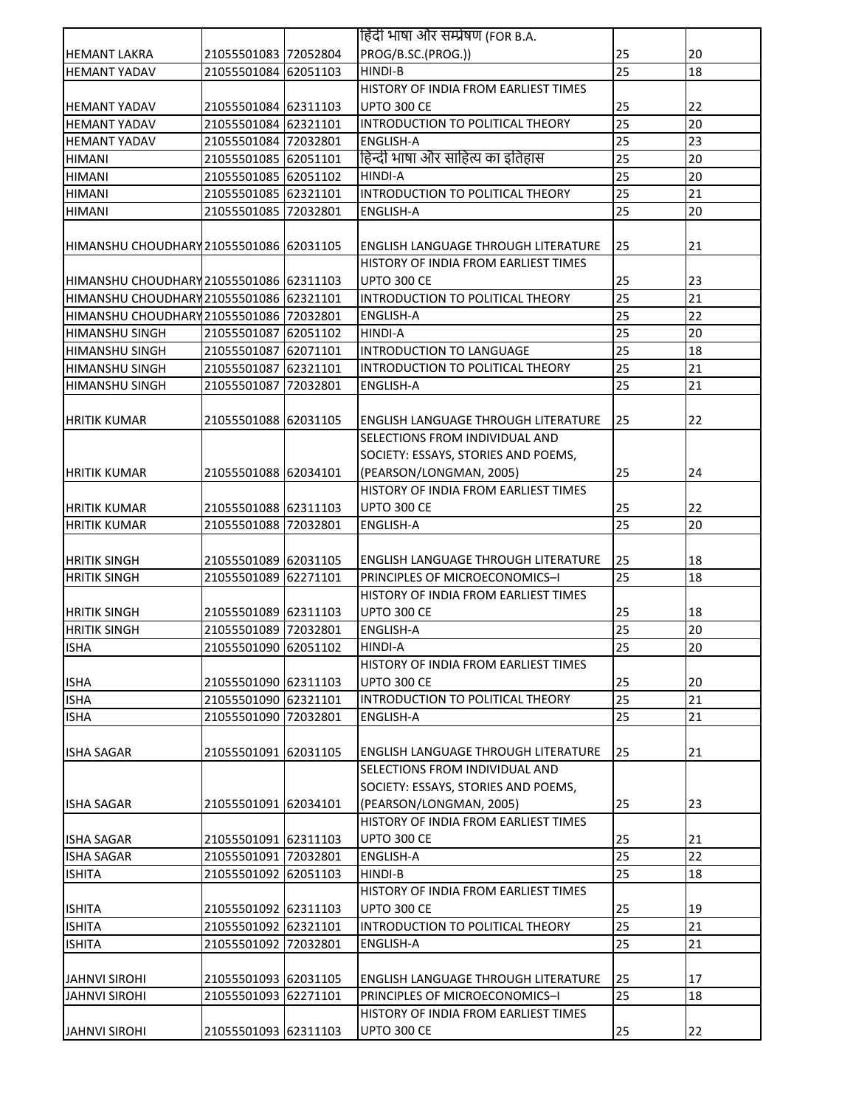|                                         |                                              | हिंदी भाषा और सम्प्रेषण (FOR B.A.                                            |          |          |
|-----------------------------------------|----------------------------------------------|------------------------------------------------------------------------------|----------|----------|
| <b>HEMANT LAKRA</b>                     | 21055501083 72052804                         | PROG/B.SC.(PROG.))                                                           | 25       | 20       |
| <b>HEMANT YADAV</b>                     | 21055501084 62051103                         | HINDI-B                                                                      | 25       | 18       |
|                                         |                                              | HISTORY OF INDIA FROM EARLIEST TIMES                                         |          |          |
| <b>HEMANT YADAV</b>                     | 21055501084 62311103                         | UPTO 300 CE                                                                  | 25       | 22       |
| <b>HEMANT YADAV</b>                     | 21055501084 62321101                         | INTRODUCTION TO POLITICAL THEORY                                             | 25       | 20       |
| <b>HEMANT YADAV</b>                     | 21055501084 72032801                         | <b>ENGLISH-A</b>                                                             | 25       | 23       |
| <b>HIMANI</b>                           | 21055501085 62051101                         | हिन्दी भाषा और साहित्य का इतिहास                                             | 25       | 20       |
| <b>HIMANI</b>                           | 21055501085 62051102                         | HINDI-A                                                                      | 25       | 20       |
| <b>HIMANI</b>                           | 21055501085 62321101                         | INTRODUCTION TO POLITICAL THEORY                                             | 25       | 21       |
| <b>HIMANI</b>                           | 21055501085 72032801                         | <b>ENGLISH-A</b>                                                             | 25       | 20       |
|                                         |                                              |                                                                              |          |          |
| HIMANSHU CHOUDHARY 21055501086 62031105 |                                              | <b>ENGLISH LANGUAGE THROUGH LITERATURE</b>                                   | 25       | 21       |
|                                         |                                              | HISTORY OF INDIA FROM EARLIEST TIMES                                         |          |          |
| HIMANSHU CHOUDHARY 21055501086 62311103 |                                              | <b>UPTO 300 CE</b>                                                           | 25       | 23       |
| HIMANSHU CHOUDHARY 21055501086 62321101 |                                              | INTRODUCTION TO POLITICAL THEORY                                             | 25       | 21       |
| HIMANSHU CHOUDHARY 21055501086 72032801 |                                              | <b>ENGLISH-A</b>                                                             | 25       | 22       |
| <b>HIMANSHU SINGH</b>                   | 21055501087 62051102                         | <b>HINDI-A</b>                                                               | 25       | 20       |
| <b>HIMANSHU SINGH</b>                   | 21055501087 62071101                         | INTRODUCTION TO LANGUAGE                                                     | 25       | 18       |
| <b>HIMANSHU SINGH</b>                   | 21055501087 62321101                         | INTRODUCTION TO POLITICAL THEORY                                             | 25       | 21       |
| <b>HIMANSHU SINGH</b>                   | 21055501087 72032801                         | <b>ENGLISH-A</b>                                                             | 25       | 21       |
|                                         |                                              |                                                                              |          |          |
| <b>HRITIK KUMAR</b>                     | 21055501088 62031105                         | <b>ENGLISH LANGUAGE THROUGH LITERATURE</b>                                   | 25       | 22       |
|                                         |                                              | SELECTIONS FROM INDIVIDUAL AND                                               |          |          |
|                                         |                                              | SOCIETY: ESSAYS, STORIES AND POEMS,                                          |          |          |
| <b>HRITIK KUMAR</b>                     | 21055501088 62034101                         | (PEARSON/LONGMAN, 2005)                                                      | 25       | 24       |
|                                         |                                              | HISTORY OF INDIA FROM EARLIEST TIMES                                         |          |          |
| <b>HRITIK KUMAR</b>                     | 21055501088 62311103                         | <b>UPTO 300 CE</b>                                                           | 25       | 22       |
| <b>HRITIK KUMAR</b>                     | 21055501088 72032801                         | <b>ENGLISH-A</b>                                                             | 25       | 20       |
|                                         |                                              |                                                                              |          |          |
| <b>HRITIK SINGH</b>                     | 21055501089 62031105                         | <b>ENGLISH LANGUAGE THROUGH LITERATURE</b>                                   | 25       | 18       |
| <b>HRITIK SINGH</b>                     | 21055501089 62271101                         | PRINCIPLES OF MICROECONOMICS-I                                               | 25       | 18       |
|                                         |                                              | HISTORY OF INDIA FROM EARLIEST TIMES                                         |          |          |
| <b>HRITIK SINGH</b>                     | 21055501089 62311103                         | <b>UPTO 300 CE</b>                                                           | 25       | 18       |
| <b>HRITIK SINGH</b>                     | 21055501089 72032801                         | <b>ENGLISH-A</b>                                                             | 25       | 20       |
| <b>ISHA</b>                             | 21055501090 62051102                         | <b>HINDI-A</b>                                                               | 25       | 20       |
|                                         |                                              | HISTORY OF INDIA FROM EARLIEST TIMES                                         |          |          |
| <b>ISHA</b>                             | 21055501090 62311103                         | <b>UPTO 300 CE</b>                                                           | 25       | 20       |
| <b>ISHA</b>                             | 21055501090 62321101                         | INTRODUCTION TO POLITICAL THEORY                                             | 25       | 21       |
| <b>ISHA</b>                             | 21055501090 72032801                         | ENGLISH-A                                                                    | 25       | 21       |
|                                         |                                              |                                                                              |          |          |
| <b>ISHA SAGAR</b>                       | 21055501091 62031105                         | <b>ENGLISH LANGUAGE THROUGH LITERATURE</b>                                   | 25       | 21       |
|                                         |                                              | SELECTIONS FROM INDIVIDUAL AND                                               |          |          |
|                                         |                                              | SOCIETY: ESSAYS, STORIES AND POEMS,                                          |          |          |
| <b>ISHA SAGAR</b>                       | 21055501091 62034101                         | (PEARSON/LONGMAN, 2005)                                                      | 25       | 23       |
|                                         |                                              | HISTORY OF INDIA FROM EARLIEST TIMES                                         |          |          |
| <b>ISHA SAGAR</b>                       | 21055501091 62311103                         | UPTO 300 CE                                                                  | 25<br>25 | 21       |
| <b>ISHA SAGAR</b>                       | 21055501091 72032801                         | <b>ENGLISH-A</b>                                                             | 25       | 22       |
| <b>ISHITA</b>                           | 21055501092 62051103                         | <b>HINDI-B</b>                                                               |          | 18       |
|                                         |                                              | HISTORY OF INDIA FROM EARLIEST TIMES                                         |          |          |
| <b>ISHITA</b>                           | 21055501092 62311103<br>21055501092 62321101 | UPTO 300 CE<br>INTRODUCTION TO POLITICAL THEORY                              | 25<br>25 | 19<br>21 |
| <b>ISHITA</b><br><b>ISHITA</b>          | 21055501092 72032801                         | <b>ENGLISH-A</b>                                                             | 25       | 21       |
|                                         |                                              |                                                                              |          |          |
| <b>JAHNVI SIROHI</b>                    | 21055501093 62031105                         |                                                                              | 25       | 17       |
| <b>JAHNVI SIROHI</b>                    | 21055501093 62271101                         | <b>ENGLISH LANGUAGE THROUGH LITERATURE</b><br>PRINCIPLES OF MICROECONOMICS-I | 25       | 18       |
|                                         |                                              | HISTORY OF INDIA FROM EARLIEST TIMES                                         |          |          |
| <b>JAHNVI SIROHI</b>                    | 21055501093 62311103                         | UPTO 300 CE                                                                  | 25       | 22       |
|                                         |                                              |                                                                              |          |          |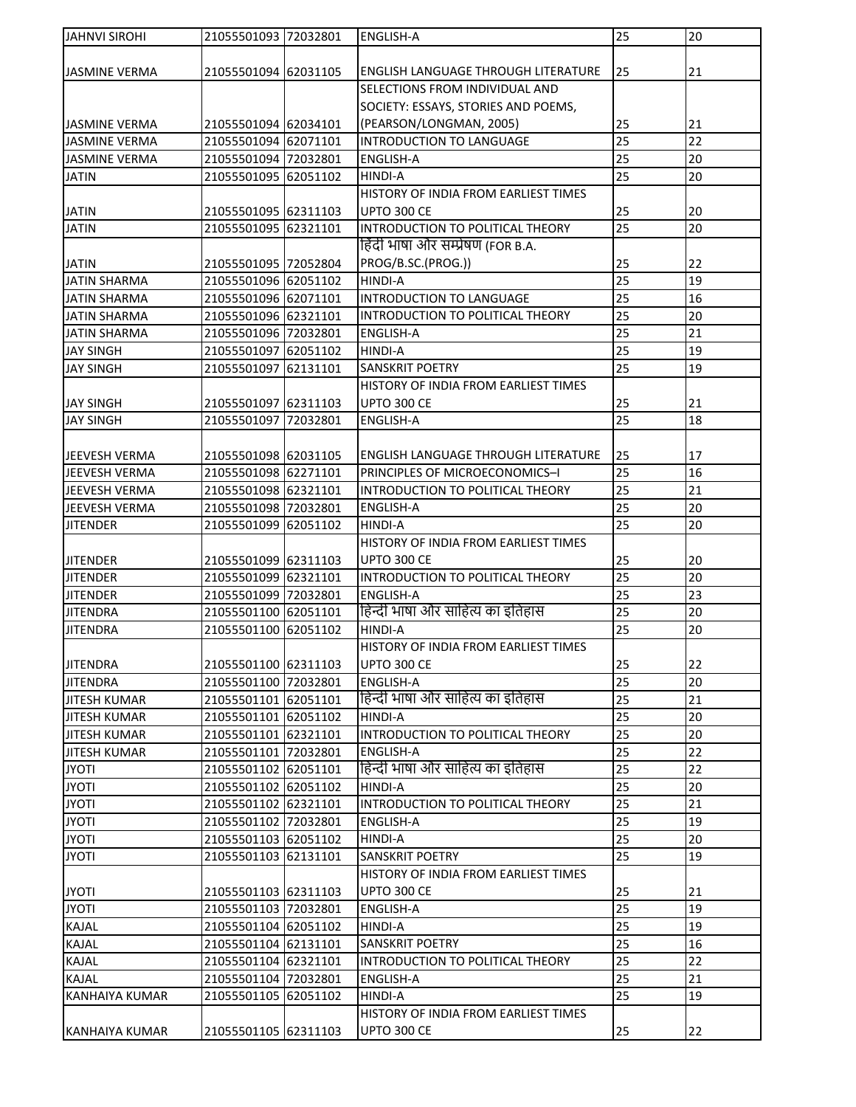| <b>JAHNVI SIROHI</b>  | 21055501093 72032801 | <b>ENGLISH-A</b>                           | 25              | 20 |
|-----------------------|----------------------|--------------------------------------------|-----------------|----|
|                       |                      |                                            |                 |    |
| <b>JASMINE VERMA</b>  | 21055501094 62031105 | <b>ENGLISH LANGUAGE THROUGH LITERATURE</b> | 25              | 21 |
|                       |                      | SELECTIONS FROM INDIVIDUAL AND             |                 |    |
|                       |                      | SOCIETY: ESSAYS, STORIES AND POEMS,        |                 |    |
| <b>JASMINE VERMA</b>  | 21055501094 62034101 | (PEARSON/LONGMAN, 2005)                    | 25              | 21 |
| <b>JASMINE VERMA</b>  | 21055501094 62071101 | INTRODUCTION TO LANGUAGE                   | 25              | 22 |
| <b>JASMINE VERMA</b>  | 21055501094 72032801 | <b>ENGLISH-A</b>                           | 25              | 20 |
| <b>JATIN</b>          | 21055501095 62051102 | <b>HINDI-A</b>                             | 25              | 20 |
|                       |                      | HISTORY OF INDIA FROM EARLIEST TIMES       |                 |    |
| <b>JATIN</b>          | 21055501095 62311103 | UPTO 300 CE                                | 25              | 20 |
| <b>JATIN</b>          | 21055501095 62321101 | INTRODUCTION TO POLITICAL THEORY           | 25              | 20 |
|                       |                      | हिंदी भाषा और सम्प्रेषण (FOR B.A.          |                 |    |
|                       |                      |                                            |                 |    |
| <b>JATIN</b>          | 21055501095 72052804 | PROG/B.SC.(PROG.))                         | 25              | 22 |
| <b>JATIN SHARMA</b>   | 21055501096 62051102 | HINDI-A                                    | 25              | 19 |
| <b>JATIN SHARMA</b>   | 21055501096 62071101 | INTRODUCTION TO LANGUAGE                   | 25              | 16 |
| <b>JATIN SHARMA</b>   | 21055501096 62321101 | INTRODUCTION TO POLITICAL THEORY           | $\overline{25}$ | 20 |
| <b>JATIN SHARMA</b>   | 21055501096 72032801 | <b>ENGLISH-A</b>                           | 25              | 21 |
| <b>JAY SINGH</b>      | 21055501097 62051102 | <b>HINDI-A</b>                             | 25              | 19 |
| <b>JAY SINGH</b>      | 21055501097 62131101 | SANSKRIT POETRY                            | 25              | 19 |
|                       |                      | HISTORY OF INDIA FROM EARLIEST TIMES       |                 |    |
| <b>JAY SINGH</b>      | 21055501097 62311103 | <b>UPTO 300 CE</b>                         | 25              | 21 |
| <b>JAY SINGH</b>      | 21055501097 72032801 | <b>ENGLISH-A</b>                           | 25              | 18 |
|                       |                      |                                            |                 |    |
| JEEVESH VERMA         | 21055501098 62031105 | ENGLISH LANGUAGE THROUGH LITERATURE        | 25              | 17 |
| JEEVESH VERMA         | 21055501098 62271101 | PRINCIPLES OF MICROECONOMICS-I             | 25              | 16 |
| JEEVESH VERMA         | 21055501098 62321101 | INTRODUCTION TO POLITICAL THEORY           | 25              | 21 |
| JEEVESH VERMA         | 21055501098 72032801 | <b>ENGLISH-A</b>                           | 25              | 20 |
| <b>JITENDER</b>       | 21055501099 62051102 | HINDI-A                                    | 25              | 20 |
|                       |                      | HISTORY OF INDIA FROM EARLIEST TIMES       |                 |    |
| <b>JITENDER</b>       | 21055501099 62311103 | <b>UPTO 300 CE</b>                         | 25              | 20 |
| <b>JITENDER</b>       | 21055501099 62321101 | INTRODUCTION TO POLITICAL THEORY           | 25              | 20 |
| <b>JITENDER</b>       | 21055501099 72032801 | <b>ENGLISH-A</b>                           | 25              | 23 |
| <b>JITENDRA</b>       | 21055501100 62051101 | हिन्दी भाषा और साहित्य का इतिहास           | 25              | 20 |
| <b>JITENDRA</b>       | 21055501100 62051102 | <b>HINDI-A</b>                             | 25              | 20 |
|                       |                      | HISTORY OF INDIA FROM EARLIEST TIMES       |                 |    |
| <b>JITENDRA</b>       | 21055501100 62311103 | UPTO 300 CE                                | 25              | 22 |
| <b>JITENDRA</b>       | 21055501100 72032801 | <b>ENGLISH-A</b>                           | 25              | 20 |
| <b>JITESH KUMAR</b>   | 21055501101 62051101 | हिन्दी भाषा और साहित्य का इतिहास           | 25              | 21 |
| <b>JITESH KUMAR</b>   | 21055501101 62051102 | <b>HINDI-A</b>                             | 25              | 20 |
| <b>JITESH KUMAR</b>   | 21055501101 62321101 | INTRODUCTION TO POLITICAL THEORY           | 25              | 20 |
| <b>JITESH KUMAR</b>   | 21055501101 72032801 | <b>ENGLISH-A</b>                           | 25              | 22 |
| <b>JYOTI</b>          | 21055501102 62051101 | हिन्दी भाषा और साहित्य का इतिहास           | 25              | 22 |
| <b>JYOTI</b>          | 21055501102 62051102 | <b>HINDI-A</b>                             | 25              | 20 |
| <b>JYOTI</b>          | 21055501102 62321101 | INTRODUCTION TO POLITICAL THEORY           | 25              | 21 |
| <b>JYOTI</b>          | 21055501102 72032801 | ENGLISH-A                                  | 25              | 19 |
| <b>JYOTI</b>          | 21055501103 62051102 | <b>HINDI-A</b>                             | 25              | 20 |
| <b>JYOTI</b>          | 21055501103 62131101 | SANSKRIT POETRY                            | 25              | 19 |
|                       |                      | HISTORY OF INDIA FROM EARLIEST TIMES       |                 |    |
| <b>JYOTI</b>          | 21055501103 62311103 | <b>UPTO 300 CE</b>                         | 25              | 21 |
| <b>JYOTI</b>          | 21055501103 72032801 | <b>ENGLISH-A</b>                           | 25              | 19 |
| KAJAL                 | 21055501104 62051102 | HINDI-A                                    | 25              | 19 |
| KAJAL                 | 21055501104 62131101 | SANSKRIT POETRY                            | 25              | 16 |
| KAJAL                 | 21055501104 62321101 | INTRODUCTION TO POLITICAL THEORY           | 25              | 22 |
| KAJAL                 | 21055501104 72032801 | <b>ENGLISH-A</b>                           | 25              | 21 |
| <b>KANHAIYA KUMAR</b> | 21055501105 62051102 | HINDI-A                                    | 25              | 19 |
|                       |                      | HISTORY OF INDIA FROM EARLIEST TIMES       |                 |    |
| <b>KANHAIYA KUMAR</b> | 21055501105 62311103 | UPTO 300 CE                                | 25              | 22 |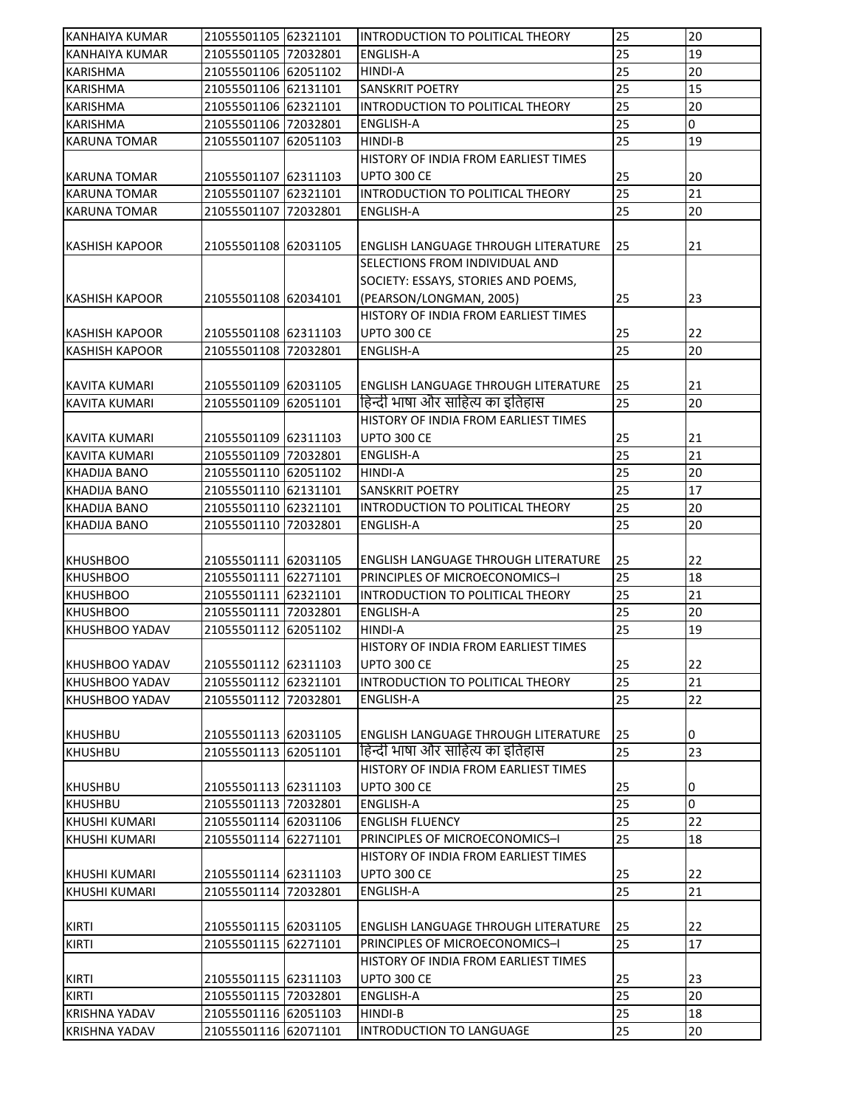| <b>KANHAIYA KUMAR</b> | 21055501105 62321101 | INTRODUCTION TO POLITICAL THEORY           | 25              | 20             |
|-----------------------|----------------------|--------------------------------------------|-----------------|----------------|
| KANHAIYA KUMAR        | 21055501105 72032801 | <b>ENGLISH-A</b>                           | 25              | 19             |
| <b>KARISHMA</b>       | 21055501106 62051102 | <b>HINDI-A</b>                             | 25              | 20             |
| <b>KARISHMA</b>       | 21055501106 62131101 | SANSKRIT POETRY                            | 25              | 15             |
| <b>KARISHMA</b>       | 21055501106 62321101 | INTRODUCTION TO POLITICAL THEORY           | 25              | 20             |
| <b>KARISHMA</b>       | 21055501106 72032801 | <b>ENGLISH-A</b>                           | 25              | $\overline{0}$ |
| <b>KARUNA TOMAR</b>   | 21055501107 62051103 | HINDI-B                                    | 25              | 19             |
|                       |                      | HISTORY OF INDIA FROM EARLIEST TIMES       |                 |                |
| <b>KARUNA TOMAR</b>   | 21055501107 62311103 | <b>UPTO 300 CE</b>                         | 25              | 20             |
| <b>KARUNA TOMAR</b>   | 21055501107 62321101 | INTRODUCTION TO POLITICAL THEORY           | 25              | 21             |
| <b>KARUNA TOMAR</b>   | 21055501107 72032801 | ENGLISH-A                                  | 25              | 20             |
|                       |                      |                                            |                 |                |
| <b>KASHISH KAPOOR</b> | 21055501108 62031105 | ENGLISH LANGUAGE THROUGH LITERATURE        | 25              | 21             |
|                       |                      | SELECTIONS FROM INDIVIDUAL AND             |                 |                |
|                       |                      | SOCIETY: ESSAYS, STORIES AND POEMS,        |                 |                |
| <b>KASHISH KAPOOR</b> | 21055501108 62034101 | (PEARSON/LONGMAN, 2005)                    | 25              | 23             |
|                       |                      | HISTORY OF INDIA FROM EARLIEST TIMES       |                 |                |
| <b>KASHISH KAPOOR</b> | 21055501108 62311103 | <b>UPTO 300 CE</b>                         | 25              | 22             |
| <b>KASHISH KAPOOR</b> | 21055501108 72032801 | <b>ENGLISH-A</b>                           | 25              | 20             |
|                       |                      |                                            |                 |                |
| <b>KAVITA KUMARI</b>  | 21055501109 62031105 | <b>ENGLISH LANGUAGE THROUGH LITERATURE</b> | 25              | 21             |
| <b>KAVITA KUMARI</b>  | 21055501109 62051101 | हिन्दी भाषा और साहित्य का इतिहास           | 25              | 20             |
|                       |                      | HISTORY OF INDIA FROM EARLIEST TIMES       |                 |                |
| <b>KAVITA KUMARI</b>  | 21055501109 62311103 | UPTO 300 CE                                | 25              | 21             |
| KAVITA KUMARI         | 21055501109 72032801 | <b>ENGLISH-A</b>                           | 25              | 21             |
| <b>KHADIJA BANO</b>   | 21055501110 62051102 | HINDI-A                                    | 25              | 20             |
| <b>KHADIJA BANO</b>   | 21055501110 62131101 | <b>SANSKRIT POETRY</b>                     | 25              | 17             |
| <b>KHADIJA BANO</b>   | 21055501110 62321101 | INTRODUCTION TO POLITICAL THEORY           | 25              | 20             |
| KHADIJA BANO          | 21055501110 72032801 | <b>ENGLISH-A</b>                           | 25              | 20             |
|                       |                      |                                            |                 |                |
| <b>KHUSHBOO</b>       | 21055501111 62031105 | ENGLISH LANGUAGE THROUGH LITERATURE        | 25              | 22             |
| <b>KHUSHBOO</b>       | 21055501111 62271101 | PRINCIPLES OF MICROECONOMICS-I             | 25              | 18             |
| <b>KHUSHBOO</b>       | 21055501111 62321101 | INTRODUCTION TO POLITICAL THEORY           | 25              | 21             |
| <b>KHUSHBOO</b>       | 21055501111 72032801 | <b>ENGLISH-A</b>                           | 25              | 20             |
| KHUSHBOO YADAV        | 21055501112 62051102 | <b>HINDI-A</b>                             | 25              | 19             |
|                       |                      | HISTORY OF INDIA FROM EARLIEST TIMES       |                 |                |
| KHUSHBOO YADAV        | 21055501112 62311103 | UPTO 300 CE                                | 25              | 22             |
| <b>KHUSHBOO YADAV</b> | 21055501112 62321101 | INTRODUCTION TO POLITICAL THEORY           | 25              | 21             |
| KHUSHBOO YADAV        | 21055501112 72032801 | <b>ENGLISH-A</b>                           | $\overline{25}$ | 22             |
|                       |                      |                                            |                 |                |
| <b>KHUSHBU</b>        | 21055501113 62031105 | <b>ENGLISH LANGUAGE THROUGH LITERATURE</b> | 25              | 0              |
| <b>KHUSHBU</b>        | 21055501113 62051101 | हिन्दी भाषा और साहित्य का इतिहास           | 25              | 23             |
|                       |                      | HISTORY OF INDIA FROM EARLIEST TIMES       |                 |                |
| <b>KHUSHBU</b>        | 21055501113 62311103 | <b>UPTO 300 CE</b>                         | 25              | 0              |
| <b>KHUSHBU</b>        | 21055501113 72032801 | <b>ENGLISH-A</b>                           | 25              | $\overline{0}$ |
| <b>KHUSHI KUMARI</b>  | 21055501114 62031106 | <b>ENGLISH FLUENCY</b>                     | 25              | 22             |
| <b>KHUSHI KUMARI</b>  | 21055501114 62271101 | PRINCIPLES OF MICROECONOMICS-I             | 25              | 18             |
|                       |                      | HISTORY OF INDIA FROM EARLIEST TIMES       |                 |                |
| <b>KHUSHI KUMARI</b>  | 21055501114 62311103 | <b>UPTO 300 CE</b>                         | 25              | 22             |
| KHUSHI KUMARI         | 21055501114 72032801 | ENGLISH-A                                  | 25              | 21             |
|                       |                      |                                            |                 |                |
| <b>KIRTI</b>          | 21055501115 62031105 | <b>ENGLISH LANGUAGE THROUGH LITERATURE</b> | 25              | 22             |
| <b>KIRTI</b>          | 21055501115 62271101 | PRINCIPLES OF MICROECONOMICS-I             | 25              | 17             |
|                       |                      | HISTORY OF INDIA FROM EARLIEST TIMES       |                 |                |
| <b>KIRTI</b>          | 21055501115 62311103 | <b>UPTO 300 CE</b>                         | 25              | 23             |
| <b>KIRTI</b>          | 21055501115 72032801 | <b>ENGLISH-A</b>                           | 25              | 20             |
| <b>KRISHNA YADAV</b>  | 21055501116 62051103 | HINDI-B                                    | 25              | 18             |
| <b>KRISHNA YADAV</b>  | 21055501116 62071101 | INTRODUCTION TO LANGUAGE                   | 25              | 20             |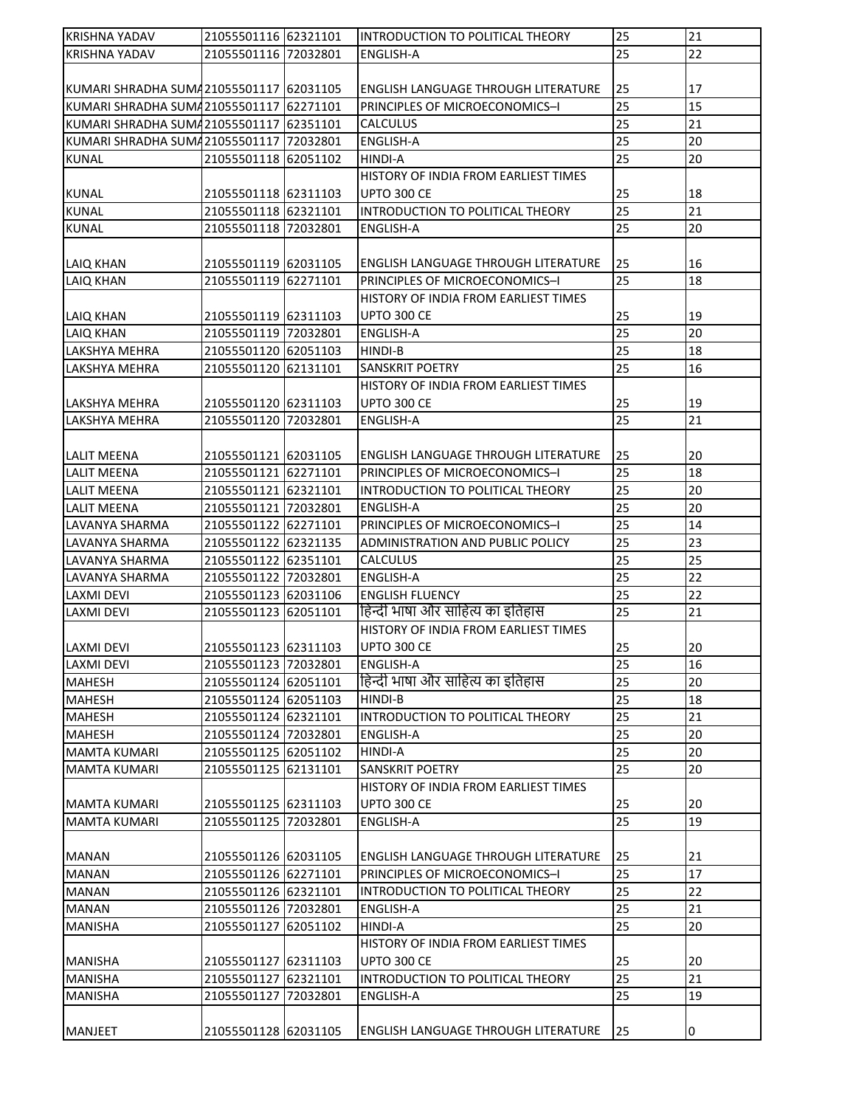| <b>KRISHNA YADAV</b>                    | 21055501116 62321101 |          | INTRODUCTION TO POLITICAL THEORY           | 25       | 21 |
|-----------------------------------------|----------------------|----------|--------------------------------------------|----------|----|
| KRISHNA YADAV                           | 21055501116 72032801 |          | ENGLISH-A                                  | 25       | 22 |
|                                         |                      |          |                                            |          |    |
| KUMARI SHRADHA SUMA21055501117 62031105 |                      |          | <b>ENGLISH LANGUAGE THROUGH LITERATURE</b> | 25       | 17 |
| KUMARI SHRADHA SUMA21055501117          |                      | 62271101 | PRINCIPLES OF MICROECONOMICS-I             | 25       | 15 |
| KUMARI SHRADHA SUMA 21055501117         |                      | 62351101 | <b>CALCULUS</b>                            | 25       | 21 |
| KUMARI SHRADHA SUMA21055501117          |                      | 72032801 | <b>ENGLISH-A</b>                           | 25       | 20 |
| <b>KUNAL</b>                            | 21055501118 62051102 |          | HINDI-A                                    | 25       | 20 |
|                                         |                      |          | HISTORY OF INDIA FROM EARLIEST TIMES       |          |    |
| <b>KUNAL</b>                            | 21055501118 62311103 |          | <b>UPTO 300 CE</b>                         | 25       | 18 |
| <b>KUNAL</b>                            | 21055501118 62321101 |          | INTRODUCTION TO POLITICAL THEORY           | 25       | 21 |
| <b>KUNAL</b>                            | 21055501118 72032801 |          | <b>ENGLISH-A</b>                           | 25       | 20 |
|                                         |                      |          |                                            |          |    |
| <b>LAIQ KHAN</b>                        | 21055501119 62031105 |          | <b>ENGLISH LANGUAGE THROUGH LITERATURE</b> | 25       | 16 |
| <b>LAIQ KHAN</b>                        | 21055501119 62271101 |          | PRINCIPLES OF MICROECONOMICS-I             | 25       | 18 |
|                                         |                      |          | HISTORY OF INDIA FROM EARLIEST TIMES       |          |    |
| <b>LAIQ KHAN</b>                        | 21055501119 62311103 |          | <b>UPTO 300 CE</b>                         | 25       | 19 |
| <b>LAIQ KHAN</b>                        | 21055501119 72032801 |          | <b>ENGLISH-A</b>                           | 25       | 20 |
| <b>LAKSHYA MEHRA</b>                    | 21055501120 62051103 |          | <b>HINDI-B</b>                             | 25       | 18 |
| LAKSHYA MEHRA                           | 21055501120 62131101 |          | <b>SANSKRIT POETRY</b>                     | 25       | 16 |
|                                         |                      |          | HISTORY OF INDIA FROM EARLIEST TIMES       |          |    |
|                                         | 21055501120 62311103 |          | <b>UPTO 300 CE</b>                         |          | 19 |
| LAKSHYA MEHRA                           |                      |          |                                            | 25<br>25 | 21 |
| LAKSHYA MEHRA                           | 21055501120 72032801 |          | <b>ENGLISH-A</b>                           |          |    |
|                                         |                      |          |                                            |          |    |
| <b>LALIT MEENA</b>                      | 21055501121 62031105 |          | <b>ENGLISH LANGUAGE THROUGH LITERATURE</b> | 25       | 20 |
| LALIT MEENA                             | 21055501121 62271101 |          | PRINCIPLES OF MICROECONOMICS-I             | 25       | 18 |
| LALIT MEENA                             | 21055501121 62321101 |          | INTRODUCTION TO POLITICAL THEORY           | 25       | 20 |
| LALIT MEENA                             | 21055501121 72032801 |          | ENGLISH-A                                  | 25       | 20 |
| <b>LAVANYA SHARMA</b>                   | 21055501122 62271101 |          | PRINCIPLES OF MICROECONOMICS-I             | 25       | 14 |
| LAVANYA SHARMA                          | 21055501122 62321135 |          | ADMINISTRATION AND PUBLIC POLICY           | 25       | 23 |
| LAVANYA SHARMA                          | 21055501122 62351101 |          | <b>CALCULUS</b>                            | 25       | 25 |
| <b>LAVANYA SHARMA</b>                   | 21055501122 72032801 |          | <b>ENGLISH-A</b>                           | 25       | 22 |
| LAXMI DEVI                              | 21055501123 62031106 |          | <b>ENGLISH FLUENCY</b>                     | 25       | 22 |
| <b>LAXMI DEVI</b>                       | 21055501123          | 62051101 | हिन्दी भाषा और साहित्य का इतिहास           | 25       | 21 |
|                                         |                      |          | HISTORY OF INDIA FROM EARLIEST TIMES       |          |    |
| LAXMI DEVI                              | 21055501123 62311103 |          | <b>UPTO 300 CE</b>                         | 25       | 20 |
| <b>LAXMI DEVI</b>                       | 21055501123 72032801 |          | <b>ENGLISH-A</b>                           | 25       | 16 |
| <b>MAHESH</b>                           | 21055501124 62051101 |          | हिन्दी भाषा और साहित्य का इतिहास           | 25       | 20 |
| <b>MAHESH</b>                           | 21055501124 62051103 |          | HINDI-B                                    | 25       | 18 |
| <b>MAHESH</b>                           | 21055501124 62321101 |          | INTRODUCTION TO POLITICAL THEORY           | 25       | 21 |
| <b>MAHESH</b>                           | 21055501124 72032801 |          | <b>ENGLISH-A</b>                           | 25       | 20 |
| <b>MAMTA KUMARI</b>                     | 21055501125 62051102 |          | HINDI-A                                    | 25       | 20 |
| <b>MAMTA KUMARI</b>                     | 21055501125 62131101 |          | <b>SANSKRIT POETRY</b>                     | 25       | 20 |
|                                         |                      |          | HISTORY OF INDIA FROM EARLIEST TIMES       |          |    |
| MAMTA KUMARI                            | 21055501125 62311103 |          | <b>UPTO 300 CE</b>                         | 25       | 20 |
| <b>MAMTA KUMARI</b>                     | 21055501125 72032801 |          | <b>ENGLISH-A</b>                           | 25       | 19 |
|                                         |                      |          |                                            |          |    |
| <b>MANAN</b>                            | 21055501126 62031105 |          | ENGLISH LANGUAGE THROUGH LITERATURE        | 25       | 21 |
| <b>MANAN</b>                            | 21055501126 62271101 |          | PRINCIPLES OF MICROECONOMICS-I             | 25       | 17 |
| <b>MANAN</b>                            | 21055501126 62321101 |          | INTRODUCTION TO POLITICAL THEORY           | 25       | 22 |
| <b>MANAN</b>                            | 21055501126 72032801 |          | <b>ENGLISH-A</b>                           | 25       | 21 |
| <b>MANISHA</b>                          | 21055501127          | 62051102 | HINDI-A                                    | 25       | 20 |
|                                         |                      |          | HISTORY OF INDIA FROM EARLIEST TIMES       |          |    |
| <b>MANISHA</b>                          | 21055501127 62311103 |          | <b>UPTO 300 CE</b>                         | 25       | 20 |
| <b>MANISHA</b>                          | 21055501127          | 62321101 | INTRODUCTION TO POLITICAL THEORY           | 25       | 21 |
| <b>MANISHA</b>                          | 21055501127          | 72032801 | <b>ENGLISH-A</b>                           | 25       | 19 |
|                                         |                      |          |                                            |          |    |
| <b>MANJEET</b>                          | 21055501128 62031105 |          | <b>ENGLISH LANGUAGE THROUGH LITERATURE</b> | 25       | 0  |
|                                         |                      |          |                                            |          |    |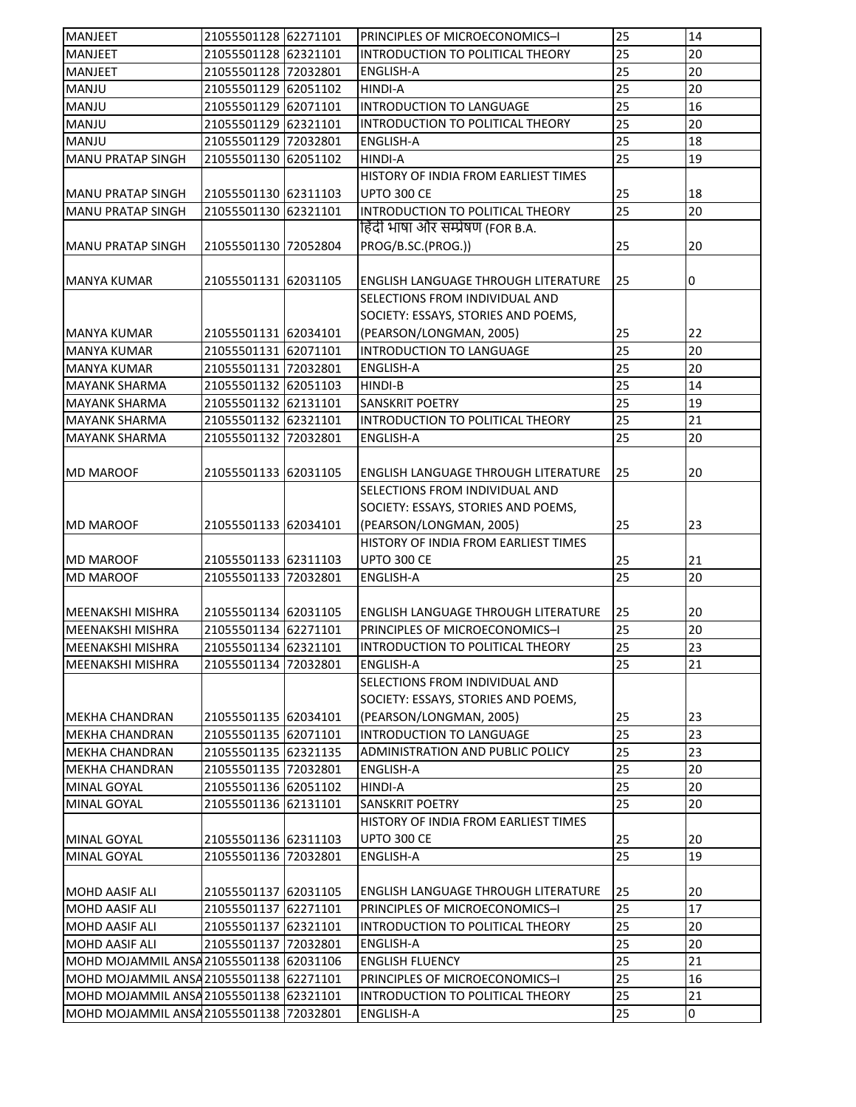| <b>MANJEET</b>                          | 21055501128 62271101 | PRINCIPLES OF MICROECONOMICS-I             | 25 | 14 |
|-----------------------------------------|----------------------|--------------------------------------------|----|----|
| <b>MANJEET</b>                          | 21055501128 62321101 | INTRODUCTION TO POLITICAL THEORY           | 25 | 20 |
| <b>MANJEET</b>                          | 21055501128 72032801 | <b>ENGLISH-A</b>                           | 25 | 20 |
| MANJU                                   | 21055501129 62051102 | <b>HINDI-A</b>                             | 25 | 20 |
| MANJU                                   | 21055501129 62071101 | INTRODUCTION TO LANGUAGE                   | 25 | 16 |
| MANJU                                   | 21055501129 62321101 | INTRODUCTION TO POLITICAL THEORY           | 25 | 20 |
| MANJU                                   | 21055501129 72032801 | <b>ENGLISH-A</b>                           | 25 | 18 |
| <b>MANU PRATAP SINGH</b>                | 21055501130 62051102 | <b>HINDI-A</b>                             | 25 | 19 |
|                                         |                      | HISTORY OF INDIA FROM EARLIEST TIMES       |    |    |
| MANU PRATAP SINGH                       | 21055501130 62311103 | <b>UPTO 300 CE</b>                         | 25 | 18 |
| <b>MANU PRATAP SINGH</b>                | 21055501130 62321101 | INTRODUCTION TO POLITICAL THEORY           | 25 | 20 |
|                                         |                      | हिंदी भाषा और सम्प्रेषण (FOR B.A.          |    |    |
| MANU PRATAP SINGH                       | 21055501130 72052804 | PROG/B.SC.(PROG.))                         | 25 | 20 |
|                                         |                      |                                            |    |    |
| <b>MANYA KUMAR</b>                      | 21055501131 62031105 | ENGLISH LANGUAGE THROUGH LITERATURE        | 25 | 0  |
|                                         |                      | SELECTIONS FROM INDIVIDUAL AND             |    |    |
|                                         |                      | SOCIETY: ESSAYS, STORIES AND POEMS,        |    |    |
| <b>MANYA KUMAR</b>                      | 21055501131 62034101 | (PEARSON/LONGMAN, 2005)                    | 25 | 22 |
| <b>MANYA KUMAR</b>                      | 21055501131 62071101 | INTRODUCTION TO LANGUAGE                   | 25 | 20 |
| <b>MANYA KUMAR</b>                      | 21055501131 72032801 | <b>ENGLISH-A</b>                           | 25 | 20 |
| <b>MAYANK SHARMA</b>                    | 21055501132 62051103 | <b>HINDI-B</b>                             | 25 | 14 |
| <b>MAYANK SHARMA</b>                    | 21055501132 62131101 | SANSKRIT POETRY                            | 25 | 19 |
| <b>MAYANK SHARMA</b>                    |                      |                                            | 25 | 21 |
|                                         | 21055501132 62321101 | INTRODUCTION TO POLITICAL THEORY           |    |    |
| <b>MAYANK SHARMA</b>                    | 21055501132 72032801 | <b>ENGLISH-A</b>                           | 25 | 20 |
|                                         |                      |                                            |    |    |
| <b>MD MAROOF</b>                        | 21055501133 62031105 | ENGLISH LANGUAGE THROUGH LITERATURE        | 25 | 20 |
|                                         |                      | SELECTIONS FROM INDIVIDUAL AND             |    |    |
|                                         |                      | SOCIETY: ESSAYS, STORIES AND POEMS,        |    |    |
| <b>MD MAROOF</b>                        | 21055501133 62034101 | (PEARSON/LONGMAN, 2005)                    | 25 | 23 |
|                                         |                      | HISTORY OF INDIA FROM EARLIEST TIMES       |    |    |
| <b>MD MAROOF</b>                        | 21055501133 62311103 | <b>UPTO 300 CE</b>                         | 25 | 21 |
| <b>MD MAROOF</b>                        | 21055501133 72032801 | ENGLISH-A                                  | 25 | 20 |
|                                         |                      |                                            |    |    |
| <b>MEENAKSHI MISHRA</b>                 | 21055501134 62031105 | <b>ENGLISH LANGUAGE THROUGH LITERATURE</b> | 25 | 20 |
| <b>MEENAKSHI MISHRA</b>                 | 21055501134 62271101 | PRINCIPLES OF MICROECONOMICS-I             | 25 | 20 |
| <b>MEENAKSHI MISHRA</b>                 | 21055501134 62321101 | INTRODUCTION TO POLITICAL THEORY           | 25 | 23 |
| MEENAKSHI MISHRA                        | 21055501134 72032801 | <b>ENGLISH-A</b>                           | 25 | 21 |
|                                         |                      | SELECTIONS FROM INDIVIDUAL AND             |    |    |
|                                         |                      | SOCIETY: ESSAYS, STORIES AND POEMS,        |    |    |
| <b>MEKHA CHANDRAN</b>                   | 21055501135 62034101 | (PEARSON/LONGMAN, 2005)                    | 25 | 23 |
| <b>MEKHA CHANDRAN</b>                   | 21055501135 62071101 | INTRODUCTION TO LANGUAGE                   | 25 | 23 |
| <b>MEKHA CHANDRAN</b>                   | 21055501135 62321135 | ADMINISTRATION AND PUBLIC POLICY           | 25 | 23 |
| <b>MEKHA CHANDRAN</b>                   | 21055501135 72032801 | ENGLISH-A                                  | 25 | 20 |
| MINAL GOYAL                             | 21055501136 62051102 | <b>HINDI-A</b>                             | 25 | 20 |
| <b>MINAL GOYAL</b>                      | 21055501136 62131101 | SANSKRIT POETRY                            | 25 | 20 |
|                                         |                      | HISTORY OF INDIA FROM EARLIEST TIMES       |    |    |
| MINAL GOYAL                             | 21055501136 62311103 | <b>UPTO 300 CE</b>                         | 25 | 20 |
| MINAL GOYAL                             | 21055501136 72032801 | ENGLISH-A                                  | 25 | 19 |
|                                         |                      |                                            |    |    |
| <b>MOHD AASIF ALI</b>                   | 21055501137 62031105 | ENGLISH LANGUAGE THROUGH LITERATURE        | 25 | 20 |
| <b>MOHD AASIF ALI</b>                   | 21055501137 62271101 | PRINCIPLES OF MICROECONOMICS-I             | 25 | 17 |
| MOHD AASIF ALI                          | 21055501137 62321101 | INTRODUCTION TO POLITICAL THEORY           | 25 | 20 |
| MOHD AASIF ALI                          | 21055501137 72032801 | ENGLISH-A                                  | 25 | 20 |
| MOHD MOJAMMIL ANSA 21055501138 62031106 |                      | <b>ENGLISH FLUENCY</b>                     | 25 | 21 |
| MOHD MOJAMMIL ANSA 21055501138 62271101 |                      | PRINCIPLES OF MICROECONOMICS-I             | 25 | 16 |
| MOHD MOJAMMIL ANSA 21055501138 62321101 |                      | INTRODUCTION TO POLITICAL THEORY           | 25 | 21 |
| MOHD MOJAMMIL ANSA 21055501138 72032801 |                      | <b>ENGLISH-A</b>                           | 25 | 0  |
|                                         |                      |                                            |    |    |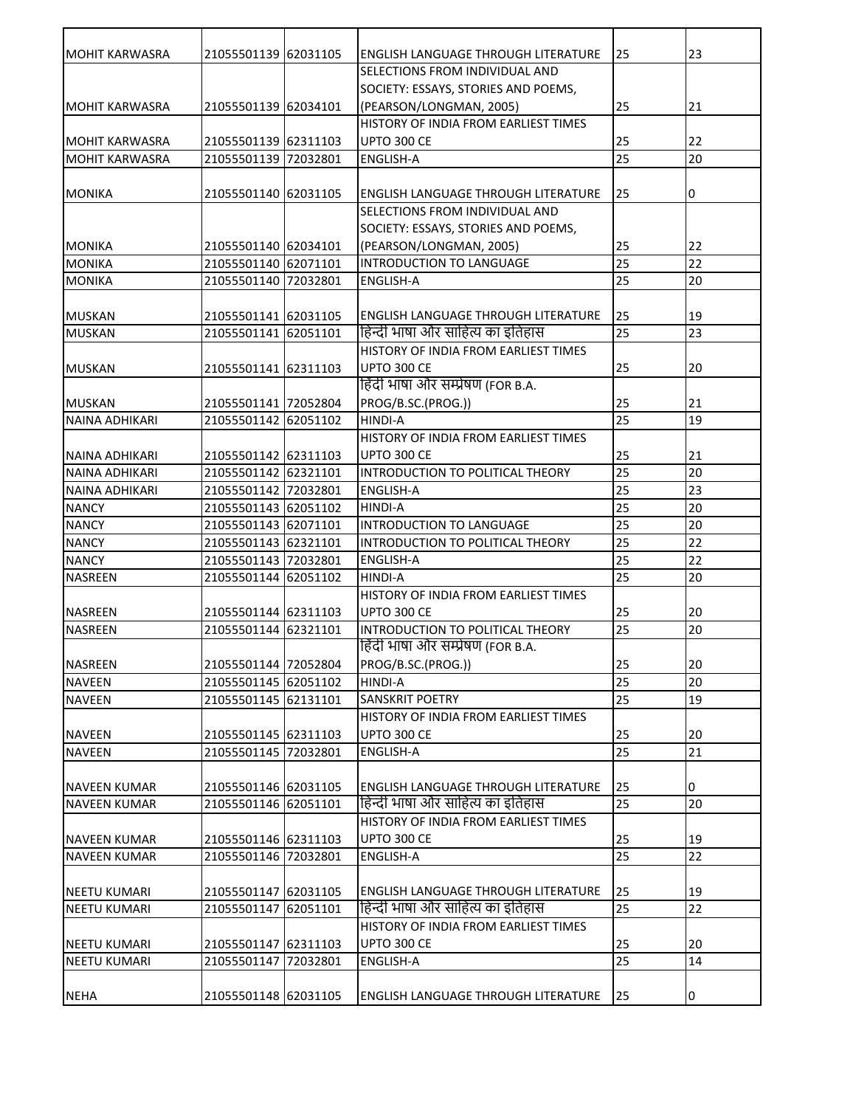| IMOHIT KARWASRA       | 21055501139 62031105 |          | <b>ENGLISH LANGUAGE THROUGH LITERATURE</b> | 25              | 23 |
|-----------------------|----------------------|----------|--------------------------------------------|-----------------|----|
|                       |                      |          | SELECTIONS FROM INDIVIDUAL AND             |                 |    |
|                       |                      |          | SOCIETY: ESSAYS, STORIES AND POEMS,        |                 |    |
| MOHIT KARWASRA        | 21055501139 62034101 |          | (PEARSON/LONGMAN, 2005)                    | 25              | 21 |
|                       |                      |          | HISTORY OF INDIA FROM EARLIEST TIMES       |                 |    |
| MOHIT KARWASRA        | 21055501139 62311103 |          | UPTO 300 CE                                | 25              | 22 |
| <b>MOHIT KARWASRA</b> | 21055501139 72032801 |          | <b>ENGLISH-A</b>                           | 25              | 20 |
|                       |                      |          |                                            |                 |    |
| MONIKA                | 21055501140 62031105 |          | <b>ENGLISH LANGUAGE THROUGH LITERATURE</b> | 25              | 0  |
|                       |                      |          | SELECTIONS FROM INDIVIDUAL AND             |                 |    |
|                       |                      |          | SOCIETY: ESSAYS, STORIES AND POEMS,        |                 |    |
| MONIKA                | 21055501140 62034101 |          | (PEARSON/LONGMAN, 2005)                    | 25              | 22 |
| <b>MONIKA</b>         | 21055501140 62071101 |          | INTRODUCTION TO LANGUAGE                   | 25              | 22 |
| <b>MONIKA</b>         | 21055501140 72032801 |          | <b>ENGLISH-A</b>                           | 25              | 20 |
|                       |                      |          |                                            |                 |    |
| <b>MUSKAN</b>         | 21055501141 62031105 |          | <b>ENGLISH LANGUAGE THROUGH LITERATURE</b> | 25              | 19 |
| <b>MUSKAN</b>         | 21055501141 62051101 |          | हिन्दी भाषा और साहित्य का इतिहास           | 25              | 23 |
|                       |                      |          | HISTORY OF INDIA FROM EARLIEST TIMES       |                 |    |
| <b>MUSKAN</b>         | 21055501141 62311103 |          | UPTO 300 CE                                | 25              | 20 |
|                       |                      |          | हिंदी भाषा और सम्प्रेषण (FOR B.A.          |                 |    |
| <b>MUSKAN</b>         | 21055501141 72052804 |          | PROG/B.SC.(PROG.))                         | 25              | 21 |
| <b>NAINA ADHIKARI</b> | 21055501142 62051102 |          | <b>HINDI-A</b>                             | 25              | 19 |
|                       |                      |          | HISTORY OF INDIA FROM EARLIEST TIMES       |                 |    |
| NAINA ADHIKARI        | 21055501142 62311103 |          | UPTO 300 CE                                | 25              | 21 |
| NAINA ADHIKARI        | 21055501142 62321101 |          | INTRODUCTION TO POLITICAL THEORY           | 25              | 20 |
| <b>NAINA ADHIKARI</b> | 21055501142 72032801 |          | <b>ENGLISH-A</b>                           | 25              | 23 |
| <b>NANCY</b>          | 21055501143 62051102 |          | <b>HINDI-A</b>                             | 25              | 20 |
| <b>NANCY</b>          | 21055501143 62071101 |          | INTRODUCTION TO LANGUAGE                   | 25              | 20 |
| <b>NANCY</b>          | 21055501143 62321101 |          | INTRODUCTION TO POLITICAL THEORY           | 25              | 22 |
| <b>NANCY</b>          | 21055501143 72032801 |          | <b>ENGLISH-A</b>                           | 25              | 22 |
| <b>NASREEN</b>        | 21055501144 62051102 |          | HINDI-A                                    | 25              | 20 |
|                       |                      |          | HISTORY OF INDIA FROM EARLIEST TIMES       |                 |    |
| <b>NASREEN</b>        | 21055501144 62311103 |          | <b>UPTO 300 CE</b>                         | 25              | 20 |
| <b>NASREEN</b>        | 21055501144 62321101 |          | INTRODUCTION TO POLITICAL THEORY           | $\overline{25}$ | 20 |
|                       |                      |          | हिंदी भाषा और सम्प्रेषण (FOR B.A.          |                 |    |
| <b>NASREEN</b>        | 21055501144 72052804 |          | PROG/B.SC.(PROG.))                         | 25              | 20 |
| <b>NAVEEN</b>         | 21055501145 62051102 |          | HINDI-A                                    | 25              | 20 |
| <b>NAVEEN</b>         | 21055501145 62131101 |          | <b>SANSKRIT POETRY</b>                     | 25              | 19 |
|                       |                      |          | HISTORY OF INDIA FROM EARLIEST TIMES       |                 |    |
| <b>NAVEEN</b>         | 21055501145 62311103 |          | <b>UPTO 300 CE</b>                         | 25              | 20 |
| <b>NAVEEN</b>         | 21055501145 72032801 |          | <b>ENGLISH-A</b>                           | 25              | 21 |
|                       |                      |          |                                            |                 |    |
| <b>NAVEEN KUMAR</b>   | 21055501146 62031105 |          | <b>ENGLISH LANGUAGE THROUGH LITERATURE</b> | 25              | 0  |
| <b>NAVEEN KUMAR</b>   | 21055501146 62051101 |          | हिन्दी भाषा और साहित्य का इतिहास           | 25              | 20 |
|                       |                      |          | HISTORY OF INDIA FROM EARLIEST TIMES       |                 |    |
| <b>NAVEEN KUMAR</b>   | 21055501146 62311103 |          | <b>UPTO 300 CE</b>                         | 25              | 19 |
| <b>NAVEEN KUMAR</b>   | 21055501146 72032801 |          | <b>ENGLISH-A</b>                           | 25              | 22 |
|                       |                      |          |                                            |                 |    |
| <b>NEETU KUMARI</b>   | 21055501147 62031105 |          | <b>ENGLISH LANGUAGE THROUGH LITERATURE</b> | 25              | 19 |
| <b>NEETU KUMARI</b>   | 21055501147          | 62051101 | हिन्दी भाषा और साहित्य का इतिहास           | 25              | 22 |
|                       |                      |          | HISTORY OF INDIA FROM EARLIEST TIMES       |                 |    |
| <b>NEETU KUMARI</b>   | 21055501147 62311103 |          | UPTO 300 CE                                | 25              | 20 |
| <b>NEETU KUMARI</b>   | 21055501147          | 72032801 | <b>ENGLISH-A</b>                           | 25              | 14 |
|                       |                      |          |                                            |                 |    |
| <b>NEHA</b>           | 21055501148 62031105 |          | <b>ENGLISH LANGUAGE THROUGH LITERATURE</b> | 25              | 0  |
|                       |                      |          |                                            |                 |    |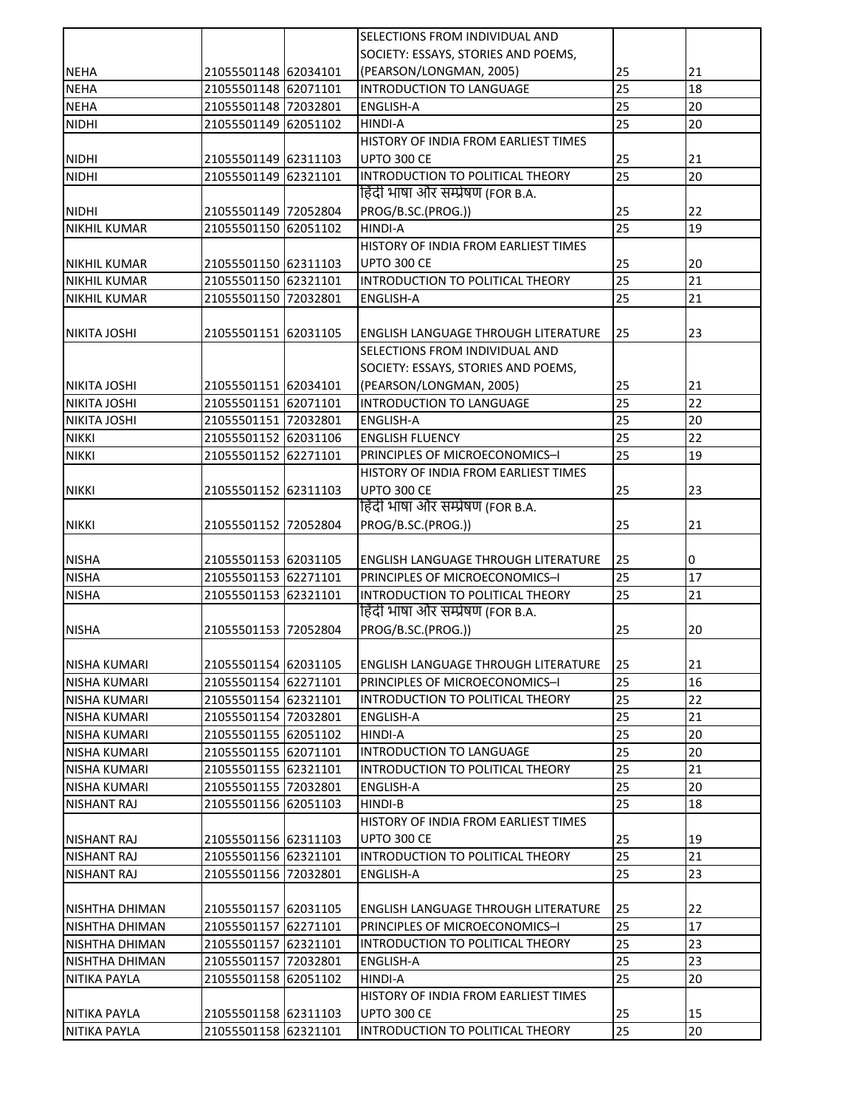|                     |                      | SELECTIONS FROM INDIVIDUAL AND             |    |    |
|---------------------|----------------------|--------------------------------------------|----|----|
|                     |                      | SOCIETY: ESSAYS, STORIES AND POEMS,        |    |    |
| <b>NEHA</b>         | 21055501148 62034101 | (PEARSON/LONGMAN, 2005)                    | 25 | 21 |
| <b>NEHA</b>         | 21055501148 62071101 | INTRODUCTION TO LANGUAGE                   | 25 | 18 |
| <b>NEHA</b>         | 21055501148 72032801 | ENGLISH-A                                  | 25 | 20 |
| <b>NIDHI</b>        | 21055501149 62051102 | <b>HINDI-A</b>                             | 25 | 20 |
|                     |                      | HISTORY OF INDIA FROM EARLIEST TIMES       |    |    |
| <b>NIDHI</b>        | 21055501149 62311103 | UPTO 300 CE                                | 25 | 21 |
| <b>NIDHI</b>        | 21055501149 62321101 | INTRODUCTION TO POLITICAL THEORY           | 25 | 20 |
|                     |                      | हिंदी भाषा और सम्प्रेषण (FOR B.A.          |    |    |
| <b>NIDHI</b>        | 21055501149 72052804 | PROG/B.SC.(PROG.))                         | 25 | 22 |
| <b>NIKHIL KUMAR</b> | 21055501150 62051102 | <b>HINDI-A</b>                             | 25 | 19 |
|                     |                      | HISTORY OF INDIA FROM EARLIEST TIMES       |    |    |
| <b>NIKHIL KUMAR</b> | 21055501150 62311103 | <b>UPTO 300 CE</b>                         | 25 | 20 |
| <b>NIKHIL KUMAR</b> | 21055501150 62321101 | INTRODUCTION TO POLITICAL THEORY           | 25 | 21 |
| <b>NIKHIL KUMAR</b> | 21055501150 72032801 | <b>ENGLISH-A</b>                           | 25 | 21 |
|                     |                      |                                            |    |    |
| NIKITA JOSHI        | 21055501151 62031105 | <b>ENGLISH LANGUAGE THROUGH LITERATURE</b> | 25 | 23 |
|                     |                      | SELECTIONS FROM INDIVIDUAL AND             |    |    |
|                     |                      | SOCIETY: ESSAYS, STORIES AND POEMS,        |    |    |
| NIKITA JOSHI        | 21055501151 62034101 | (PEARSON/LONGMAN, 2005)                    | 25 | 21 |
| NIKITA JOSHI        | 21055501151 62071101 | INTRODUCTION TO LANGUAGE                   | 25 | 22 |
| NIKITA JOSHI        | 21055501151 72032801 | <b>ENGLISH-A</b>                           | 25 | 20 |
| <b>NIKKI</b>        | 21055501152 62031106 | <b>ENGLISH FLUENCY</b>                     | 25 | 22 |
| <b>NIKKI</b>        | 21055501152 62271101 | PRINCIPLES OF MICROECONOMICS-I             | 25 | 19 |
|                     |                      | HISTORY OF INDIA FROM EARLIEST TIMES       |    |    |
| <b>NIKKI</b>        | 21055501152 62311103 | <b>UPTO 300 CE</b>                         | 25 | 23 |
|                     |                      | हिंदी भाषा और सम्प्रेषण (FOR B.A.          |    |    |
| <b>NIKKI</b>        | 21055501152 72052804 | PROG/B.SC.(PROG.))                         | 25 | 21 |
|                     |                      |                                            |    |    |
| <b>NISHA</b>        | 21055501153 62031105 | <b>ENGLISH LANGUAGE THROUGH LITERATURE</b> | 25 | 0  |
| <b>NISHA</b>        | 21055501153 62271101 | PRINCIPLES OF MICROECONOMICS-I             | 25 | 17 |
| <b>NISHA</b>        | 21055501153 62321101 | INTRODUCTION TO POLITICAL THEORY           | 25 | 21 |
|                     |                      | हिंदी भाषा और सम्प्रेषण (FOR B.A.          |    |    |
| <b>NISHA</b>        | 21055501153 72052804 | PROG/B.SC.(PROG.))                         | 25 | 20 |
|                     |                      |                                            |    |    |
| <b>NISHA KUMARI</b> | 21055501154 62031105 | <b>ENGLISH LANGUAGE THROUGH LITERATURE</b> | 25 | 21 |
| <b>NISHA KUMARI</b> | 21055501154 62271101 | PRINCIPLES OF MICROECONOMICS-I             | 25 | 16 |
| <b>NISHA KUMARI</b> | 21055501154 62321101 | INTRODUCTION TO POLITICAL THEORY           | 25 | 22 |
| NISHA KUMARI        | 21055501154 72032801 | <b>ENGLISH-A</b>                           | 25 | 21 |
| NISHA KUMARI        | 21055501155 62051102 | HINDI-A                                    | 25 | 20 |
| NISHA KUMARI        | 21055501155 62071101 | <b>INTRODUCTION TO LANGUAGE</b>            | 25 | 20 |
| NISHA KUMARI        | 21055501155 62321101 | INTRODUCTION TO POLITICAL THEORY           | 25 | 21 |
| <b>NISHA KUMARI</b> | 21055501155 72032801 | <b>ENGLISH-A</b>                           | 25 | 20 |
| <b>NISHANT RAJ</b>  | 21055501156 62051103 | HINDI-B                                    | 25 | 18 |
|                     |                      | HISTORY OF INDIA FROM EARLIEST TIMES       |    |    |
| <b>NISHANT RAJ</b>  | 21055501156 62311103 | <b>UPTO 300 CE</b>                         | 25 | 19 |
| <b>NISHANT RAJ</b>  | 21055501156 62321101 | INTRODUCTION TO POLITICAL THEORY           | 25 | 21 |
| NISHANT RAJ         | 21055501156 72032801 | ENGLISH-A                                  | 25 | 23 |
|                     |                      |                                            |    |    |
| NISHTHA DHIMAN      | 21055501157 62031105 | ENGLISH LANGUAGE THROUGH LITERATURE        | 25 | 22 |
| NISHTHA DHIMAN      | 21055501157 62271101 | PRINCIPLES OF MICROECONOMICS-I             | 25 | 17 |
| NISHTHA DHIMAN      | 21055501157 62321101 | INTRODUCTION TO POLITICAL THEORY           | 25 | 23 |
| NISHTHA DHIMAN      | 21055501157 72032801 | ENGLISH-A                                  | 25 | 23 |
| NITIKA PAYLA        | 21055501158 62051102 | <b>HINDI-A</b>                             | 25 | 20 |
|                     |                      | HISTORY OF INDIA FROM EARLIEST TIMES       |    |    |
| NITIKA PAYLA        | 21055501158 62311103 | <b>UPTO 300 CE</b>                         | 25 | 15 |
| NITIKA PAYLA        | 21055501158 62321101 | INTRODUCTION TO POLITICAL THEORY           | 25 | 20 |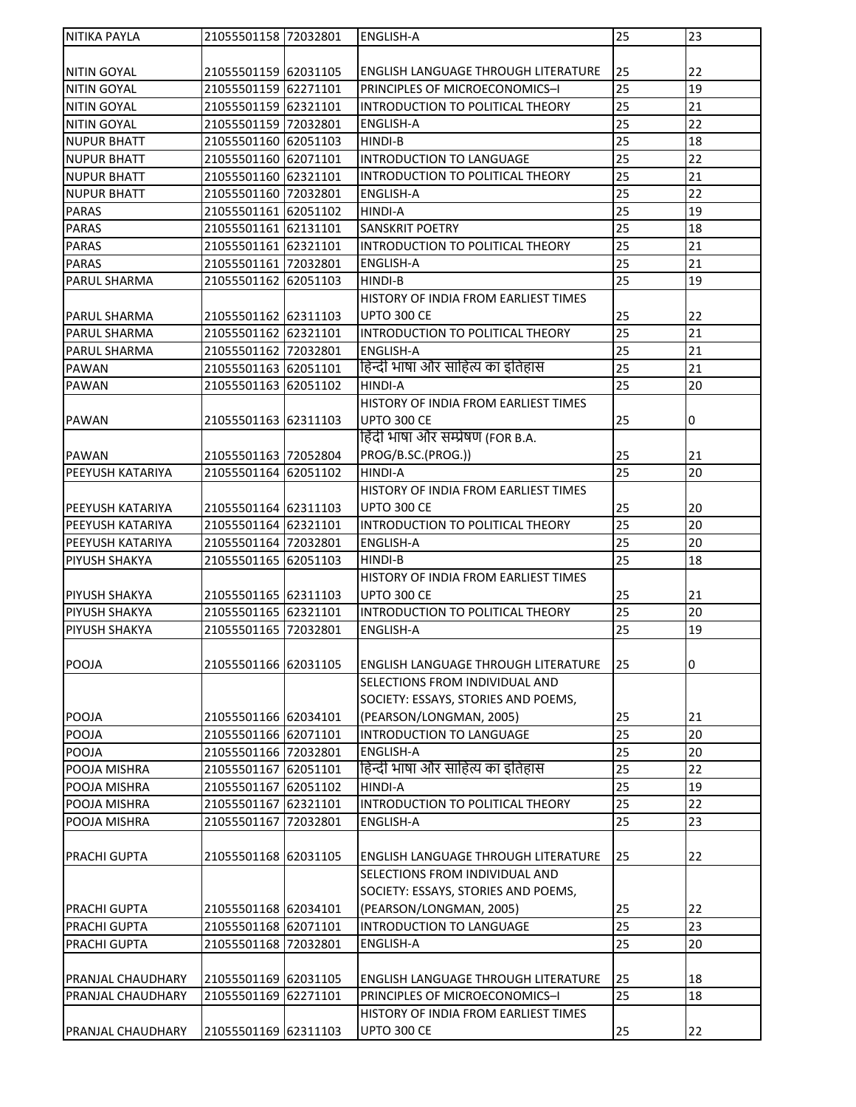| <b>NITIKA PAYLA</b>     | 21055501158 72032801 | <b>ENGLISH-A</b>                           | 25 | 23 |
|-------------------------|----------------------|--------------------------------------------|----|----|
|                         |                      |                                            |    |    |
| NITIN GOYAL             | 21055501159 62031105 | <b>ENGLISH LANGUAGE THROUGH LITERATURE</b> | 25 | 22 |
| NITIN GOYAL             | 21055501159 62271101 | PRINCIPLES OF MICROECONOMICS-I             | 25 | 19 |
| <b>NITIN GOYAL</b>      | 21055501159 62321101 | INTRODUCTION TO POLITICAL THEORY           | 25 | 21 |
| <b>NITIN GOYAL</b>      | 21055501159 72032801 | <b>ENGLISH-A</b>                           | 25 | 22 |
| <b>NUPUR BHATT</b>      | 21055501160 62051103 | <b>HINDI-B</b>                             | 25 | 18 |
| <b>NUPUR BHATT</b>      | 21055501160 62071101 | INTRODUCTION TO LANGUAGE                   | 25 | 22 |
| <b>NUPUR BHATT</b>      | 21055501160 62321101 | INTRODUCTION TO POLITICAL THEORY           | 25 | 21 |
| <b>NUPUR BHATT</b>      | 21055501160 72032801 | <b>ENGLISH-A</b>                           | 25 | 22 |
| <b>PARAS</b>            | 21055501161 62051102 | HINDI-A                                    | 25 | 19 |
| <b>PARAS</b>            | 21055501161 62131101 | <b>SANSKRIT POETRY</b>                     | 25 | 18 |
| <b>PARAS</b>            | 21055501161 62321101 | INTRODUCTION TO POLITICAL THEORY           | 25 | 21 |
| <b>PARAS</b>            | 21055501161 72032801 | <b>ENGLISH-A</b>                           | 25 | 21 |
| <b>PARUL SHARMA</b>     | 21055501162 62051103 | HINDI-B                                    | 25 | 19 |
|                         |                      | HISTORY OF INDIA FROM EARLIEST TIMES       |    |    |
| <b>PARUL SHARMA</b>     | 21055501162 62311103 | <b>UPTO 300 CE</b>                         | 25 | 22 |
| <b>PARUL SHARMA</b>     | 21055501162 62321101 | INTRODUCTION TO POLITICAL THEORY           | 25 | 21 |
| PARUL SHARMA            | 21055501162 72032801 | <b>ENGLISH-A</b>                           | 25 | 21 |
| <b>PAWAN</b>            | 21055501163 62051101 | हिन्दी भाषा और साहित्य का इतिहास           | 25 | 21 |
| <b>PAWAN</b>            | 21055501163 62051102 | <b>HINDI-A</b>                             | 25 | 20 |
|                         |                      | HISTORY OF INDIA FROM EARLIEST TIMES       |    |    |
| <b>PAWAN</b>            | 21055501163 62311103 | UPTO 300 CE                                | 25 | 0  |
|                         |                      | हिंदी भाषा और सम्प्रेषण (FOR B.A.          |    |    |
| <b>PAWAN</b>            | 21055501163 72052804 | PROG/B.SC.(PROG.))                         | 25 | 21 |
| PEEYUSH KATARIYA        | 21055501164 62051102 | <b>HINDI-A</b>                             | 25 | 20 |
|                         |                      | HISTORY OF INDIA FROM EARLIEST TIMES       |    |    |
| <b>PEEYUSH KATARIYA</b> | 21055501164 62311103 | <b>UPTO 300 CE</b>                         | 25 | 20 |
| <b>PEEYUSH KATARIYA</b> | 21055501164 62321101 | INTRODUCTION TO POLITICAL THEORY           | 25 | 20 |
| <b>PEEYUSH KATARIYA</b> | 21055501164 72032801 | <b>ENGLISH-A</b>                           | 25 | 20 |
| <b>PIYUSH SHAKYA</b>    | 21055501165 62051103 | <b>HINDI-B</b>                             | 25 | 18 |
|                         |                      | HISTORY OF INDIA FROM EARLIEST TIMES       |    |    |
| PIYUSH SHAKYA           | 21055501165 62311103 | UPTO 300 CE                                | 25 | 21 |
| <b>PIYUSH SHAKYA</b>    | 21055501165 62321101 | INTRODUCTION TO POLITICAL THEORY           | 25 | 20 |
| <b>PIYUSH SHAKYA</b>    | 21055501165 72032801 | ENGLISH-A                                  | 25 | 19 |
|                         |                      |                                            |    |    |
| <b>POOJA</b>            | 21055501166 62031105 | <b>ENGLISH LANGUAGE THROUGH LITERATURE</b> | 25 | 0  |
|                         |                      | SELECTIONS FROM INDIVIDUAL AND             |    |    |
|                         |                      | SOCIETY: ESSAYS, STORIES AND POEMS,        |    |    |
| POOJA                   | 21055501166 62034101 | (PEARSON/LONGMAN, 2005)                    | 25 | 21 |
| <b>POOJA</b>            | 21055501166 62071101 | INTRODUCTION TO LANGUAGE                   | 25 | 20 |
| POOJA                   | 21055501166 72032801 | <b>ENGLISH-A</b>                           | 25 | 20 |
| POOJA MISHRA            | 21055501167 62051101 | हिन्दी भाषा और साहित्य का इतिहास           | 25 | 22 |
| POOJA MISHRA            | 21055501167 62051102 | <b>HINDI-A</b>                             | 25 | 19 |
| POOJA MISHRA            | 21055501167 62321101 | INTRODUCTION TO POLITICAL THEORY           | 25 | 22 |
| POOJA MISHRA            | 21055501167 72032801 | <b>ENGLISH-A</b>                           | 25 | 23 |
|                         |                      |                                            |    |    |
| <b>PRACHI GUPTA</b>     | 21055501168 62031105 | <b>ENGLISH LANGUAGE THROUGH LITERATURE</b> | 25 | 22 |
|                         |                      | SELECTIONS FROM INDIVIDUAL AND             |    |    |
|                         |                      | SOCIETY: ESSAYS, STORIES AND POEMS,        |    |    |
|                         |                      | (PEARSON/LONGMAN, 2005)                    |    | 22 |
| <b>PRACHI GUPTA</b>     | 21055501168 62034101 |                                            | 25 | 23 |
| PRACHI GUPTA            | 21055501168 62071101 | INTRODUCTION TO LANGUAGE                   | 25 |    |
| PRACHI GUPTA            | 21055501168 72032801 | <b>ENGLISH-A</b>                           | 25 | 20 |
|                         |                      |                                            |    |    |
| PRANJAL CHAUDHARY       | 21055501169 62031105 | <b>ENGLISH LANGUAGE THROUGH LITERATURE</b> | 25 | 18 |
| PRANJAL CHAUDHARY       | 21055501169 62271101 | PRINCIPLES OF MICROECONOMICS-I             | 25 | 18 |
|                         |                      | HISTORY OF INDIA FROM EARLIEST TIMES       |    |    |
| PRANJAL CHAUDHARY       | 21055501169 62311103 | UPTO 300 CE                                | 25 | 22 |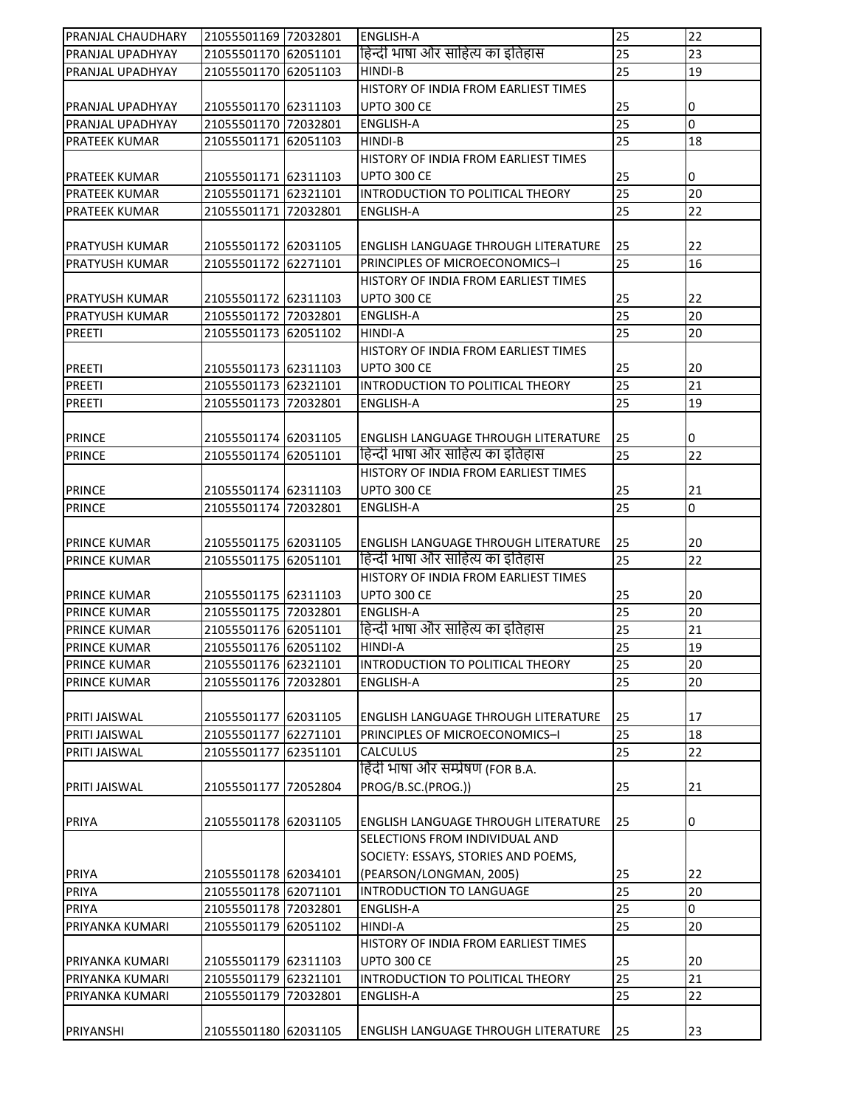| PRANJAL CHAUDHARY   | 21055501169 72032801 | <b>ENGLISH-A</b>                           | 25              | 22             |
|---------------------|----------------------|--------------------------------------------|-----------------|----------------|
| PRANJAL UPADHYAY    | 21055501170 62051101 | हिन्दी भाषा और साहित्य का इतिहास           | 25              | 23             |
| PRANJAL UPADHYAY    | 21055501170 62051103 | HINDI-B                                    | 25              | 19             |
|                     |                      | HISTORY OF INDIA FROM EARLIEST TIMES       |                 |                |
| PRANJAL UPADHYAY    | 21055501170 62311103 | <b>UPTO 300 CE</b>                         | 25              | 0              |
| PRANJAL UPADHYAY    | 21055501170 72032801 | <b>ENGLISH-A</b>                           | 25              | $\overline{0}$ |
| PRATEEK KUMAR       | 21055501171 62051103 | HINDI-B                                    | 25              | 18             |
|                     |                      | HISTORY OF INDIA FROM EARLIEST TIMES       |                 |                |
| PRATEEK KUMAR       | 21055501171 62311103 | <b>UPTO 300 CE</b>                         | 25              | 0              |
| PRATEEK KUMAR       | 21055501171 62321101 | INTRODUCTION TO POLITICAL THEORY           | 25              | 20             |
| PRATEEK KUMAR       | 21055501171 72032801 | <b>ENGLISH-A</b>                           | 25              | 22             |
|                     |                      |                                            |                 |                |
| PRATYUSH KUMAR      | 21055501172 62031105 | ENGLISH LANGUAGE THROUGH LITERATURE        | 25              | 22             |
| PRATYUSH KUMAR      | 21055501172 62271101 | PRINCIPLES OF MICROECONOMICS-I             | 25              | 16             |
|                     |                      | HISTORY OF INDIA FROM EARLIEST TIMES       |                 |                |
| PRATYUSH KUMAR      | 21055501172 62311103 | <b>UPTO 300 CE</b>                         | 25              | 22             |
| PRATYUSH KUMAR      | 21055501172 72032801 | <b>ENGLISH-A</b>                           | 25              | 20             |
| PREETI              | 21055501173 62051102 | <b>HINDI-A</b>                             | 25              | 20             |
|                     |                      | HISTORY OF INDIA FROM EARLIEST TIMES       |                 |                |
| PREETI              | 21055501173 62311103 | <b>UPTO 300 CE</b>                         | 25              | 20             |
| PREETI              | 21055501173 62321101 | INTRODUCTION TO POLITICAL THEORY           | 25              | 21             |
| PREETI              | 21055501173 72032801 | <b>ENGLISH-A</b>                           | 25              | 19             |
|                     |                      |                                            |                 |                |
|                     |                      |                                            |                 |                |
| <b>PRINCE</b>       | 21055501174 62031105 | <b>ENGLISH LANGUAGE THROUGH LITERATURE</b> | 25              | 0              |
| <b>PRINCE</b>       | 21055501174 62051101 | हिन्दी भाषा और साहित्य का इतिहास           | 25              | 22             |
|                     |                      | HISTORY OF INDIA FROM EARLIEST TIMES       |                 |                |
| <b>PRINCE</b>       | 21055501174 62311103 | <b>UPTO 300 CE</b>                         | 25              | 21             |
| <b>PRINCE</b>       | 21055501174 72032801 | <b>ENGLISH-A</b>                           | 25              | 0              |
|                     |                      |                                            |                 |                |
| <b>PRINCE KUMAR</b> | 21055501175 62031105 | <b>ENGLISH LANGUAGE THROUGH LITERATURE</b> | 25              | 20             |
| <b>PRINCE KUMAR</b> | 21055501175 62051101 | हिन्दी भाषा और साहित्य का इतिहास           | 25              | 22             |
|                     |                      | HISTORY OF INDIA FROM EARLIEST TIMES       |                 |                |
| PRINCE KUMAR        | 21055501175 62311103 | <b>UPTO 300 CE</b>                         | 25              | 20             |
| <b>PRINCE KUMAR</b> | 21055501175 72032801 | <b>ENGLISH-A</b>                           | 25              | 20             |
| <b>PRINCE KUMAR</b> | 21055501176 62051101 | हिन्दी भाषा और साहित्य का इतिहास           | 25              | 21             |
| <b>PRINCE KUMAR</b> | 21055501176 62051102 | HINDI-A                                    | 25              | 19             |
| PRINCE KUMAR        | 21055501176 62321101 | INTRODUCTION TO POLITICAL THEORY           | 25              | 20             |
| PRINCE KUMAR        | 21055501176 72032801 | <b>ENGLISH-A</b>                           | 25              | 20             |
|                     |                      |                                            |                 |                |
| PRITI JAISWAL       | 21055501177 62031105 | <b>ENGLISH LANGUAGE THROUGH LITERATURE</b> | 25              | 17             |
| PRITI JAISWAL       | 21055501177 62271101 | PRINCIPLES OF MICROECONOMICS-I             | 25              | 18             |
| PRITI JAISWAL       | 21055501177 62351101 | <b>CALCULUS</b>                            | 25              | 22             |
|                     |                      | हिंदी भाषा और सम्प्रेषण (FOR B.A.          |                 |                |
| PRITI JAISWAL       | 21055501177 72052804 | PROG/B.SC.(PROG.))                         | 25              | 21             |
|                     |                      |                                            |                 |                |
| PRIYA               | 21055501178 62031105 | <b>ENGLISH LANGUAGE THROUGH LITERATURE</b> | 25              | 0              |
|                     |                      | SELECTIONS FROM INDIVIDUAL AND             |                 |                |
|                     |                      | SOCIETY: ESSAYS, STORIES AND POEMS,        |                 |                |
| <b>PRIYA</b>        | 21055501178 62034101 | (PEARSON/LONGMAN, 2005)                    | 25              | 22             |
| PRIYA               | 21055501178 62071101 | INTRODUCTION TO LANGUAGE                   | $\overline{25}$ | 20             |
| PRIYA               | 21055501178 72032801 | ENGLISH-A                                  | 25              | $\overline{0}$ |
| PRIYANKA KUMARI     | 21055501179 62051102 | HINDI-A                                    | 25              | 20             |
|                     |                      | HISTORY OF INDIA FROM EARLIEST TIMES       |                 |                |
| PRIYANKA KUMARI     | 21055501179 62311103 | <b>UPTO 300 CE</b>                         | 25              | 20             |
| PRIYANKA KUMARI     | 21055501179 62321101 | INTRODUCTION TO POLITICAL THEORY           | 25              | 21             |
| PRIYANKA KUMARI     | 21055501179 72032801 | <b>ENGLISH-A</b>                           | 25              | 22             |
|                     |                      |                                            |                 |                |
| PRIYANSHI           | 21055501180 62031105 | <b>ENGLISH LANGUAGE THROUGH LITERATURE</b> | 25              | 23             |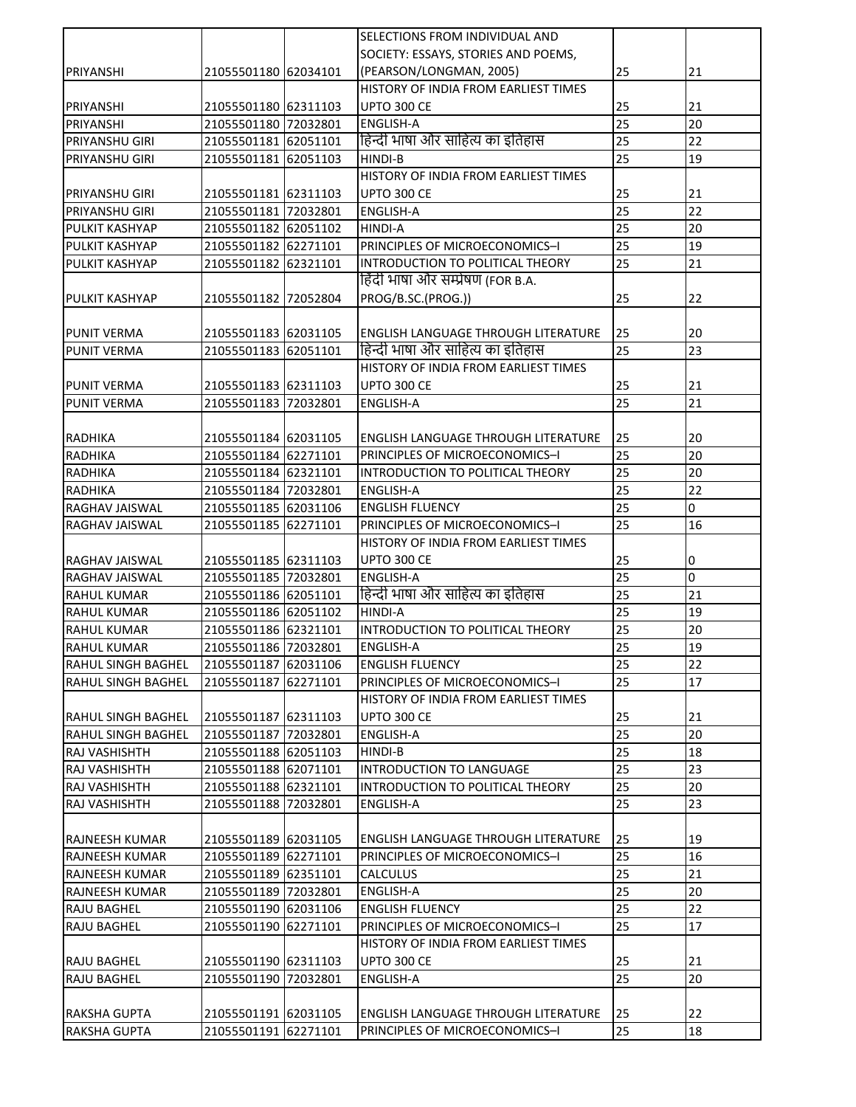|                           |                      | SELECTIONS FROM INDIVIDUAL AND             |                 |           |
|---------------------------|----------------------|--------------------------------------------|-----------------|-----------|
|                           |                      | SOCIETY: ESSAYS, STORIES AND POEMS,        |                 |           |
| PRIYANSHI                 | 21055501180 62034101 | (PEARSON/LONGMAN, 2005)                    | 25              | 21        |
|                           |                      | HISTORY OF INDIA FROM EARLIEST TIMES       |                 |           |
| PRIYANSHI                 | 21055501180 62311103 | <b>UPTO 300 CE</b>                         | 25              | 21        |
| PRIYANSHI                 | 21055501180 72032801 | <b>ENGLISH-A</b>                           | 25              | 20        |
| <b>PRIYANSHU GIRI</b>     | 21055501181 62051101 | हिन्दी भाषा और साहित्य का इतिहास           | 25              | 22        |
| PRIYANSHU GIRI            | 21055501181 62051103 | HINDI-B                                    | 25              | 19        |
|                           |                      | HISTORY OF INDIA FROM EARLIEST TIMES       |                 |           |
| PRIYANSHU GIRI            | 21055501181 62311103 | <b>UPTO 300 CE</b>                         | 25              | 21        |
| PRIYANSHU GIRI            | 21055501181 72032801 | <b>ENGLISH-A</b>                           | 25              | 22        |
| PULKIT KASHYAP            | 21055501182 62051102 | <b>HINDI-A</b>                             | 25              | 20        |
| PULKIT KASHYAP            | 21055501182 62271101 | PRINCIPLES OF MICROECONOMICS-I             | 25              | 19        |
| PULKIT KASHYAP            | 21055501182 62321101 | INTRODUCTION TO POLITICAL THEORY           | 25              | 21        |
|                           |                      | हिंदी भाषा और सम्प्रेषण (FOR B.A.          |                 |           |
| PULKIT KASHYAP            | 21055501182 72052804 | PROG/B.SC.(PROG.))                         | 25              | 22        |
|                           |                      |                                            |                 |           |
| <b>PUNIT VERMA</b>        | 21055501183 62031105 | <b>ENGLISH LANGUAGE THROUGH LITERATURE</b> | 25              | 20        |
| <b>PUNIT VERMA</b>        | 21055501183 62051101 | हिन्दी भाषा और साहित्य का इतिहास           | 25              | 23        |
|                           |                      | HISTORY OF INDIA FROM EARLIEST TIMES       |                 |           |
| <b>PUNIT VERMA</b>        | 21055501183 62311103 | <b>UPTO 300 CE</b>                         | 25              | 21        |
| <b>PUNIT VERMA</b>        | 21055501183 72032801 | <b>ENGLISH-A</b>                           | 25              | 21        |
|                           |                      |                                            |                 |           |
| <b>RADHIKA</b>            | 21055501184 62031105 | <b>ENGLISH LANGUAGE THROUGH LITERATURE</b> | 25              | 20        |
| <b>RADHIKA</b>            | 21055501184 62271101 | PRINCIPLES OF MICROECONOMICS-I             | 25              | 20        |
| <b>RADHIKA</b>            | 21055501184 62321101 | INTRODUCTION TO POLITICAL THEORY           | 25              | 20        |
| <b>RADHIKA</b>            | 21055501184 72032801 | <b>ENGLISH-A</b>                           | 25              | 22        |
| RAGHAV JAISWAL            | 21055501185 62031106 | <b>ENGLISH FLUENCY</b>                     | 25              | $\pmb{0}$ |
| RAGHAV JAISWAL            | 21055501185 62271101 | PRINCIPLES OF MICROECONOMICS-I             | 25              | 16        |
|                           |                      | HISTORY OF INDIA FROM EARLIEST TIMES       |                 |           |
| RAGHAV JAISWAL            | 21055501185 62311103 | <b>UPTO 300 CE</b>                         | 25              | 0         |
| <b>RAGHAV JAISWAL</b>     | 21055501185 72032801 | <b>ENGLISH-A</b>                           | $\overline{25}$ | l0        |
| <b>RAHUL KUMAR</b>        | 21055501186 62051101 | हिन्दी भाषा और साहित्य का इतिहास           | 25              | 21        |
| <b>RAHUL KUMAR</b>        | 21055501186 62051102 | <b>HINDI-A</b>                             | 25              | 19        |
| RAHUL KUMAR               | 21055501186 62321101 | INTRODUCTION TO POLITICAL THEORY           | 25              | 20        |
| <b>RAHUL KUMAR</b>        | 21055501186 72032801 | <b>ENGLISH-A</b>                           | 25              | 19        |
| RAHUL SINGH BAGHEL        | 21055501187 62031106 | <b>ENGLISH FLUENCY</b>                     | 25              | 22        |
| <b>RAHUL SINGH BAGHEL</b> | 21055501187 62271101 | PRINCIPLES OF MICROECONOMICS-I             | 25              | 17        |
|                           |                      | HISTORY OF INDIA FROM EARLIEST TIMES       |                 |           |
| RAHUL SINGH BAGHEL        | 21055501187 62311103 | <b>UPTO 300 CE</b>                         | 25              | 21        |
| RAHUL SINGH BAGHEL        |                      | <b>ENGLISH-A</b>                           | 25              | 20        |
| <b>RAJ VASHISHTH</b>      | 21055501188 62051103 | HINDI-B                                    | 25              | 18        |
| RAJ VASHISHTH             | 21055501188 62071101 | INTRODUCTION TO LANGUAGE                   | 25              | 23        |
| RAJ VASHISHTH             | 21055501188 62321101 | INTRODUCTION TO POLITICAL THEORY           | 25              | 20        |
| RAJ VASHISHTH             | 21055501188 72032801 | <b>ENGLISH-A</b>                           | 25              | 23        |
|                           |                      |                                            |                 |           |
| RAJNEESH KUMAR            | 21055501189 62031105 | <b>ENGLISH LANGUAGE THROUGH LITERATURE</b> | 25              | 19        |
| <b>RAJNEESH KUMAR</b>     | 21055501189 62271101 | PRINCIPLES OF MICROECONOMICS-I             | 25              | 16        |
| <b>RAJNEESH KUMAR</b>     | 21055501189 62351101 | <b>CALCULUS</b>                            | 25              | 21        |
| <b>RAJNEESH KUMAR</b>     | 21055501189 72032801 | ENGLISH-A                                  | 25              | 20        |
| <b>RAJU BAGHEL</b>        | 21055501190 62031106 | <b>ENGLISH FLUENCY</b>                     | 25              | 22        |
| RAJU BAGHEL               | 21055501190 62271101 | PRINCIPLES OF MICROECONOMICS-I             | 25              | 17        |
|                           |                      | HISTORY OF INDIA FROM EARLIEST TIMES       |                 |           |
| <b>RAJU BAGHEL</b>        | 21055501190 62311103 | <b>UPTO 300 CE</b>                         | 25              | 21        |
| <b>RAJU BAGHEL</b>        | 21055501190 72032801 | <b>ENGLISH-A</b>                           | 25              | 20        |
|                           |                      |                                            |                 |           |
| <b>RAKSHA GUPTA</b>       | 21055501191 62031105 | ENGLISH LANGUAGE THROUGH LITERATURE        | 25              | 22        |
| RAKSHA GUPTA              | 21055501191 62271101 | PRINCIPLES OF MICROECONOMICS-I             | 25              | 18        |
|                           |                      |                                            |                 |           |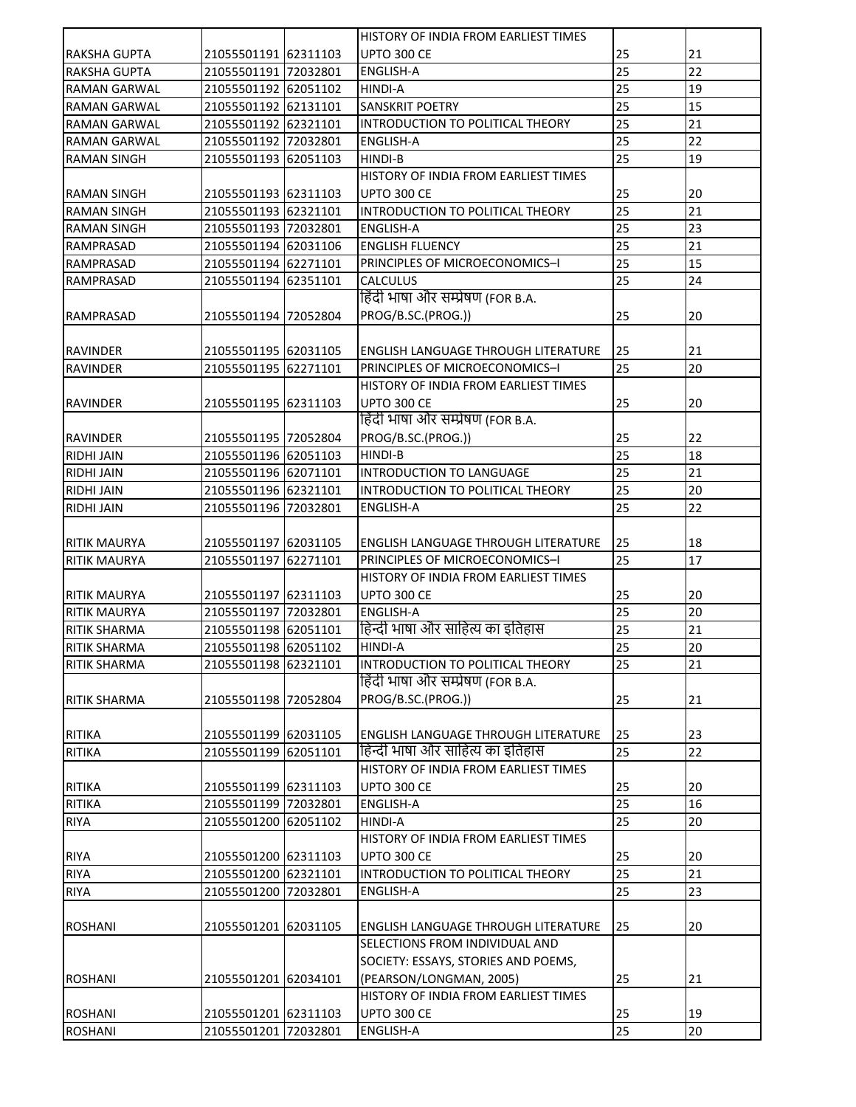|                                    |                      |          | HISTORY OF INDIA FROM EARLIEST TIMES       |    |    |
|------------------------------------|----------------------|----------|--------------------------------------------|----|----|
| <b>RAKSHA GUPTA</b>                | 21055501191 62311103 |          | <b>UPTO 300 CE</b>                         | 25 | 21 |
| <b>RAKSHA GUPTA</b>                | 21055501191 72032801 |          | <b>ENGLISH-A</b>                           | 25 | 22 |
| <b>RAMAN GARWAL</b>                | 21055501192 62051102 |          | <b>HINDI-A</b>                             | 25 | 19 |
| <b>RAMAN GARWAL</b>                | 21055501192 62131101 |          | <b>SANSKRIT POETRY</b>                     | 25 | 15 |
| <b>RAMAN GARWAL</b>                | 21055501192 62321101 |          | INTRODUCTION TO POLITICAL THEORY           | 25 | 21 |
| <b>RAMAN GARWAL</b>                | 21055501192 72032801 |          | <b>ENGLISH-A</b>                           | 25 | 22 |
| <b>RAMAN SINGH</b>                 | 21055501193 62051103 |          | <b>HINDI-B</b>                             | 25 | 19 |
|                                    |                      |          | HISTORY OF INDIA FROM EARLIEST TIMES       |    |    |
| <b>RAMAN SINGH</b>                 | 21055501193 62311103 |          | <b>UPTO 300 CE</b>                         | 25 | 20 |
| <b>RAMAN SINGH</b>                 | 21055501193 62321101 |          | INTRODUCTION TO POLITICAL THEORY           | 25 | 21 |
| <b>RAMAN SINGH</b>                 | 21055501193 72032801 |          | ENGLISH-A                                  | 25 | 23 |
| <b>RAMPRASAD</b>                   | 21055501194 62031106 |          | <b>ENGLISH FLUENCY</b>                     | 25 | 21 |
| <b>RAMPRASAD</b>                   | 21055501194 62271101 |          | PRINCIPLES OF MICROECONOMICS-I             | 25 | 15 |
| <b>RAMPRASAD</b>                   | 21055501194 62351101 |          | <b>CALCULUS</b>                            | 25 | 24 |
|                                    |                      |          | हिंदी भाषा और सम्प्रेषण (FOR B.A.          |    |    |
| RAMPRASAD                          | 21055501194 72052804 |          | PROG/B.SC.(PROG.))                         | 25 | 20 |
|                                    |                      |          |                                            |    |    |
|                                    | 21055501195 62031105 |          | <b>ENGLISH LANGUAGE THROUGH LITERATURE</b> | 25 | 21 |
| <b>RAVINDER</b><br><b>RAVINDER</b> | 21055501195 62271101 |          | PRINCIPLES OF MICROECONOMICS-I             | 25 | 20 |
|                                    |                      |          |                                            |    |    |
|                                    |                      |          | HISTORY OF INDIA FROM EARLIEST TIMES       |    |    |
| RAVINDER                           | 21055501195 62311103 |          | <b>UPTO 300 CE</b>                         | 25 | 20 |
|                                    |                      |          | हिंदी भाषा और सम्प्रेषण (FOR B.A.          |    |    |
| <b>RAVINDER</b>                    | 21055501195 72052804 |          | PROG/B.SC.(PROG.))                         | 25 | 22 |
| <b>RIDHI JAIN</b>                  | 21055501196 62051103 |          | HINDI-B                                    | 25 | 18 |
| <b>RIDHI JAIN</b>                  | 21055501196 62071101 |          | INTRODUCTION TO LANGUAGE                   | 25 | 21 |
| <b>RIDHI JAIN</b>                  | 21055501196 62321101 |          | INTRODUCTION TO POLITICAL THEORY           | 25 | 20 |
| <b>RIDHI JAIN</b>                  | 21055501196 72032801 |          | <b>ENGLISH-A</b>                           | 25 | 22 |
|                                    |                      |          |                                            |    |    |
| <b>RITIK MAURYA</b>                | 21055501197 62031105 |          | <b>ENGLISH LANGUAGE THROUGH LITERATURE</b> | 25 | 18 |
| <b>RITIK MAURYA</b>                | 21055501197          | 62271101 | PRINCIPLES OF MICROECONOMICS-I             | 25 | 17 |
|                                    |                      |          | HISTORY OF INDIA FROM EARLIEST TIMES       |    |    |
| <b>RITIK MAURYA</b>                | 21055501197 62311103 |          | UPTO 300 CE                                | 25 | 20 |
| <b>RITIK MAURYA</b>                | 21055501197 72032801 |          | <b>ENGLISH-A</b>                           | 25 | 20 |
| <b>RITIK SHARMA</b>                | 21055501198 62051101 |          | हिन्दी भाषा और साहित्य का इतिहास           | 25 | 21 |
| <b>RITIK SHARMA</b>                | 21055501198 62051102 |          | HINDI-A                                    | 25 | 20 |
| <b>RITIK SHARMA</b>                | 21055501198 62321101 |          | INTRODUCTION TO POLITICAL THEORY           | 25 | 21 |
|                                    |                      |          | हिंदी भाषा और सम्प्रेषण (FOR B.A.          |    |    |
| <b>RITIK SHARMA</b>                | 21055501198 72052804 |          | PROG/B.SC.(PROG.))                         | 25 | 21 |
|                                    |                      |          |                                            |    |    |
| <b>RITIKA</b>                      | 21055501199 62031105 |          | <b>ENGLISH LANGUAGE THROUGH LITERATURE</b> | 25 | 23 |
| <b>RITIKA</b>                      | 21055501199 62051101 |          | हिन्दी भाषा और साहित्य का इतिहास           | 25 | 22 |
|                                    |                      |          | HISTORY OF INDIA FROM EARLIEST TIMES       |    |    |
| <b>RITIKA</b>                      | 21055501199 62311103 |          | <b>UPTO 300 CE</b>                         | 25 | 20 |
| <b>RITIKA</b>                      | 21055501199 72032801 |          | <b>ENGLISH-A</b>                           | 25 | 16 |
| <b>RIYA</b>                        | 21055501200 62051102 |          | HINDI-A                                    | 25 | 20 |
|                                    |                      |          | HISTORY OF INDIA FROM EARLIEST TIMES       |    |    |
| <b>RIYA</b>                        | 21055501200 62311103 |          | <b>UPTO 300 CE</b>                         | 25 | 20 |
| <b>RIYA</b>                        | 21055501200 62321101 |          | INTRODUCTION TO POLITICAL THEORY           | 25 | 21 |
| <b>RIYA</b>                        | 21055501200 72032801 |          | <b>ENGLISH-A</b>                           | 25 | 23 |
|                                    |                      |          |                                            |    |    |
|                                    |                      |          |                                            |    |    |
| <b>ROSHANI</b>                     | 21055501201 62031105 |          | <b>ENGLISH LANGUAGE THROUGH LITERATURE</b> | 25 | 20 |
|                                    |                      |          | SELECTIONS FROM INDIVIDUAL AND             |    |    |
|                                    |                      |          | SOCIETY: ESSAYS, STORIES AND POEMS,        |    |    |
| <b>ROSHANI</b>                     | 21055501201 62034101 |          | (PEARSON/LONGMAN, 2005)                    | 25 | 21 |
|                                    |                      |          | HISTORY OF INDIA FROM EARLIEST TIMES       |    |    |
| <b>ROSHANI</b>                     | 21055501201 62311103 |          | <b>UPTO 300 CE</b>                         | 25 | 19 |
| <b>ROSHANI</b>                     | 21055501201 72032801 |          | <b>ENGLISH-A</b>                           | 25 | 20 |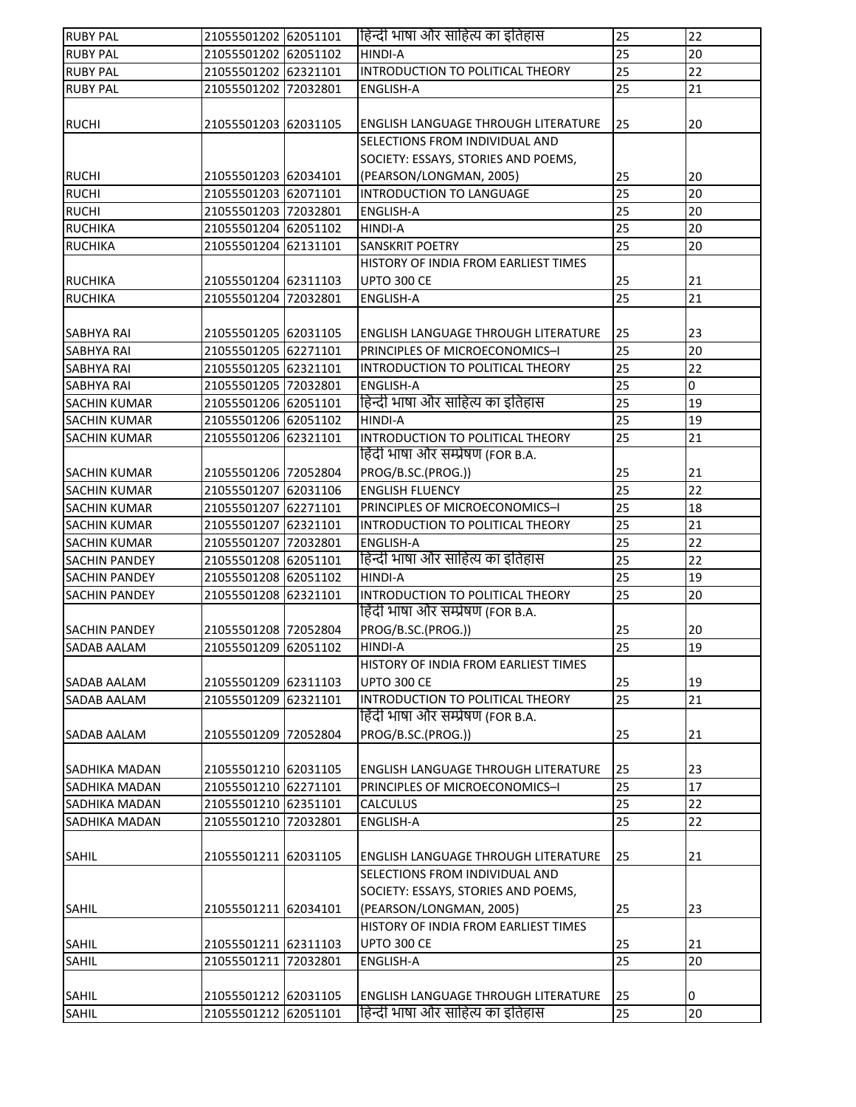| <b>RUBY PAL</b>      | 21055501202 62051101 | हिन्दी भाषा और साहित्य का इतिहास           | 25              | 22              |
|----------------------|----------------------|--------------------------------------------|-----------------|-----------------|
| <b>RUBY PAL</b>      | 21055501202 62051102 | <b>HINDI-A</b>                             | $\overline{25}$ | 20              |
| <b>RUBY PAL</b>      | 21055501202 62321101 | INTRODUCTION TO POLITICAL THEORY           | 25              | 22              |
| <b>RUBY PAL</b>      | 21055501202 72032801 | <b>ENGLISH-A</b>                           | 25              | 21              |
|                      |                      |                                            |                 |                 |
| <b>RUCHI</b>         | 21055501203 62031105 | <b>ENGLISH LANGUAGE THROUGH LITERATURE</b> | 25              | 20              |
|                      |                      | SELECTIONS FROM INDIVIDUAL AND             |                 |                 |
|                      |                      | SOCIETY: ESSAYS, STORIES AND POEMS,        |                 |                 |
| <b>RUCHI</b>         | 21055501203 62034101 | (PEARSON/LONGMAN, 2005)                    | 25              | 20              |
| <b>RUCHI</b>         | 21055501203 62071101 | INTRODUCTION TO LANGUAGE                   | 25              | 20              |
| <b>RUCHI</b>         | 21055501203 72032801 | <b>ENGLISH-A</b>                           | 25              | 20              |
| <b>RUCHIKA</b>       | 21055501204 62051102 | <b>HINDI-A</b>                             | 25              | 20              |
| <b>RUCHIKA</b>       | 21055501204 62131101 | <b>SANSKRIT POETRY</b>                     | 25              | 20              |
|                      |                      | HISTORY OF INDIA FROM EARLIEST TIMES       |                 |                 |
| <b>RUCHIKA</b>       | 21055501204 62311103 | <b>UPTO 300 CE</b>                         | 25              | 21              |
| <b>RUCHIKA</b>       | 21055501204 72032801 | <b>ENGLISH-A</b>                           | 25              | 21              |
|                      |                      |                                            |                 |                 |
| SABHYA RAI           | 21055501205 62031105 | ENGLISH LANGUAGE THROUGH LITERATURE        | 25              | 23              |
| SABHYA RAI           | 21055501205 62271101 | PRINCIPLES OF MICROECONOMICS-I             | 25              | 20              |
| SABHYA RAI           | 21055501205 62321101 | INTRODUCTION TO POLITICAL THEORY           | 25              | 22              |
| SABHYA RAI           | 21055501205 72032801 | <b>ENGLISH-A</b>                           | 25              | $\overline{0}$  |
| SACHIN KUMAR         | 21055501206 62051101 | हिन्दी भाषा और साहित्य का इतिहास           | 25              | 19              |
| <b>SACHIN KUMAR</b>  | 21055501206 62051102 | <b>HINDI-A</b>                             | 25              | 19              |
| <b>SACHIN KUMAR</b>  | 21055501206 62321101 | INTRODUCTION TO POLITICAL THEORY           | 25              | 21              |
|                      |                      | हिंदी भाषा और सम्प्रेषण (FOR B.A.          |                 |                 |
| SACHIN KUMAR         | 21055501206 72052804 | PROG/B.SC.(PROG.))                         | 25              | 21              |
| <b>SACHIN KUMAR</b>  | 21055501207 62031106 | <b>ENGLISH FLUENCY</b>                     | $\overline{25}$ | 22              |
| <b>SACHIN KUMAR</b>  | 21055501207 62271101 | PRINCIPLES OF MICROECONOMICS-I             | 25              | 18              |
| <b>SACHIN KUMAR</b>  | 21055501207 62321101 | INTRODUCTION TO POLITICAL THEORY           | 25              | 21              |
| <b>SACHIN KUMAR</b>  | 21055501207 72032801 | ENGLISH-A                                  | 25              | 22              |
| <b>SACHIN PANDEY</b> | 21055501208 62051101 | हिन्दी भाषा और साहित्य का इतिहास           | 25              | 22              |
| <b>SACHIN PANDEY</b> | 21055501208 62051102 | <b>HINDI-A</b>                             | 25              | 19              |
| <b>SACHIN PANDEY</b> | 21055501208 62321101 | INTRODUCTION TO POLITICAL THEORY           | 25              | 20              |
|                      |                      | हिंदी भाषा और सम्प्रेषण (FOR B.A.          |                 |                 |
| <b>SACHIN PANDEY</b> | 21055501208 72052804 | PROG/B.SC.(PROG.))                         | 25              | 20              |
| SADAB AALAM          | 21055501209 62051102 | HINDI-A                                    | 25              | 19              |
|                      |                      | HISTORY OF INDIA FROM EARLIEST TIMES       |                 |                 |
| SADAB AALAM          | 21055501209 62311103 | <b>UPTO 300 CE</b>                         | 25              | 19              |
| SADAB AALAM          | 21055501209 62321101 | INTRODUCTION TO POLITICAL THEORY           | $\overline{25}$ | $\overline{21}$ |
|                      |                      | हिंदी भाषा और सम्प्रेषण (FOR B.A.          |                 |                 |
| SADAB AALAM          | 21055501209 72052804 | PROG/B.SC.(PROG.))                         | 25              | 21              |
|                      |                      |                                            |                 |                 |
| SADHIKA MADAN        | 21055501210 62031105 | ENGLISH LANGUAGE THROUGH LITERATURE        | 25              | 23              |
| SADHIKA MADAN        | 21055501210 62271101 | PRINCIPLES OF MICROECONOMICS-I             | 25              | 17              |
| SADHIKA MADAN        | 21055501210 62351101 | <b>CALCULUS</b>                            | 25              | 22              |
|                      |                      | ENGLISH-A                                  | 25              | 22              |
| SADHIKA MADAN        | 21055501210 72032801 |                                            |                 |                 |
|                      |                      |                                            |                 |                 |
| SAHIL                | 21055501211 62031105 | <b>ENGLISH LANGUAGE THROUGH LITERATURE</b> | 25              | 21              |
|                      |                      | SELECTIONS FROM INDIVIDUAL AND             |                 |                 |
|                      |                      | SOCIETY: ESSAYS, STORIES AND POEMS,        |                 |                 |
| SAHIL                | 21055501211 62034101 | (PEARSON/LONGMAN, 2005)                    | 25              | 23              |
|                      |                      | HISTORY OF INDIA FROM EARLIEST TIMES       |                 |                 |
| SAHIL                | 21055501211 62311103 | <b>UPTO 300 CE</b>                         | 25              | 21              |
| SAHIL                | 21055501211 72032801 | ENGLISH-A                                  | 25              | 20              |
|                      |                      |                                            |                 |                 |
| SAHIL                | 21055501212 62031105 | <b>ENGLISH LANGUAGE THROUGH LITERATURE</b> | 25              | 0               |
| SAHIL                | 21055501212 62051101 | हिन्दी भाषा और साहित्य का इतिहास           | 25              | 20              |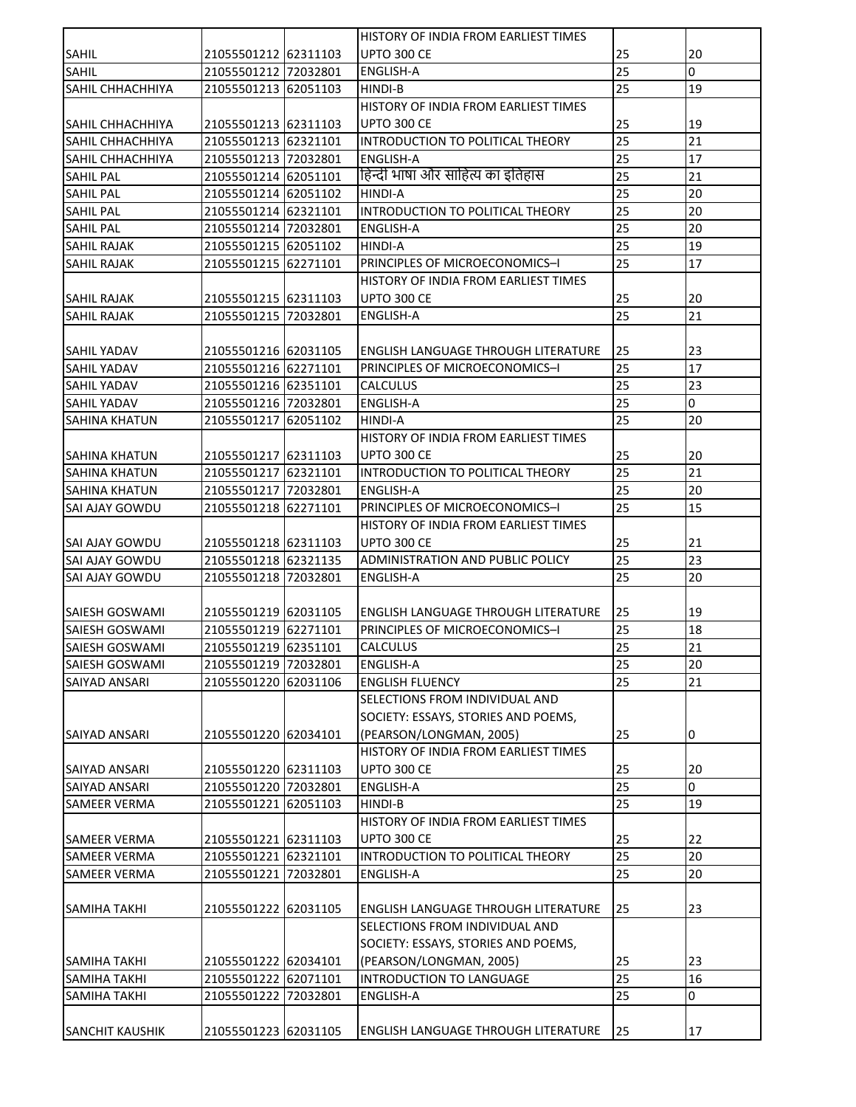| <b>SANCHIT KAUSHIK</b>                     | 21055501223 62031105                         | <b>ENGLISH LANGUAGE THROUGH LITERATURE</b>      | 25       | 17             |
|--------------------------------------------|----------------------------------------------|-------------------------------------------------|----------|----------------|
| <b>SAMIHA TAKHI</b>                        | 21055501222 72032801                         | <b>ENGLISH-A</b>                                | 25       | 0              |
| <b>SAMIHA TAKHI</b>                        | 21055501222 62071101                         | INTRODUCTION TO LANGUAGE                        | 25       | 16             |
| <b>SAMIHA TAKHI</b>                        | 21055501222 62034101                         | (PEARSON/LONGMAN, 2005)                         | 25       | 23             |
|                                            |                                              | SOCIETY: ESSAYS, STORIES AND POEMS,             |          |                |
|                                            |                                              | SELECTIONS FROM INDIVIDUAL AND                  |          |                |
| <b>SAMIHA TAKHI</b>                        | 21055501222 62031105                         | ENGLISH LANGUAGE THROUGH LITERATURE             | 25       | 23             |
|                                            |                                              |                                                 |          |                |
| <b>SAMEER VERMA</b>                        | 21055501221 72032801                         | <b>ENGLISH-A</b>                                | 25       | 20             |
| <b>SAMEER VERMA</b>                        | 21055501221 62321101                         | INTRODUCTION TO POLITICAL THEORY                | 25       | 20             |
| <b>SAMEER VERMA</b>                        | 21055501221 62311103                         | UPTO 300 CE                                     | 25       | 22             |
|                                            |                                              | HISTORY OF INDIA FROM EARLIEST TIMES            |          |                |
| <b>SAMEER VERMA</b>                        | 21055501221 62051103                         | HINDI-B                                         | 25       | 19             |
| SAIYAD ANSARI                              | 21055501220 72032801                         | <b>ENGLISH-A</b>                                | 25       | $\overline{0}$ |
| SAIYAD ANSARI                              | 21055501220 62311103                         | UPTO 300 CE                                     | 25       | 20             |
|                                            |                                              | HISTORY OF INDIA FROM EARLIEST TIMES            |          |                |
| <b>SAIYAD ANSARI</b>                       | 21055501220 62034101                         | (PEARSON/LONGMAN, 2005)                         | 25       | 0              |
|                                            |                                              | SOCIETY: ESSAYS, STORIES AND POEMS,             |          |                |
|                                            |                                              | SELECTIONS FROM INDIVIDUAL AND                  |          |                |
| <b>SAIYAD ANSARI</b>                       | 21055501220 62031106                         | <b>ENGLISH FLUENCY</b>                          | 25       | 21             |
| SAIESH GOSWAMI                             | 21055501219 72032801                         | <b>ENGLISH-A</b>                                | 25       | 20             |
| <b>SAIESH GOSWAMI</b>                      | 21055501219 62351101                         | <b>CALCULUS</b>                                 | 25       | 21             |
| SAIESH GOSWAMI                             | 21055501219 62271101                         | PRINCIPLES OF MICROECONOMICS-I                  | 25       | 18             |
| <b>SAIESH GOSWAMI</b>                      | 21055501219 62031105                         | ENGLISH LANGUAGE THROUGH LITERATURE             | 25       | 19             |
|                                            |                                              |                                                 |          |                |
| SAI AJAY GOWDU                             | 21055501218 72032801                         | <b>ENGLISH-A</b>                                | 25       | 20             |
| <b>SAI AJAY GOWDU</b>                      | 21055501218 62321135                         | ADMINISTRATION AND PUBLIC POLICY                | 25       | 23             |
| <b>SAI AJAY GOWDU</b>                      | 21055501218 62311103                         | <b>UPTO 300 CE</b>                              | 25       | 21             |
|                                            |                                              | HISTORY OF INDIA FROM EARLIEST TIMES            |          |                |
| SAI AJAY GOWDU                             | 21055501218 62271101                         | PRINCIPLES OF MICROECONOMICS-I                  | 25       | 15             |
| SAHINA KHATUN                              | 21055501217 72032801                         | ENGLISH-A                                       | 25       | 20             |
| <b>SAHINA KHATUN</b>                       | 21055501217 62321101                         | INTRODUCTION TO POLITICAL THEORY                | 25       | 21             |
| <b>SAHINA KHATUN</b>                       | 21055501217 62311103                         | <b>UPTO 300 CE</b>                              | 25       | 20             |
|                                            |                                              | HINDI-A<br>HISTORY OF INDIA FROM EARLIEST TIMES |          |                |
| <b>SAHIL YADAV</b><br><b>SAHINA KHATUN</b> | 21055501216 72032801<br>21055501217 62051102 |                                                 | 25       | 20             |
| SAHIL YADAV                                | 21055501216 62351101                         | <b>CALCULUS</b><br><b>ENGLISH-A</b>             | 25<br>25 | 23<br>0        |
| SAHIL YADAV                                | 21055501216 62271101                         | PRINCIPLES OF MICROECONOMICS-I                  | 25       | 17             |
| SAHIL YADAV                                | 21055501216 62031105                         | ENGLISH LANGUAGE THROUGH LITERATURE             | 25       | 23             |
|                                            |                                              |                                                 |          |                |
| <b>SAHIL RAJAK</b>                         | 21055501215 72032801                         | <b>ENGLISH-A</b>                                | 25       | 21             |
| SAHIL RAJAK                                | 21055501215 62311103                         | <b>UPTO 300 CE</b>                              | 25       | 20             |
|                                            |                                              | HISTORY OF INDIA FROM EARLIEST TIMES            |          |                |
| <b>SAHIL RAJAK</b>                         | 21055501215 62271101                         | PRINCIPLES OF MICROECONOMICS-I                  | 25       | 17             |
| <b>SAHIL RAJAK</b>                         | 21055501215 62051102                         | HINDI-A                                         | 25       | 19             |
| <b>SAHIL PAL</b>                           | 21055501214 72032801                         | <b>ENGLISH-A</b>                                | 25       | 20             |
| <b>SAHIL PAL</b>                           | 21055501214 62321101                         | INTRODUCTION TO POLITICAL THEORY                | 25       | 20             |
| <b>SAHIL PAL</b>                           | 21055501214 62051102                         | HINDI-A                                         | 25       | 20             |
| <b>SAHIL PAL</b>                           | 21055501214 62051101                         | हिन्दी भाषा और साहित्य का इतिहास                | 25       | 21             |
| <b>SAHIL CHHACHHIYA</b>                    | 21055501213 72032801                         | <b>ENGLISH-A</b>                                | 25       | 17             |
| <b>SAHIL CHHACHHIYA</b>                    | 21055501213 62321101                         | INTRODUCTION TO POLITICAL THEORY                | 25       | 21             |
| <b>SAHIL CHHACHHIYA</b>                    | 21055501213 62311103                         | <b>UPTO 300 CE</b>                              | 25       | 19             |
|                                            |                                              | HISTORY OF INDIA FROM EARLIEST TIMES            |          |                |
| SAHIL CHHACHHIYA                           | 21055501213 62051103                         | HINDI-B                                         | 25       | 19             |
| <b>SAHIL</b>                               | 21055501212 72032801                         | <b>ENGLISH-A</b>                                | 25       | 0              |
| SAHIL                                      | 21055501212 62311103                         | <b>UPTO 300 CE</b>                              | 25       | 20             |
|                                            |                                              | HISTORY OF INDIA FROM EARLIEST TIMES            |          |                |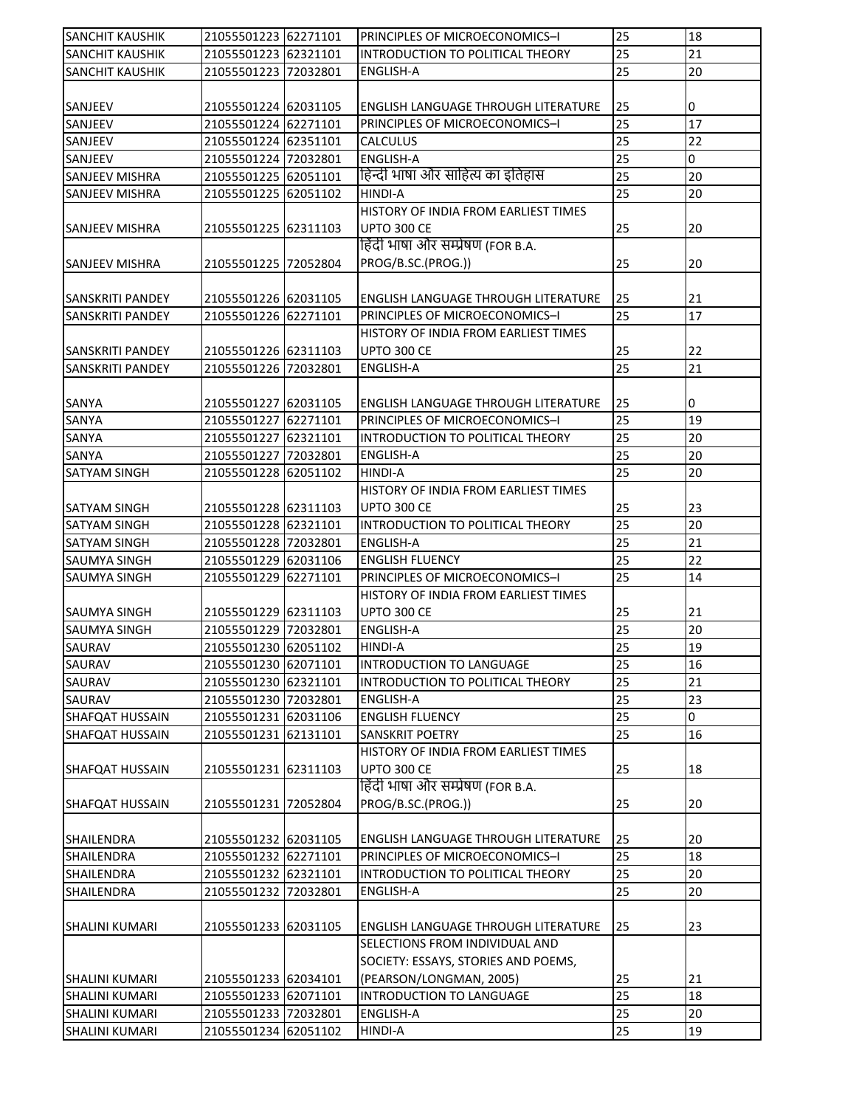| <b>SANCHIT KAUSHIK</b>              | 21055501223 62271101 | PRINCIPLES OF MICROECONOMICS-I                                         | 25              | 18          |
|-------------------------------------|----------------------|------------------------------------------------------------------------|-----------------|-------------|
| SANCHIT KAUSHIK                     | 21055501223 62321101 | INTRODUCTION TO POLITICAL THEORY                                       | 25              | 21          |
| <b>SANCHIT KAUSHIK</b>              | 21055501223 72032801 | ENGLISH-A                                                              | 25              | 20          |
|                                     |                      |                                                                        |                 |             |
| SANJEEV                             | 21055501224 62031105 | ENGLISH LANGUAGE THROUGH LITERATURE                                    | 25              | 0           |
| SANJEEV                             | 21055501224 62271101 | PRINCIPLES OF MICROECONOMICS-I                                         | 25              | 17          |
| SANJEEV                             | 21055501224 62351101 | CALCULUS                                                               | 25              | 22          |
| SANJEEV                             | 21055501224 72032801 | <b>ENGLISH-A</b>                                                       | 25              | $\mathbf 0$ |
| SANJEEV MISHRA                      | 21055501225 62051101 | हिन्दी भाषा और साहित्य का इतिहास                                       | 25              | 20          |
| <b>SANJEEV MISHRA</b>               | 21055501225 62051102 | HINDI-A                                                                | 25              | 20          |
|                                     |                      | HISTORY OF INDIA FROM EARLIEST TIMES                                   |                 |             |
| SANJEEV MISHRA                      | 21055501225 62311103 | <b>UPTO 300 CE</b>                                                     | 25              | 20          |
|                                     |                      | हिंदी भाषा और सम्प्रेषण (FOR B.A.                                      |                 |             |
| <b>SANJEEV MISHRA</b>               | 21055501225 72052804 | PROG/B.SC.(PROG.))                                                     | 25              | 20          |
|                                     |                      |                                                                        |                 |             |
| SANSKRITI PANDEY                    | 21055501226 62031105 | ENGLISH LANGUAGE THROUGH LITERATURE                                    | 25              | 21          |
| SANSKRITI PANDEY                    | 21055501226 62271101 | PRINCIPLES OF MICROECONOMICS-I                                         | 25              | 17          |
|                                     |                      | HISTORY OF INDIA FROM EARLIEST TIMES                                   |                 |             |
| <b>SANSKRITI PANDEY</b>             | 21055501226 62311103 | UPTO 300 CE                                                            | 25              | 22          |
| <b>SANSKRITI PANDEY</b>             | 21055501226 72032801 | <b>ENGLISH-A</b>                                                       | 25              | 21          |
|                                     |                      |                                                                        |                 |             |
| SANYA                               | 21055501227 62031105 | <b>ENGLISH LANGUAGE THROUGH LITERATURE</b>                             | 25              | 0           |
| SANYA                               | 21055501227 62271101 | PRINCIPLES OF MICROECONOMICS-I                                         | 25              | 19          |
| SANYA                               | 21055501227 62321101 | INTRODUCTION TO POLITICAL THEORY                                       | 25              | 20          |
| SANYA                               | 21055501227 72032801 | ENGLISH-A                                                              | $\overline{25}$ | 20          |
| SATYAM SINGH                        | 21055501228 62051102 | HINDI-A                                                                | 25              | 20          |
|                                     |                      | HISTORY OF INDIA FROM EARLIEST TIMES                                   |                 |             |
| SATYAM SINGH                        | 21055501228 62311103 | <b>UPTO 300 CE</b>                                                     | 25              | 23          |
| SATYAM SINGH                        | 21055501228 62321101 | INTRODUCTION TO POLITICAL THEORY                                       | 25              | 20          |
|                                     |                      |                                                                        | 25              | 21          |
| SATYAM SINGH                        | 21055501228 72032801 | ENGLISH-A                                                              | 25              | 22          |
| <b>SAUMYA SINGH</b><br>SAUMYA SINGH | 21055501229 62031106 | <b>ENGLISH FLUENCY</b>                                                 | 25              | 14          |
|                                     | 21055501229 62271101 | PRINCIPLES OF MICROECONOMICS-I<br>HISTORY OF INDIA FROM EARLIEST TIMES |                 |             |
|                                     |                      |                                                                        |                 |             |
| <b>SAUMYA SINGH</b>                 | 21055501229 62311103 | <b>UPTO 300 CE</b>                                                     | 25              | 21          |
| <b>SAUMYA SINGH</b>                 | 21055501229 72032801 | <b>ENGLISH-A</b>                                                       | 25              | 20          |
| SAURAV                              | 21055501230 62051102 | <b>HINDI-A</b>                                                         | 25              | 19          |
| SAURAV                              | 21055501230 62071101 | INTRODUCTION TO LANGUAGE                                               | 25              | 16          |
| SAURAV                              | 21055501230 62321101 | INTRODUCTION TO POLITICAL THEORY                                       | $\overline{25}$ | 21          |
| SAURAV                              | 21055501230 72032801 | <b>ENGLISH-A</b>                                                       | 25              | 23          |
| SHAFQAT HUSSAIN                     | 21055501231 62031106 | <b>ENGLISH FLUENCY</b>                                                 | 25              | 0           |
| SHAFQAT HUSSAIN                     | 21055501231 62131101 | SANSKRIT POETRY                                                        | 25              | 16          |
|                                     |                      | HISTORY OF INDIA FROM EARLIEST TIMES                                   |                 |             |
| <b>SHAFQAT HUSSAIN</b>              | 21055501231 62311103 | <b>UPTO 300 CE</b>                                                     | 25              | 18          |
|                                     |                      | हिंदी भाषा और सम्प्रेषण (FOR B.A.                                      |                 |             |
| <b>SHAFQAT HUSSAIN</b>              | 21055501231 72052804 | PROG/B.SC.(PROG.))                                                     | 25              | 20          |
|                                     |                      |                                                                        |                 |             |
| SHAILENDRA                          | 21055501232 62031105 | ENGLISH LANGUAGE THROUGH LITERATURE                                    | 25              | 20          |
| SHAILENDRA                          | 21055501232 62271101 | PRINCIPLES OF MICROECONOMICS-I                                         | 25              | 18          |
| <b>SHAILENDRA</b>                   | 21055501232 62321101 | INTRODUCTION TO POLITICAL THEORY                                       | 25              | 20          |
| SHAILENDRA                          | 21055501232 72032801 | <b>ENGLISH-A</b>                                                       | $\overline{25}$ | 20          |
|                                     |                      |                                                                        |                 |             |
| SHALINI KUMARI                      | 21055501233 62031105 | <b>ENGLISH LANGUAGE THROUGH LITERATURE</b>                             | 25              | 23          |
|                                     |                      | SELECTIONS FROM INDIVIDUAL AND                                         |                 |             |
|                                     |                      | SOCIETY: ESSAYS, STORIES AND POEMS,                                    |                 |             |
| <b>SHALINI KUMARI</b>               | 21055501233 62034101 | (PEARSON/LONGMAN, 2005)                                                | 25              | 21          |
| <b>SHALINI KUMARI</b>               | 21055501233 62071101 | INTRODUCTION TO LANGUAGE                                               | 25              | 18          |
| SHALINI KUMARI                      | 21055501233 72032801 | ENGLISH-A                                                              | 25              | 20          |
| SHALINI KUMARI                      | 21055501234 62051102 | <b>HINDI-A</b>                                                         | 25              | 19          |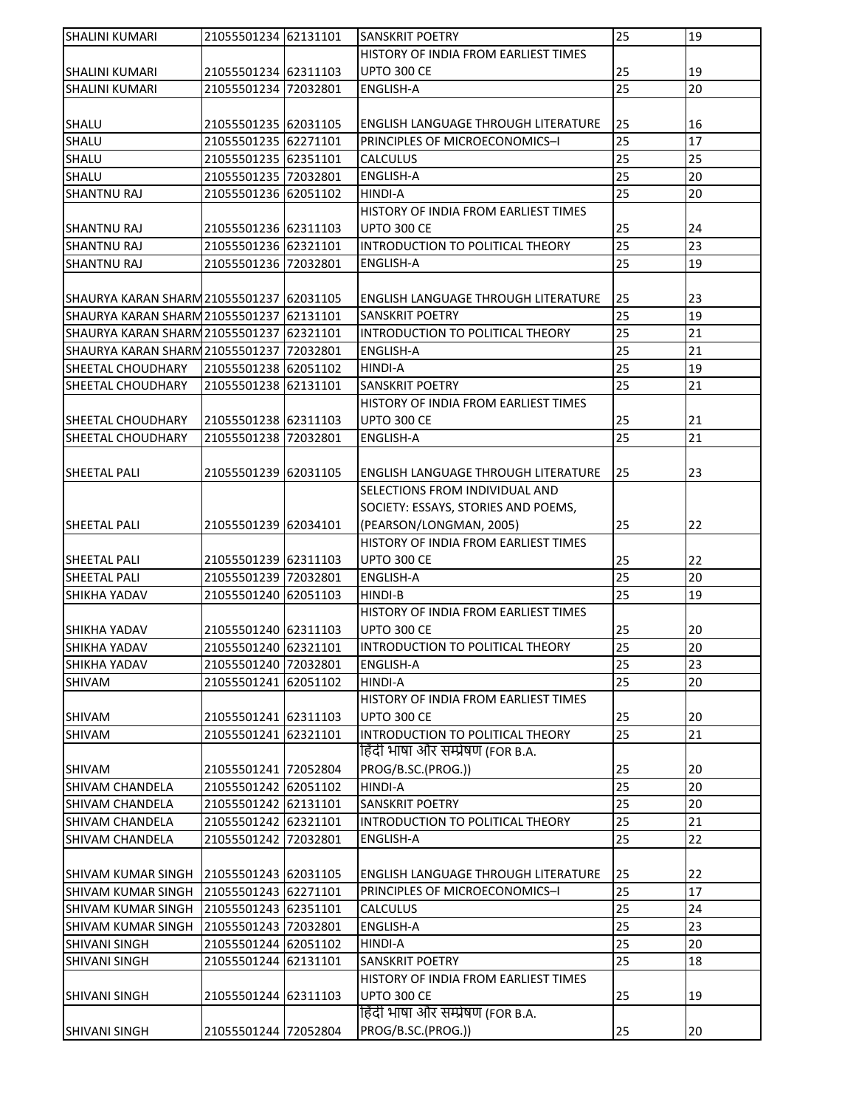| <b>SHALINI KUMARI</b>                    | 21055501234 62131101 |          | <b>SANSKRIT POETRY</b>                                                | 25 | 19 |
|------------------------------------------|----------------------|----------|-----------------------------------------------------------------------|----|----|
|                                          |                      |          | HISTORY OF INDIA FROM EARLIEST TIMES                                  |    |    |
| <b>SHALINI KUMARI</b>                    | 21055501234 62311103 |          | <b>UPTO 300 CE</b>                                                    | 25 | 19 |
| <b>SHALINI KUMARI</b>                    | 21055501234 72032801 |          | <b>ENGLISH-A</b>                                                      | 25 | 20 |
|                                          |                      |          |                                                                       |    |    |
| <b>SHALU</b>                             | 21055501235 62031105 |          | <b>ENGLISH LANGUAGE THROUGH LITERATURE</b>                            | 25 | 16 |
| SHALU                                    | 21055501235 62271101 |          | PRINCIPLES OF MICROECONOMICS-I                                        | 25 | 17 |
| SHALU                                    | 21055501235 62351101 |          | <b>CALCULUS</b>                                                       | 25 | 25 |
| SHALU                                    | 21055501235 72032801 |          | <b>ENGLISH-A</b>                                                      | 25 | 20 |
| <b>SHANTNU RAJ</b>                       | 21055501236 62051102 |          | <b>HINDI-A</b>                                                        | 25 | 20 |
|                                          |                      |          | HISTORY OF INDIA FROM EARLIEST TIMES                                  |    |    |
| <b>SHANTNU RAJ</b>                       | 21055501236 62311103 |          | <b>UPTO 300 CE</b>                                                    | 25 | 24 |
| <b>SHANTNU RAJ</b>                       | 21055501236 62321101 |          | INTRODUCTION TO POLITICAL THEORY                                      | 25 | 23 |
| <b>SHANTNU RAJ</b>                       | 21055501236 72032801 |          | <b>ENGLISH-A</b>                                                      | 25 | 19 |
|                                          |                      |          |                                                                       |    |    |
|                                          |                      |          |                                                                       |    |    |
| SHAURYA KARAN SHARM 21055501237 62031105 |                      |          | ENGLISH LANGUAGE THROUGH LITERATURE                                   | 25 | 23 |
| SHAURYA KARAN SHARM 21055501237 62131101 |                      |          | <b>SANSKRIT POETRY</b>                                                | 25 | 19 |
| SHAURYA KARAN SHARM 21055501237          |                      | 62321101 | INTRODUCTION TO POLITICAL THEORY                                      | 25 | 21 |
| SHAURYA KARAN SHARM 21055501237          |                      | 72032801 | <b>ENGLISH-A</b>                                                      | 25 | 21 |
| <b>SHEETAL CHOUDHARY</b>                 | 21055501238 62051102 |          | <b>HINDI-A</b>                                                        | 25 | 19 |
| <b>SHEETAL CHOUDHARY</b>                 | 21055501238 62131101 |          | <b>SANSKRIT POETRY</b>                                                | 25 | 21 |
|                                          |                      |          | HISTORY OF INDIA FROM EARLIEST TIMES                                  |    |    |
| <b>SHEETAL CHOUDHARY</b>                 | 21055501238 62311103 |          | <b>UPTO 300 CE</b>                                                    | 25 | 21 |
| <b>SHEETAL CHOUDHARY</b>                 | 21055501238 72032801 |          | <b>ENGLISH-A</b>                                                      | 25 | 21 |
|                                          |                      |          |                                                                       |    |    |
| <b>SHEETAL PALI</b>                      | 21055501239 62031105 |          | ENGLISH LANGUAGE THROUGH LITERATURE                                   | 25 | 23 |
|                                          |                      |          | SELECTIONS FROM INDIVIDUAL AND                                        |    |    |
|                                          |                      |          | SOCIETY: ESSAYS, STORIES AND POEMS,                                   |    |    |
| <b>SHEETAL PALI</b>                      | 21055501239 62034101 |          | (PEARSON/LONGMAN, 2005)                                               | 25 | 22 |
|                                          |                      |          | HISTORY OF INDIA FROM EARLIEST TIMES                                  |    |    |
| SHEETAL PALI                             | 21055501239 62311103 |          | <b>UPTO 300 CE</b>                                                    | 25 | 22 |
| SHEETAL PALI                             | 21055501239 72032801 |          | <b>ENGLISH-A</b>                                                      | 25 | 20 |
| SHIKHA YADAV                             | 21055501240 62051103 |          | HINDI-B                                                               | 25 | 19 |
|                                          |                      |          | HISTORY OF INDIA FROM EARLIEST TIMES                                  |    |    |
| <b>SHIKHA YADAV</b>                      | 21055501240 62311103 |          | <b>UPTO 300 CE</b>                                                    | 25 | 20 |
| SHIKHA YADAV                             | 21055501240 62321101 |          | INTRODUCTION TO POLITICAL THEORY                                      | 25 | 20 |
| SHIKHA YADAV                             | 21055501240 72032801 |          | <b>ENGLISH-A</b>                                                      | 25 | 23 |
| SHIVAM                                   | 21055501241 62051102 |          | HINDI-A                                                               | 25 | 20 |
|                                          |                      |          | HISTORY OF INDIA FROM EARLIEST TIMES                                  |    |    |
|                                          |                      |          |                                                                       |    |    |
| SHIVAM                                   | 21055501241 62311103 |          | UPTO 300 CE                                                           | 25 | 20 |
| <b>SHIVAM</b>                            | 21055501241 62321101 |          | INTRODUCTION TO POLITICAL THEORY<br>हिंदी भाषा और सम्प्रेषण (FOR B.A. | 25 | 21 |
|                                          |                      |          |                                                                       |    |    |
| SHIVAM                                   | 21055501241 72052804 |          | PROG/B.SC.(PROG.))                                                    | 25 | 20 |
| <b>SHIVAM CHANDELA</b>                   | 21055501242 62051102 |          | HINDI-A                                                               | 25 | 20 |
| <b>SHIVAM CHANDELA</b>                   | 21055501242 62131101 |          | <b>SANSKRIT POETRY</b>                                                | 25 | 20 |
| <b>SHIVAM CHANDELA</b>                   | 21055501242 62321101 |          | INTRODUCTION TO POLITICAL THEORY                                      | 25 | 21 |
| <b>SHIVAM CHANDELA</b>                   | 21055501242 72032801 |          | <b>ENGLISH-A</b>                                                      | 25 | 22 |
|                                          |                      |          |                                                                       |    |    |
| SHIVAM KUMAR SINGH 21055501243 62031105  |                      |          | <b>ENGLISH LANGUAGE THROUGH LITERATURE</b>                            | 25 | 22 |
| <b>SHIVAM KUMAR SINGH</b>                | 21055501243 62271101 |          | PRINCIPLES OF MICROECONOMICS-I                                        | 25 | 17 |
| <b>SHIVAM KUMAR SINGH</b>                | 21055501243 62351101 |          | <b>CALCULUS</b>                                                       | 25 | 24 |
| <b>SHIVAM KUMAR SINGH</b>                | 21055501243 72032801 |          | <b>ENGLISH-A</b>                                                      | 25 | 23 |
| <b>SHIVANI SINGH</b>                     | 21055501244 62051102 |          | <b>HINDI-A</b>                                                        | 25 | 20 |
| SHIVANI SINGH                            | 21055501244          | 62131101 | SANSKRIT POETRY                                                       | 25 | 18 |
|                                          |                      |          | HISTORY OF INDIA FROM EARLIEST TIMES                                  |    |    |
| <b>SHIVANI SINGH</b>                     | 21055501244 62311103 |          | <b>UPTO 300 CE</b>                                                    | 25 | 19 |
|                                          |                      |          | हिंदी भाषा और सम्प्रेषण (FOR B.A.                                     |    |    |
| <b>SHIVANI SINGH</b>                     | 21055501244 72052804 |          | PROG/B.SC.(PROG.))                                                    | 25 | 20 |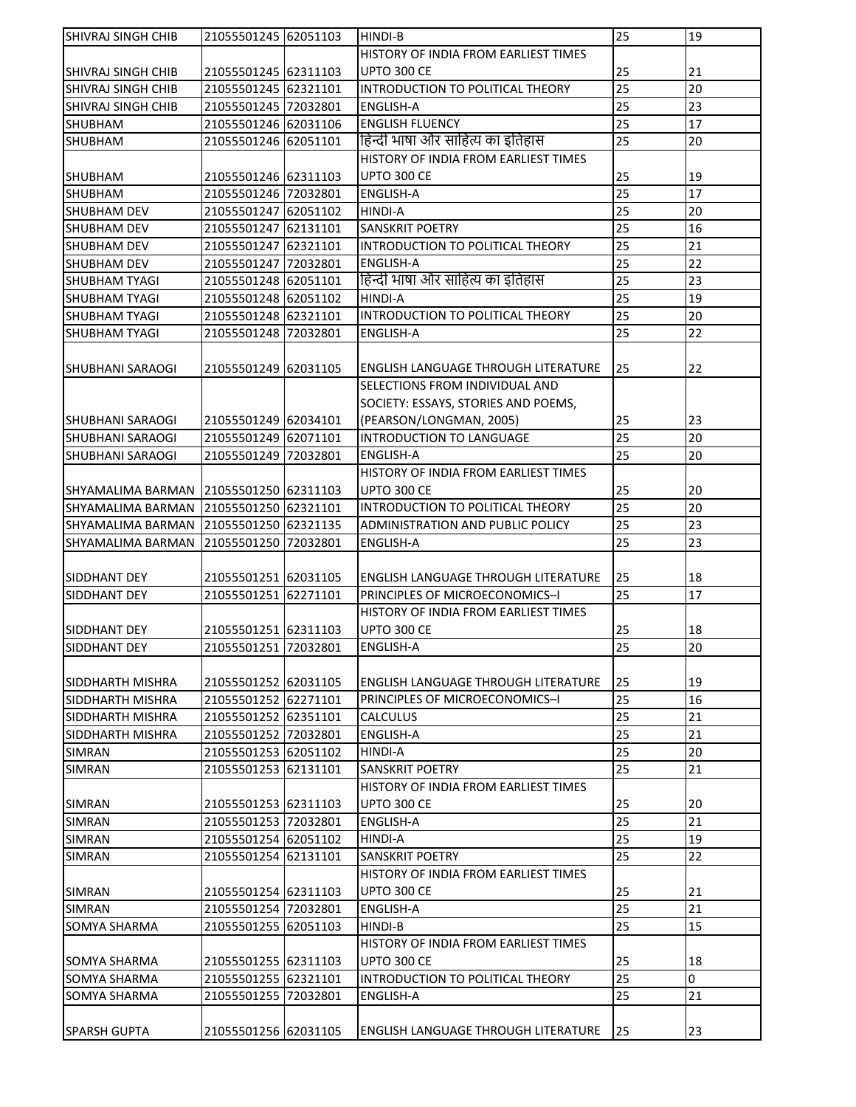| <b>SHIVRAJ SINGH CHIB</b>              | 21055501245 62051103 |          | <b>HINDI-B</b>                                                        | 25 | 19       |
|----------------------------------------|----------------------|----------|-----------------------------------------------------------------------|----|----------|
|                                        |                      |          | HISTORY OF INDIA FROM EARLIEST TIMES                                  |    |          |
| SHIVRAJ SINGH CHIB                     | 21055501245 62311103 |          | <b>UPTO 300 CE</b>                                                    | 25 | 21       |
| <b>SHIVRAJ SINGH CHIB</b>              | 21055501245 62321101 |          | INTRODUCTION TO POLITICAL THEORY                                      | 25 | 20       |
| <b>SHIVRAJ SINGH CHIB</b>              | 21055501245 72032801 |          | <b>ENGLISH-A</b>                                                      | 25 | 23       |
| <b>SHUBHAM</b>                         | 21055501246 62031106 |          | <b>ENGLISH FLUENCY</b>                                                | 25 | 17       |
| SHUBHAM                                | 21055501246 62051101 |          | हिन्दी भाषा और साहित्य का इतिहास                                      | 25 | 20       |
|                                        |                      |          | HISTORY OF INDIA FROM EARLIEST TIMES                                  |    |          |
| <b>SHUBHAM</b>                         | 21055501246 62311103 |          | <b>UPTO 300 CE</b>                                                    | 25 | 19       |
| <b>SHUBHAM</b>                         | 21055501246 72032801 |          | <b>ENGLISH-A</b>                                                      | 25 | 17       |
| <b>SHUBHAM DEV</b>                     | 21055501247 62051102 |          | <b>HINDI-A</b>                                                        | 25 | 20       |
| <b>SHUBHAM DEV</b>                     | 21055501247 62131101 |          | <b>SANSKRIT POETRY</b>                                                | 25 | 16       |
| <b>SHUBHAM DEV</b>                     | 21055501247 62321101 |          | INTRODUCTION TO POLITICAL THEORY                                      | 25 | 21       |
| <b>SHUBHAM DEV</b>                     | 21055501247          | 72032801 | <b>ENGLISH-A</b>                                                      | 25 | 22       |
| <b>SHUBHAM TYAGI</b>                   | 21055501248 62051101 |          | हिन्दी भाषा और साहित्य का इतिहास                                      | 25 | 23       |
| <b>SHUBHAM TYAGI</b>                   | 21055501248 62051102 |          | HINDI-A                                                               | 25 | 19       |
| <b>SHUBHAM TYAGI</b>                   | 21055501248 62321101 |          | INTRODUCTION TO POLITICAL THEORY                                      | 25 | 20       |
| SHUBHAM TYAGI                          | 21055501248 72032801 |          | <b>ENGLISH-A</b>                                                      | 25 | 22       |
|                                        |                      |          |                                                                       |    |          |
| <b>SHUBHANI SARAOGI</b>                | 21055501249 62031105 |          | ENGLISH LANGUAGE THROUGH LITERATURE                                   | 25 | 22       |
|                                        |                      |          | SELECTIONS FROM INDIVIDUAL AND                                        |    |          |
|                                        |                      |          | SOCIETY: ESSAYS, STORIES AND POEMS,                                   |    |          |
| <b>SHUBHANI SARAOGI</b>                | 21055501249 62034101 |          | (PEARSON/LONGMAN, 2005)                                               | 25 | 23       |
| <b>SHUBHANI SARAOGI</b>                | 21055501249 62071101 |          | INTRODUCTION TO LANGUAGE                                              | 25 | 20       |
| <b>SHUBHANI SARAOGI</b>                | 21055501249 72032801 |          | <b>ENGLISH-A</b>                                                      | 25 | 20       |
|                                        |                      |          | HISTORY OF INDIA FROM EARLIEST TIMES                                  |    |          |
| SHYAMALIMA BARMAN 21055501250 62311103 |                      |          | <b>UPTO 300 CE</b>                                                    | 25 | 20       |
| SHYAMALIMA BARMAN                      | 21055501250 62321101 |          | INTRODUCTION TO POLITICAL THEORY                                      | 25 | 20       |
|                                        |                      |          | ADMINISTRATION AND PUBLIC POLICY                                      |    |          |
| SHYAMALIMA BARMAN                      | 21055501250 62321135 |          |                                                                       | 25 | 23<br>23 |
| SHYAMALIMA BARMAN                      | 21055501250 72032801 |          | <b>ENGLISH-A</b>                                                      | 25 |          |
|                                        |                      |          |                                                                       |    |          |
| SIDDHANT DEY                           | 21055501251 62031105 |          | ENGLISH LANGUAGE THROUGH LITERATURE<br>PRINCIPLES OF MICROECONOMICS-I | 25 | 18       |
| SIDDHANT DEY                           | 21055501251 62271101 |          |                                                                       | 25 | 17       |
|                                        |                      |          | HISTORY OF INDIA FROM EARLIEST TIMES                                  |    |          |
| SIDDHANT DEY                           | 21055501251 62311103 |          | <b>UPTO 300 CE</b>                                                    | 25 | 18       |
| SIDDHANT DEY                           | 21055501251 72032801 |          | <b>ENGLISH-A</b>                                                      | 25 | 20       |
|                                        |                      |          |                                                                       |    |          |
| SIDDHARTH MISHRA                       | 21055501252 62031105 |          | ENGLISH LANGUAGE THROUGH LITERATURE                                   | 25 | 19       |
| SIDDHARTH MISHRA                       | 21055501252 62271101 |          | PRINCIPLES OF MICROECONOMICS-I                                        | 25 | 16       |
| SIDDHARTH MISHRA                       | 21055501252 62351101 |          | CALCULUS                                                              | 25 | 21       |
| SIDDHARTH MISHRA                       | 21055501252 72032801 |          | <b>ENGLISH-A</b>                                                      | 25 | 21       |
| <b>SIMRAN</b>                          | 21055501253 62051102 |          | HINDI-A                                                               | 25 | 20       |
| <b>SIMRAN</b>                          | 21055501253 62131101 |          | SANSKRIT POETRY                                                       | 25 | 21       |
|                                        |                      |          | HISTORY OF INDIA FROM EARLIEST TIMES                                  |    |          |
| <b>SIMRAN</b>                          | 21055501253 62311103 |          | <b>UPTO 300 CE</b>                                                    | 25 | 20       |
| <b>SIMRAN</b>                          | 21055501253 72032801 |          | <b>ENGLISH-A</b>                                                      | 25 | 21       |
| <b>SIMRAN</b>                          | 21055501254 62051102 |          | HINDI-A                                                               | 25 | 19       |
| <b>SIMRAN</b>                          | 21055501254 62131101 |          | <b>SANSKRIT POETRY</b>                                                | 25 | 22       |
|                                        |                      |          | HISTORY OF INDIA FROM EARLIEST TIMES                                  |    |          |
| SIMRAN                                 | 21055501254 62311103 |          | <b>UPTO 300 CE</b>                                                    | 25 | 21       |
| <b>SIMRAN</b>                          | 21055501254 72032801 |          | <b>ENGLISH-A</b>                                                      | 25 | 21       |
| SOMYA SHARMA                           | 21055501255 62051103 |          | HINDI-B                                                               | 25 | 15       |
|                                        |                      |          | HISTORY OF INDIA FROM EARLIEST TIMES                                  |    |          |
| SOMYA SHARMA                           |                      |          | <b>UPTO 300 CE</b>                                                    | 25 | 18       |
|                                        | 21055501255 62311103 |          |                                                                       |    |          |
| SOMYA SHARMA                           | 21055501255 62321101 |          | INTRODUCTION TO POLITICAL THEORY                                      | 25 | O        |
| SOMYA SHARMA                           | 21055501255 72032801 |          | ENGLISH-A                                                             | 25 | 21       |
|                                        |                      |          |                                                                       |    |          |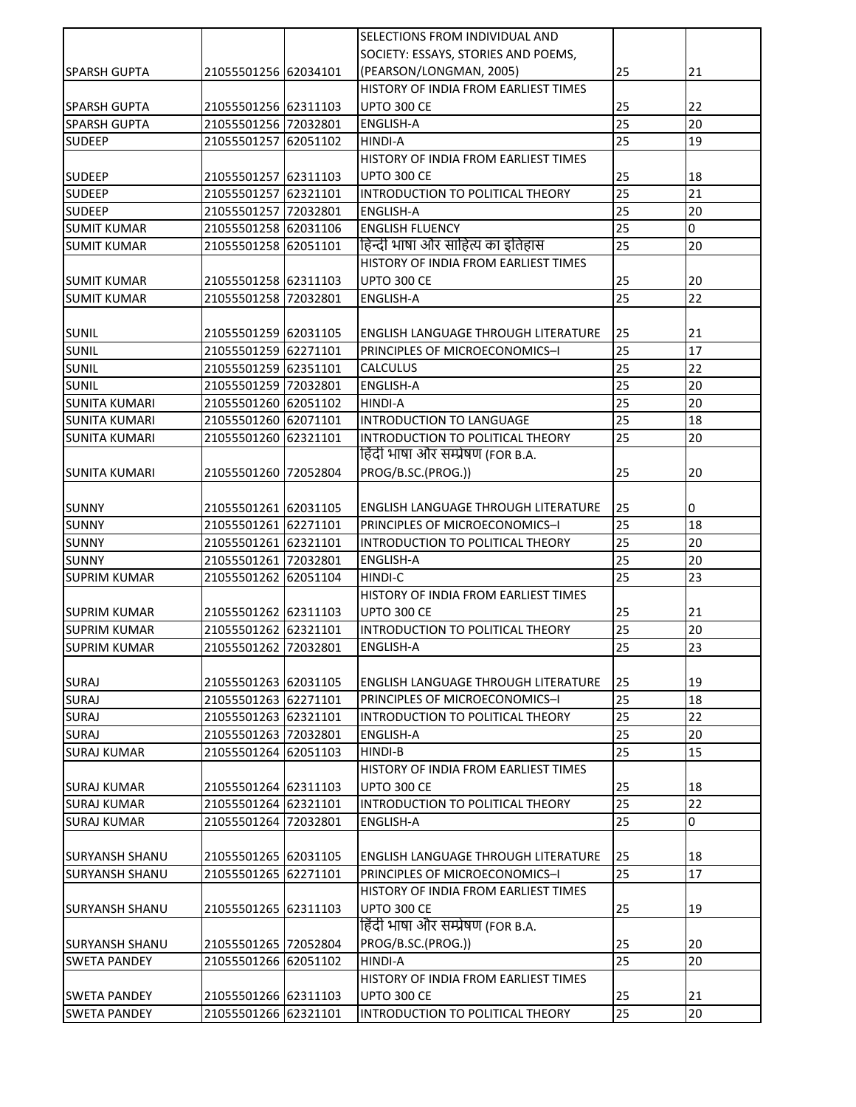| SOCIETY: ESSAYS, STORIES AND POEMS,<br>21055501256 62034101<br>(PEARSON/LONGMAN, 2005)<br>25<br>21<br><b>SPARSH GUPTA</b><br>HISTORY OF INDIA FROM EARLIEST TIMES<br>UPTO 300 CE<br>22<br><b>SPARSH GUPTA</b><br>21055501256 62311103<br>25<br>25<br>20<br>21055501256 72032801<br><b>SPARSH GUPTA</b><br><b>ENGLISH-A</b><br>25<br><b>SUDEEP</b><br>21055501257 62051102<br>19<br><b>HINDI-A</b><br>HISTORY OF INDIA FROM EARLIEST TIMES<br>21055501257 62311103<br>25<br>18<br><b>SUDEEP</b><br><b>UPTO 300 CE</b><br>$\overline{25}$<br>21<br><b>SUDEEP</b><br>62321101<br>INTRODUCTION TO POLITICAL THEORY<br>21055501257<br>25<br>20<br><b>SUDEEP</b><br><b>ENGLISH-A</b><br>21055501257 72032801<br>25<br>$\overline{0}$<br><b>SUMIT KUMAR</b><br>21055501258 62031106<br><b>ENGLISH FLUENCY</b><br>हिन्दी भाषा और साहित्य का इतिहास<br>25<br>20<br><b>SUMIT KUMAR</b><br>21055501258 62051101<br>HISTORY OF INDIA FROM EARLIEST TIMES<br><b>UPTO 300 CE</b><br><b>SUMIT KUMAR</b><br>21055501258 62311103<br>25<br>20<br>25<br>22<br><b>SUMIT KUMAR</b><br>21055501258 72032801<br><b>ENGLISH-A</b><br>21<br><b>SUNIL</b><br>21055501259 62031105<br><b>ENGLISH LANGUAGE THROUGH LITERATURE</b><br>25<br>17<br>PRINCIPLES OF MICROECONOMICS-I<br>25<br><b>SUNIL</b><br>21055501259 62271101<br>25<br><b>SUNIL</b><br>21055501259 62351101<br><b>CALCULUS</b><br>22<br>25<br>SUNIL<br>20<br>21055501259 72032801<br><b>ENGLISH-A</b><br>25<br>20<br>21055501260 62051102<br><b>HINDI-A</b><br><b>SUNITA KUMARI</b><br>25<br>18<br>21055501260 62071101<br><b>SUNITA KUMARI</b><br>INTRODUCTION TO LANGUAGE<br>25<br>20<br><b>SUNITA KUMARI</b><br>21055501260 62321101<br>INTRODUCTION TO POLITICAL THEORY<br>हिंदी भाषा और सम्प्रेषण (FOR B.A.<br>PROG/B.SC.(PROG.))<br>25<br>20<br>21055501260 72052804<br><b>SUNITA KUMARI</b><br><b>SUNNY</b><br>21055501261 62031105<br>25<br>0<br><b>ENGLISH LANGUAGE THROUGH LITERATURE</b><br>25<br>18<br><b>SUNNY</b><br>21055501261 62271101<br>PRINCIPLES OF MICROECONOMICS-I<br>25<br>20<br><b>SUNNY</b><br>21055501261 62321101<br>INTRODUCTION TO POLITICAL THEORY<br>25<br>20<br><b>SUNNY</b><br>21055501261 72032801<br><b>ENGLISH-A</b><br>25<br>23<br><b>SUPRIM KUMAR</b><br>21055501262<br>62051104<br>HINDI-C<br>HISTORY OF INDIA FROM EARLIEST TIMES<br>25<br><b>SUPRIM KUMAR</b><br>21055501262 62311103<br>UPTO 300 CE<br>21<br>25<br>20<br><b>SUPRIM KUMAR</b><br>21055501262 62321101<br>INTRODUCTION TO POLITICAL THEORY<br>25<br>23<br><b>ENGLISH-A</b><br><b>SUPRIM KUMAR</b><br>21055501262 72032801<br><b>SURAJ</b><br>21055501263 62031105<br>25<br>19<br>ENGLISH LANGUAGE THROUGH LITERATURE<br>18<br><b>SURAJ</b><br>25<br>21055501263 62271101<br>PRINCIPLES OF MICROECONOMICS-I<br>25<br>22<br>21055501263 62321101<br><b>SURAJ</b><br>INTRODUCTION TO POLITICAL THEORY<br>20<br>21055501263 72032801<br>25<br><b>SURAJ</b><br><b>ENGLISH-A</b><br>25<br>15<br><b>SURAJ KUMAR</b><br>21055501264 62051103<br>HINDI-B<br>HISTORY OF INDIA FROM EARLIEST TIMES<br>UPTO 300 CE<br>25<br>18<br><b>SURAJ KUMAR</b><br>21055501264 62311103<br>25<br>22<br>21055501264 62321101<br>INTRODUCTION TO POLITICAL THEORY<br><b>SURAJ KUMAR</b><br>25<br>0<br><b>SURAJ KUMAR</b><br>21055501264 72032801<br>ENGLISH-A<br>25<br>18<br>21055501265 62031105<br><b>SURYANSH SHANU</b><br><b>ENGLISH LANGUAGE THROUGH LITERATURE</b><br>$\overline{25}$<br>17<br><b>SURYANSH SHANU</b><br>21055501265 62271101<br>PRINCIPLES OF MICROECONOMICS-I<br>HISTORY OF INDIA FROM EARLIEST TIMES<br><b>UPTO 300 CE</b><br>25<br>19<br>21055501265 62311103<br>ISURYANSH SHANU<br>हिंदी भाषा और सम्प्रेषण (FOR B.A.<br>PROG/B.SC.(PROG.))<br><b>SURYANSH SHANU</b><br>21055501265 72052804<br>25<br>20<br>25<br>20<br>21055501266 62051102<br>HINDI-A<br><b>SWETA PANDEY</b><br>HISTORY OF INDIA FROM EARLIEST TIMES<br><b>UPTO 300 CE</b><br>21<br><b>SWETA PANDEY</b><br>21055501266 62311103<br>25<br>25<br><b>SWETA PANDEY</b><br>21055501266 62321101<br>INTRODUCTION TO POLITICAL THEORY<br>20 |  | SELECTIONS FROM INDIVIDUAL AND |  |
|------------------------------------------------------------------------------------------------------------------------------------------------------------------------------------------------------------------------------------------------------------------------------------------------------------------------------------------------------------------------------------------------------------------------------------------------------------------------------------------------------------------------------------------------------------------------------------------------------------------------------------------------------------------------------------------------------------------------------------------------------------------------------------------------------------------------------------------------------------------------------------------------------------------------------------------------------------------------------------------------------------------------------------------------------------------------------------------------------------------------------------------------------------------------------------------------------------------------------------------------------------------------------------------------------------------------------------------------------------------------------------------------------------------------------------------------------------------------------------------------------------------------------------------------------------------------------------------------------------------------------------------------------------------------------------------------------------------------------------------------------------------------------------------------------------------------------------------------------------------------------------------------------------------------------------------------------------------------------------------------------------------------------------------------------------------------------------------------------------------------------------------------------------------------------------------------------------------------------------------------------------------------------------------------------------------------------------------------------------------------------------------------------------------------------------------------------------------------------------------------------------------------------------------------------------------------------------------------------------------------------------------------------------------------------------------------------------------------------------------------------------------------------------------------------------------------------------------------------------------------------------------------------------------------------------------------------------------------------------------------------------------------------------------------------------------------------------------------------------------------------------------------------------------------------------------------------------------------------------------------------------------------------------------------------------------------------------------------------------------------------------------------------------------------------------------------------------------------------------------------------------------------------------------------------------------------------------------------------------------------------------------------------------------------------------------------------------------------------------------------------------------------------------------------------------------------------------------------------------------------------------------------------------------------------------------------------------------------------------------------------------------------------------------------------|--|--------------------------------|--|
|                                                                                                                                                                                                                                                                                                                                                                                                                                                                                                                                                                                                                                                                                                                                                                                                                                                                                                                                                                                                                                                                                                                                                                                                                                                                                                                                                                                                                                                                                                                                                                                                                                                                                                                                                                                                                                                                                                                                                                                                                                                                                                                                                                                                                                                                                                                                                                                                                                                                                                                                                                                                                                                                                                                                                                                                                                                                                                                                                                                                                                                                                                                                                                                                                                                                                                                                                                                                                                                                                                                                                                                                                                                                                                                                                                                                                                                                                                                                                                                                                                                      |  |                                |  |
|                                                                                                                                                                                                                                                                                                                                                                                                                                                                                                                                                                                                                                                                                                                                                                                                                                                                                                                                                                                                                                                                                                                                                                                                                                                                                                                                                                                                                                                                                                                                                                                                                                                                                                                                                                                                                                                                                                                                                                                                                                                                                                                                                                                                                                                                                                                                                                                                                                                                                                                                                                                                                                                                                                                                                                                                                                                                                                                                                                                                                                                                                                                                                                                                                                                                                                                                                                                                                                                                                                                                                                                                                                                                                                                                                                                                                                                                                                                                                                                                                                                      |  |                                |  |
|                                                                                                                                                                                                                                                                                                                                                                                                                                                                                                                                                                                                                                                                                                                                                                                                                                                                                                                                                                                                                                                                                                                                                                                                                                                                                                                                                                                                                                                                                                                                                                                                                                                                                                                                                                                                                                                                                                                                                                                                                                                                                                                                                                                                                                                                                                                                                                                                                                                                                                                                                                                                                                                                                                                                                                                                                                                                                                                                                                                                                                                                                                                                                                                                                                                                                                                                                                                                                                                                                                                                                                                                                                                                                                                                                                                                                                                                                                                                                                                                                                                      |  |                                |  |
|                                                                                                                                                                                                                                                                                                                                                                                                                                                                                                                                                                                                                                                                                                                                                                                                                                                                                                                                                                                                                                                                                                                                                                                                                                                                                                                                                                                                                                                                                                                                                                                                                                                                                                                                                                                                                                                                                                                                                                                                                                                                                                                                                                                                                                                                                                                                                                                                                                                                                                                                                                                                                                                                                                                                                                                                                                                                                                                                                                                                                                                                                                                                                                                                                                                                                                                                                                                                                                                                                                                                                                                                                                                                                                                                                                                                                                                                                                                                                                                                                                                      |  |                                |  |
|                                                                                                                                                                                                                                                                                                                                                                                                                                                                                                                                                                                                                                                                                                                                                                                                                                                                                                                                                                                                                                                                                                                                                                                                                                                                                                                                                                                                                                                                                                                                                                                                                                                                                                                                                                                                                                                                                                                                                                                                                                                                                                                                                                                                                                                                                                                                                                                                                                                                                                                                                                                                                                                                                                                                                                                                                                                                                                                                                                                                                                                                                                                                                                                                                                                                                                                                                                                                                                                                                                                                                                                                                                                                                                                                                                                                                                                                                                                                                                                                                                                      |  |                                |  |
|                                                                                                                                                                                                                                                                                                                                                                                                                                                                                                                                                                                                                                                                                                                                                                                                                                                                                                                                                                                                                                                                                                                                                                                                                                                                                                                                                                                                                                                                                                                                                                                                                                                                                                                                                                                                                                                                                                                                                                                                                                                                                                                                                                                                                                                                                                                                                                                                                                                                                                                                                                                                                                                                                                                                                                                                                                                                                                                                                                                                                                                                                                                                                                                                                                                                                                                                                                                                                                                                                                                                                                                                                                                                                                                                                                                                                                                                                                                                                                                                                                                      |  |                                |  |
|                                                                                                                                                                                                                                                                                                                                                                                                                                                                                                                                                                                                                                                                                                                                                                                                                                                                                                                                                                                                                                                                                                                                                                                                                                                                                                                                                                                                                                                                                                                                                                                                                                                                                                                                                                                                                                                                                                                                                                                                                                                                                                                                                                                                                                                                                                                                                                                                                                                                                                                                                                                                                                                                                                                                                                                                                                                                                                                                                                                                                                                                                                                                                                                                                                                                                                                                                                                                                                                                                                                                                                                                                                                                                                                                                                                                                                                                                                                                                                                                                                                      |  |                                |  |
|                                                                                                                                                                                                                                                                                                                                                                                                                                                                                                                                                                                                                                                                                                                                                                                                                                                                                                                                                                                                                                                                                                                                                                                                                                                                                                                                                                                                                                                                                                                                                                                                                                                                                                                                                                                                                                                                                                                                                                                                                                                                                                                                                                                                                                                                                                                                                                                                                                                                                                                                                                                                                                                                                                                                                                                                                                                                                                                                                                                                                                                                                                                                                                                                                                                                                                                                                                                                                                                                                                                                                                                                                                                                                                                                                                                                                                                                                                                                                                                                                                                      |  |                                |  |
|                                                                                                                                                                                                                                                                                                                                                                                                                                                                                                                                                                                                                                                                                                                                                                                                                                                                                                                                                                                                                                                                                                                                                                                                                                                                                                                                                                                                                                                                                                                                                                                                                                                                                                                                                                                                                                                                                                                                                                                                                                                                                                                                                                                                                                                                                                                                                                                                                                                                                                                                                                                                                                                                                                                                                                                                                                                                                                                                                                                                                                                                                                                                                                                                                                                                                                                                                                                                                                                                                                                                                                                                                                                                                                                                                                                                                                                                                                                                                                                                                                                      |  |                                |  |
|                                                                                                                                                                                                                                                                                                                                                                                                                                                                                                                                                                                                                                                                                                                                                                                                                                                                                                                                                                                                                                                                                                                                                                                                                                                                                                                                                                                                                                                                                                                                                                                                                                                                                                                                                                                                                                                                                                                                                                                                                                                                                                                                                                                                                                                                                                                                                                                                                                                                                                                                                                                                                                                                                                                                                                                                                                                                                                                                                                                                                                                                                                                                                                                                                                                                                                                                                                                                                                                                                                                                                                                                                                                                                                                                                                                                                                                                                                                                                                                                                                                      |  |                                |  |
|                                                                                                                                                                                                                                                                                                                                                                                                                                                                                                                                                                                                                                                                                                                                                                                                                                                                                                                                                                                                                                                                                                                                                                                                                                                                                                                                                                                                                                                                                                                                                                                                                                                                                                                                                                                                                                                                                                                                                                                                                                                                                                                                                                                                                                                                                                                                                                                                                                                                                                                                                                                                                                                                                                                                                                                                                                                                                                                                                                                                                                                                                                                                                                                                                                                                                                                                                                                                                                                                                                                                                                                                                                                                                                                                                                                                                                                                                                                                                                                                                                                      |  |                                |  |
|                                                                                                                                                                                                                                                                                                                                                                                                                                                                                                                                                                                                                                                                                                                                                                                                                                                                                                                                                                                                                                                                                                                                                                                                                                                                                                                                                                                                                                                                                                                                                                                                                                                                                                                                                                                                                                                                                                                                                                                                                                                                                                                                                                                                                                                                                                                                                                                                                                                                                                                                                                                                                                                                                                                                                                                                                                                                                                                                                                                                                                                                                                                                                                                                                                                                                                                                                                                                                                                                                                                                                                                                                                                                                                                                                                                                                                                                                                                                                                                                                                                      |  |                                |  |
|                                                                                                                                                                                                                                                                                                                                                                                                                                                                                                                                                                                                                                                                                                                                                                                                                                                                                                                                                                                                                                                                                                                                                                                                                                                                                                                                                                                                                                                                                                                                                                                                                                                                                                                                                                                                                                                                                                                                                                                                                                                                                                                                                                                                                                                                                                                                                                                                                                                                                                                                                                                                                                                                                                                                                                                                                                                                                                                                                                                                                                                                                                                                                                                                                                                                                                                                                                                                                                                                                                                                                                                                                                                                                                                                                                                                                                                                                                                                                                                                                                                      |  |                                |  |
|                                                                                                                                                                                                                                                                                                                                                                                                                                                                                                                                                                                                                                                                                                                                                                                                                                                                                                                                                                                                                                                                                                                                                                                                                                                                                                                                                                                                                                                                                                                                                                                                                                                                                                                                                                                                                                                                                                                                                                                                                                                                                                                                                                                                                                                                                                                                                                                                                                                                                                                                                                                                                                                                                                                                                                                                                                                                                                                                                                                                                                                                                                                                                                                                                                                                                                                                                                                                                                                                                                                                                                                                                                                                                                                                                                                                                                                                                                                                                                                                                                                      |  |                                |  |
|                                                                                                                                                                                                                                                                                                                                                                                                                                                                                                                                                                                                                                                                                                                                                                                                                                                                                                                                                                                                                                                                                                                                                                                                                                                                                                                                                                                                                                                                                                                                                                                                                                                                                                                                                                                                                                                                                                                                                                                                                                                                                                                                                                                                                                                                                                                                                                                                                                                                                                                                                                                                                                                                                                                                                                                                                                                                                                                                                                                                                                                                                                                                                                                                                                                                                                                                                                                                                                                                                                                                                                                                                                                                                                                                                                                                                                                                                                                                                                                                                                                      |  |                                |  |
|                                                                                                                                                                                                                                                                                                                                                                                                                                                                                                                                                                                                                                                                                                                                                                                                                                                                                                                                                                                                                                                                                                                                                                                                                                                                                                                                                                                                                                                                                                                                                                                                                                                                                                                                                                                                                                                                                                                                                                                                                                                                                                                                                                                                                                                                                                                                                                                                                                                                                                                                                                                                                                                                                                                                                                                                                                                                                                                                                                                                                                                                                                                                                                                                                                                                                                                                                                                                                                                                                                                                                                                                                                                                                                                                                                                                                                                                                                                                                                                                                                                      |  |                                |  |
|                                                                                                                                                                                                                                                                                                                                                                                                                                                                                                                                                                                                                                                                                                                                                                                                                                                                                                                                                                                                                                                                                                                                                                                                                                                                                                                                                                                                                                                                                                                                                                                                                                                                                                                                                                                                                                                                                                                                                                                                                                                                                                                                                                                                                                                                                                                                                                                                                                                                                                                                                                                                                                                                                                                                                                                                                                                                                                                                                                                                                                                                                                                                                                                                                                                                                                                                                                                                                                                                                                                                                                                                                                                                                                                                                                                                                                                                                                                                                                                                                                                      |  |                                |  |
|                                                                                                                                                                                                                                                                                                                                                                                                                                                                                                                                                                                                                                                                                                                                                                                                                                                                                                                                                                                                                                                                                                                                                                                                                                                                                                                                                                                                                                                                                                                                                                                                                                                                                                                                                                                                                                                                                                                                                                                                                                                                                                                                                                                                                                                                                                                                                                                                                                                                                                                                                                                                                                                                                                                                                                                                                                                                                                                                                                                                                                                                                                                                                                                                                                                                                                                                                                                                                                                                                                                                                                                                                                                                                                                                                                                                                                                                                                                                                                                                                                                      |  |                                |  |
|                                                                                                                                                                                                                                                                                                                                                                                                                                                                                                                                                                                                                                                                                                                                                                                                                                                                                                                                                                                                                                                                                                                                                                                                                                                                                                                                                                                                                                                                                                                                                                                                                                                                                                                                                                                                                                                                                                                                                                                                                                                                                                                                                                                                                                                                                                                                                                                                                                                                                                                                                                                                                                                                                                                                                                                                                                                                                                                                                                                                                                                                                                                                                                                                                                                                                                                                                                                                                                                                                                                                                                                                                                                                                                                                                                                                                                                                                                                                                                                                                                                      |  |                                |  |
|                                                                                                                                                                                                                                                                                                                                                                                                                                                                                                                                                                                                                                                                                                                                                                                                                                                                                                                                                                                                                                                                                                                                                                                                                                                                                                                                                                                                                                                                                                                                                                                                                                                                                                                                                                                                                                                                                                                                                                                                                                                                                                                                                                                                                                                                                                                                                                                                                                                                                                                                                                                                                                                                                                                                                                                                                                                                                                                                                                                                                                                                                                                                                                                                                                                                                                                                                                                                                                                                                                                                                                                                                                                                                                                                                                                                                                                                                                                                                                                                                                                      |  |                                |  |
|                                                                                                                                                                                                                                                                                                                                                                                                                                                                                                                                                                                                                                                                                                                                                                                                                                                                                                                                                                                                                                                                                                                                                                                                                                                                                                                                                                                                                                                                                                                                                                                                                                                                                                                                                                                                                                                                                                                                                                                                                                                                                                                                                                                                                                                                                                                                                                                                                                                                                                                                                                                                                                                                                                                                                                                                                                                                                                                                                                                                                                                                                                                                                                                                                                                                                                                                                                                                                                                                                                                                                                                                                                                                                                                                                                                                                                                                                                                                                                                                                                                      |  |                                |  |
|                                                                                                                                                                                                                                                                                                                                                                                                                                                                                                                                                                                                                                                                                                                                                                                                                                                                                                                                                                                                                                                                                                                                                                                                                                                                                                                                                                                                                                                                                                                                                                                                                                                                                                                                                                                                                                                                                                                                                                                                                                                                                                                                                                                                                                                                                                                                                                                                                                                                                                                                                                                                                                                                                                                                                                                                                                                                                                                                                                                                                                                                                                                                                                                                                                                                                                                                                                                                                                                                                                                                                                                                                                                                                                                                                                                                                                                                                                                                                                                                                                                      |  |                                |  |
|                                                                                                                                                                                                                                                                                                                                                                                                                                                                                                                                                                                                                                                                                                                                                                                                                                                                                                                                                                                                                                                                                                                                                                                                                                                                                                                                                                                                                                                                                                                                                                                                                                                                                                                                                                                                                                                                                                                                                                                                                                                                                                                                                                                                                                                                                                                                                                                                                                                                                                                                                                                                                                                                                                                                                                                                                                                                                                                                                                                                                                                                                                                                                                                                                                                                                                                                                                                                                                                                                                                                                                                                                                                                                                                                                                                                                                                                                                                                                                                                                                                      |  |                                |  |
|                                                                                                                                                                                                                                                                                                                                                                                                                                                                                                                                                                                                                                                                                                                                                                                                                                                                                                                                                                                                                                                                                                                                                                                                                                                                                                                                                                                                                                                                                                                                                                                                                                                                                                                                                                                                                                                                                                                                                                                                                                                                                                                                                                                                                                                                                                                                                                                                                                                                                                                                                                                                                                                                                                                                                                                                                                                                                                                                                                                                                                                                                                                                                                                                                                                                                                                                                                                                                                                                                                                                                                                                                                                                                                                                                                                                                                                                                                                                                                                                                                                      |  |                                |  |
|                                                                                                                                                                                                                                                                                                                                                                                                                                                                                                                                                                                                                                                                                                                                                                                                                                                                                                                                                                                                                                                                                                                                                                                                                                                                                                                                                                                                                                                                                                                                                                                                                                                                                                                                                                                                                                                                                                                                                                                                                                                                                                                                                                                                                                                                                                                                                                                                                                                                                                                                                                                                                                                                                                                                                                                                                                                                                                                                                                                                                                                                                                                                                                                                                                                                                                                                                                                                                                                                                                                                                                                                                                                                                                                                                                                                                                                                                                                                                                                                                                                      |  |                                |  |
|                                                                                                                                                                                                                                                                                                                                                                                                                                                                                                                                                                                                                                                                                                                                                                                                                                                                                                                                                                                                                                                                                                                                                                                                                                                                                                                                                                                                                                                                                                                                                                                                                                                                                                                                                                                                                                                                                                                                                                                                                                                                                                                                                                                                                                                                                                                                                                                                                                                                                                                                                                                                                                                                                                                                                                                                                                                                                                                                                                                                                                                                                                                                                                                                                                                                                                                                                                                                                                                                                                                                                                                                                                                                                                                                                                                                                                                                                                                                                                                                                                                      |  |                                |  |
|                                                                                                                                                                                                                                                                                                                                                                                                                                                                                                                                                                                                                                                                                                                                                                                                                                                                                                                                                                                                                                                                                                                                                                                                                                                                                                                                                                                                                                                                                                                                                                                                                                                                                                                                                                                                                                                                                                                                                                                                                                                                                                                                                                                                                                                                                                                                                                                                                                                                                                                                                                                                                                                                                                                                                                                                                                                                                                                                                                                                                                                                                                                                                                                                                                                                                                                                                                                                                                                                                                                                                                                                                                                                                                                                                                                                                                                                                                                                                                                                                                                      |  |                                |  |
|                                                                                                                                                                                                                                                                                                                                                                                                                                                                                                                                                                                                                                                                                                                                                                                                                                                                                                                                                                                                                                                                                                                                                                                                                                                                                                                                                                                                                                                                                                                                                                                                                                                                                                                                                                                                                                                                                                                                                                                                                                                                                                                                                                                                                                                                                                                                                                                                                                                                                                                                                                                                                                                                                                                                                                                                                                                                                                                                                                                                                                                                                                                                                                                                                                                                                                                                                                                                                                                                                                                                                                                                                                                                                                                                                                                                                                                                                                                                                                                                                                                      |  |                                |  |
|                                                                                                                                                                                                                                                                                                                                                                                                                                                                                                                                                                                                                                                                                                                                                                                                                                                                                                                                                                                                                                                                                                                                                                                                                                                                                                                                                                                                                                                                                                                                                                                                                                                                                                                                                                                                                                                                                                                                                                                                                                                                                                                                                                                                                                                                                                                                                                                                                                                                                                                                                                                                                                                                                                                                                                                                                                                                                                                                                                                                                                                                                                                                                                                                                                                                                                                                                                                                                                                                                                                                                                                                                                                                                                                                                                                                                                                                                                                                                                                                                                                      |  |                                |  |
|                                                                                                                                                                                                                                                                                                                                                                                                                                                                                                                                                                                                                                                                                                                                                                                                                                                                                                                                                                                                                                                                                                                                                                                                                                                                                                                                                                                                                                                                                                                                                                                                                                                                                                                                                                                                                                                                                                                                                                                                                                                                                                                                                                                                                                                                                                                                                                                                                                                                                                                                                                                                                                                                                                                                                                                                                                                                                                                                                                                                                                                                                                                                                                                                                                                                                                                                                                                                                                                                                                                                                                                                                                                                                                                                                                                                                                                                                                                                                                                                                                                      |  |                                |  |
|                                                                                                                                                                                                                                                                                                                                                                                                                                                                                                                                                                                                                                                                                                                                                                                                                                                                                                                                                                                                                                                                                                                                                                                                                                                                                                                                                                                                                                                                                                                                                                                                                                                                                                                                                                                                                                                                                                                                                                                                                                                                                                                                                                                                                                                                                                                                                                                                                                                                                                                                                                                                                                                                                                                                                                                                                                                                                                                                                                                                                                                                                                                                                                                                                                                                                                                                                                                                                                                                                                                                                                                                                                                                                                                                                                                                                                                                                                                                                                                                                                                      |  |                                |  |
|                                                                                                                                                                                                                                                                                                                                                                                                                                                                                                                                                                                                                                                                                                                                                                                                                                                                                                                                                                                                                                                                                                                                                                                                                                                                                                                                                                                                                                                                                                                                                                                                                                                                                                                                                                                                                                                                                                                                                                                                                                                                                                                                                                                                                                                                                                                                                                                                                                                                                                                                                                                                                                                                                                                                                                                                                                                                                                                                                                                                                                                                                                                                                                                                                                                                                                                                                                                                                                                                                                                                                                                                                                                                                                                                                                                                                                                                                                                                                                                                                                                      |  |                                |  |
|                                                                                                                                                                                                                                                                                                                                                                                                                                                                                                                                                                                                                                                                                                                                                                                                                                                                                                                                                                                                                                                                                                                                                                                                                                                                                                                                                                                                                                                                                                                                                                                                                                                                                                                                                                                                                                                                                                                                                                                                                                                                                                                                                                                                                                                                                                                                                                                                                                                                                                                                                                                                                                                                                                                                                                                                                                                                                                                                                                                                                                                                                                                                                                                                                                                                                                                                                                                                                                                                                                                                                                                                                                                                                                                                                                                                                                                                                                                                                                                                                                                      |  |                                |  |
|                                                                                                                                                                                                                                                                                                                                                                                                                                                                                                                                                                                                                                                                                                                                                                                                                                                                                                                                                                                                                                                                                                                                                                                                                                                                                                                                                                                                                                                                                                                                                                                                                                                                                                                                                                                                                                                                                                                                                                                                                                                                                                                                                                                                                                                                                                                                                                                                                                                                                                                                                                                                                                                                                                                                                                                                                                                                                                                                                                                                                                                                                                                                                                                                                                                                                                                                                                                                                                                                                                                                                                                                                                                                                                                                                                                                                                                                                                                                                                                                                                                      |  |                                |  |
|                                                                                                                                                                                                                                                                                                                                                                                                                                                                                                                                                                                                                                                                                                                                                                                                                                                                                                                                                                                                                                                                                                                                                                                                                                                                                                                                                                                                                                                                                                                                                                                                                                                                                                                                                                                                                                                                                                                                                                                                                                                                                                                                                                                                                                                                                                                                                                                                                                                                                                                                                                                                                                                                                                                                                                                                                                                                                                                                                                                                                                                                                                                                                                                                                                                                                                                                                                                                                                                                                                                                                                                                                                                                                                                                                                                                                                                                                                                                                                                                                                                      |  |                                |  |
|                                                                                                                                                                                                                                                                                                                                                                                                                                                                                                                                                                                                                                                                                                                                                                                                                                                                                                                                                                                                                                                                                                                                                                                                                                                                                                                                                                                                                                                                                                                                                                                                                                                                                                                                                                                                                                                                                                                                                                                                                                                                                                                                                                                                                                                                                                                                                                                                                                                                                                                                                                                                                                                                                                                                                                                                                                                                                                                                                                                                                                                                                                                                                                                                                                                                                                                                                                                                                                                                                                                                                                                                                                                                                                                                                                                                                                                                                                                                                                                                                                                      |  |                                |  |
|                                                                                                                                                                                                                                                                                                                                                                                                                                                                                                                                                                                                                                                                                                                                                                                                                                                                                                                                                                                                                                                                                                                                                                                                                                                                                                                                                                                                                                                                                                                                                                                                                                                                                                                                                                                                                                                                                                                                                                                                                                                                                                                                                                                                                                                                                                                                                                                                                                                                                                                                                                                                                                                                                                                                                                                                                                                                                                                                                                                                                                                                                                                                                                                                                                                                                                                                                                                                                                                                                                                                                                                                                                                                                                                                                                                                                                                                                                                                                                                                                                                      |  |                                |  |
|                                                                                                                                                                                                                                                                                                                                                                                                                                                                                                                                                                                                                                                                                                                                                                                                                                                                                                                                                                                                                                                                                                                                                                                                                                                                                                                                                                                                                                                                                                                                                                                                                                                                                                                                                                                                                                                                                                                                                                                                                                                                                                                                                                                                                                                                                                                                                                                                                                                                                                                                                                                                                                                                                                                                                                                                                                                                                                                                                                                                                                                                                                                                                                                                                                                                                                                                                                                                                                                                                                                                                                                                                                                                                                                                                                                                                                                                                                                                                                                                                                                      |  |                                |  |
|                                                                                                                                                                                                                                                                                                                                                                                                                                                                                                                                                                                                                                                                                                                                                                                                                                                                                                                                                                                                                                                                                                                                                                                                                                                                                                                                                                                                                                                                                                                                                                                                                                                                                                                                                                                                                                                                                                                                                                                                                                                                                                                                                                                                                                                                                                                                                                                                                                                                                                                                                                                                                                                                                                                                                                                                                                                                                                                                                                                                                                                                                                                                                                                                                                                                                                                                                                                                                                                                                                                                                                                                                                                                                                                                                                                                                                                                                                                                                                                                                                                      |  |                                |  |
|                                                                                                                                                                                                                                                                                                                                                                                                                                                                                                                                                                                                                                                                                                                                                                                                                                                                                                                                                                                                                                                                                                                                                                                                                                                                                                                                                                                                                                                                                                                                                                                                                                                                                                                                                                                                                                                                                                                                                                                                                                                                                                                                                                                                                                                                                                                                                                                                                                                                                                                                                                                                                                                                                                                                                                                                                                                                                                                                                                                                                                                                                                                                                                                                                                                                                                                                                                                                                                                                                                                                                                                                                                                                                                                                                                                                                                                                                                                                                                                                                                                      |  |                                |  |
|                                                                                                                                                                                                                                                                                                                                                                                                                                                                                                                                                                                                                                                                                                                                                                                                                                                                                                                                                                                                                                                                                                                                                                                                                                                                                                                                                                                                                                                                                                                                                                                                                                                                                                                                                                                                                                                                                                                                                                                                                                                                                                                                                                                                                                                                                                                                                                                                                                                                                                                                                                                                                                                                                                                                                                                                                                                                                                                                                                                                                                                                                                                                                                                                                                                                                                                                                                                                                                                                                                                                                                                                                                                                                                                                                                                                                                                                                                                                                                                                                                                      |  |                                |  |
|                                                                                                                                                                                                                                                                                                                                                                                                                                                                                                                                                                                                                                                                                                                                                                                                                                                                                                                                                                                                                                                                                                                                                                                                                                                                                                                                                                                                                                                                                                                                                                                                                                                                                                                                                                                                                                                                                                                                                                                                                                                                                                                                                                                                                                                                                                                                                                                                                                                                                                                                                                                                                                                                                                                                                                                                                                                                                                                                                                                                                                                                                                                                                                                                                                                                                                                                                                                                                                                                                                                                                                                                                                                                                                                                                                                                                                                                                                                                                                                                                                                      |  |                                |  |
|                                                                                                                                                                                                                                                                                                                                                                                                                                                                                                                                                                                                                                                                                                                                                                                                                                                                                                                                                                                                                                                                                                                                                                                                                                                                                                                                                                                                                                                                                                                                                                                                                                                                                                                                                                                                                                                                                                                                                                                                                                                                                                                                                                                                                                                                                                                                                                                                                                                                                                                                                                                                                                                                                                                                                                                                                                                                                                                                                                                                                                                                                                                                                                                                                                                                                                                                                                                                                                                                                                                                                                                                                                                                                                                                                                                                                                                                                                                                                                                                                                                      |  |                                |  |
|                                                                                                                                                                                                                                                                                                                                                                                                                                                                                                                                                                                                                                                                                                                                                                                                                                                                                                                                                                                                                                                                                                                                                                                                                                                                                                                                                                                                                                                                                                                                                                                                                                                                                                                                                                                                                                                                                                                                                                                                                                                                                                                                                                                                                                                                                                                                                                                                                                                                                                                                                                                                                                                                                                                                                                                                                                                                                                                                                                                                                                                                                                                                                                                                                                                                                                                                                                                                                                                                                                                                                                                                                                                                                                                                                                                                                                                                                                                                                                                                                                                      |  |                                |  |
|                                                                                                                                                                                                                                                                                                                                                                                                                                                                                                                                                                                                                                                                                                                                                                                                                                                                                                                                                                                                                                                                                                                                                                                                                                                                                                                                                                                                                                                                                                                                                                                                                                                                                                                                                                                                                                                                                                                                                                                                                                                                                                                                                                                                                                                                                                                                                                                                                                                                                                                                                                                                                                                                                                                                                                                                                                                                                                                                                                                                                                                                                                                                                                                                                                                                                                                                                                                                                                                                                                                                                                                                                                                                                                                                                                                                                                                                                                                                                                                                                                                      |  |                                |  |
|                                                                                                                                                                                                                                                                                                                                                                                                                                                                                                                                                                                                                                                                                                                                                                                                                                                                                                                                                                                                                                                                                                                                                                                                                                                                                                                                                                                                                                                                                                                                                                                                                                                                                                                                                                                                                                                                                                                                                                                                                                                                                                                                                                                                                                                                                                                                                                                                                                                                                                                                                                                                                                                                                                                                                                                                                                                                                                                                                                                                                                                                                                                                                                                                                                                                                                                                                                                                                                                                                                                                                                                                                                                                                                                                                                                                                                                                                                                                                                                                                                                      |  |                                |  |
|                                                                                                                                                                                                                                                                                                                                                                                                                                                                                                                                                                                                                                                                                                                                                                                                                                                                                                                                                                                                                                                                                                                                                                                                                                                                                                                                                                                                                                                                                                                                                                                                                                                                                                                                                                                                                                                                                                                                                                                                                                                                                                                                                                                                                                                                                                                                                                                                                                                                                                                                                                                                                                                                                                                                                                                                                                                                                                                                                                                                                                                                                                                                                                                                                                                                                                                                                                                                                                                                                                                                                                                                                                                                                                                                                                                                                                                                                                                                                                                                                                                      |  |                                |  |
|                                                                                                                                                                                                                                                                                                                                                                                                                                                                                                                                                                                                                                                                                                                                                                                                                                                                                                                                                                                                                                                                                                                                                                                                                                                                                                                                                                                                                                                                                                                                                                                                                                                                                                                                                                                                                                                                                                                                                                                                                                                                                                                                                                                                                                                                                                                                                                                                                                                                                                                                                                                                                                                                                                                                                                                                                                                                                                                                                                                                                                                                                                                                                                                                                                                                                                                                                                                                                                                                                                                                                                                                                                                                                                                                                                                                                                                                                                                                                                                                                                                      |  |                                |  |
|                                                                                                                                                                                                                                                                                                                                                                                                                                                                                                                                                                                                                                                                                                                                                                                                                                                                                                                                                                                                                                                                                                                                                                                                                                                                                                                                                                                                                                                                                                                                                                                                                                                                                                                                                                                                                                                                                                                                                                                                                                                                                                                                                                                                                                                                                                                                                                                                                                                                                                                                                                                                                                                                                                                                                                                                                                                                                                                                                                                                                                                                                                                                                                                                                                                                                                                                                                                                                                                                                                                                                                                                                                                                                                                                                                                                                                                                                                                                                                                                                                                      |  |                                |  |
|                                                                                                                                                                                                                                                                                                                                                                                                                                                                                                                                                                                                                                                                                                                                                                                                                                                                                                                                                                                                                                                                                                                                                                                                                                                                                                                                                                                                                                                                                                                                                                                                                                                                                                                                                                                                                                                                                                                                                                                                                                                                                                                                                                                                                                                                                                                                                                                                                                                                                                                                                                                                                                                                                                                                                                                                                                                                                                                                                                                                                                                                                                                                                                                                                                                                                                                                                                                                                                                                                                                                                                                                                                                                                                                                                                                                                                                                                                                                                                                                                                                      |  |                                |  |
|                                                                                                                                                                                                                                                                                                                                                                                                                                                                                                                                                                                                                                                                                                                                                                                                                                                                                                                                                                                                                                                                                                                                                                                                                                                                                                                                                                                                                                                                                                                                                                                                                                                                                                                                                                                                                                                                                                                                                                                                                                                                                                                                                                                                                                                                                                                                                                                                                                                                                                                                                                                                                                                                                                                                                                                                                                                                                                                                                                                                                                                                                                                                                                                                                                                                                                                                                                                                                                                                                                                                                                                                                                                                                                                                                                                                                                                                                                                                                                                                                                                      |  |                                |  |
|                                                                                                                                                                                                                                                                                                                                                                                                                                                                                                                                                                                                                                                                                                                                                                                                                                                                                                                                                                                                                                                                                                                                                                                                                                                                                                                                                                                                                                                                                                                                                                                                                                                                                                                                                                                                                                                                                                                                                                                                                                                                                                                                                                                                                                                                                                                                                                                                                                                                                                                                                                                                                                                                                                                                                                                                                                                                                                                                                                                                                                                                                                                                                                                                                                                                                                                                                                                                                                                                                                                                                                                                                                                                                                                                                                                                                                                                                                                                                                                                                                                      |  |                                |  |
|                                                                                                                                                                                                                                                                                                                                                                                                                                                                                                                                                                                                                                                                                                                                                                                                                                                                                                                                                                                                                                                                                                                                                                                                                                                                                                                                                                                                                                                                                                                                                                                                                                                                                                                                                                                                                                                                                                                                                                                                                                                                                                                                                                                                                                                                                                                                                                                                                                                                                                                                                                                                                                                                                                                                                                                                                                                                                                                                                                                                                                                                                                                                                                                                                                                                                                                                                                                                                                                                                                                                                                                                                                                                                                                                                                                                                                                                                                                                                                                                                                                      |  |                                |  |
|                                                                                                                                                                                                                                                                                                                                                                                                                                                                                                                                                                                                                                                                                                                                                                                                                                                                                                                                                                                                                                                                                                                                                                                                                                                                                                                                                                                                                                                                                                                                                                                                                                                                                                                                                                                                                                                                                                                                                                                                                                                                                                                                                                                                                                                                                                                                                                                                                                                                                                                                                                                                                                                                                                                                                                                                                                                                                                                                                                                                                                                                                                                                                                                                                                                                                                                                                                                                                                                                                                                                                                                                                                                                                                                                                                                                                                                                                                                                                                                                                                                      |  |                                |  |
|                                                                                                                                                                                                                                                                                                                                                                                                                                                                                                                                                                                                                                                                                                                                                                                                                                                                                                                                                                                                                                                                                                                                                                                                                                                                                                                                                                                                                                                                                                                                                                                                                                                                                                                                                                                                                                                                                                                                                                                                                                                                                                                                                                                                                                                                                                                                                                                                                                                                                                                                                                                                                                                                                                                                                                                                                                                                                                                                                                                                                                                                                                                                                                                                                                                                                                                                                                                                                                                                                                                                                                                                                                                                                                                                                                                                                                                                                                                                                                                                                                                      |  |                                |  |
|                                                                                                                                                                                                                                                                                                                                                                                                                                                                                                                                                                                                                                                                                                                                                                                                                                                                                                                                                                                                                                                                                                                                                                                                                                                                                                                                                                                                                                                                                                                                                                                                                                                                                                                                                                                                                                                                                                                                                                                                                                                                                                                                                                                                                                                                                                                                                                                                                                                                                                                                                                                                                                                                                                                                                                                                                                                                                                                                                                                                                                                                                                                                                                                                                                                                                                                                                                                                                                                                                                                                                                                                                                                                                                                                                                                                                                                                                                                                                                                                                                                      |  |                                |  |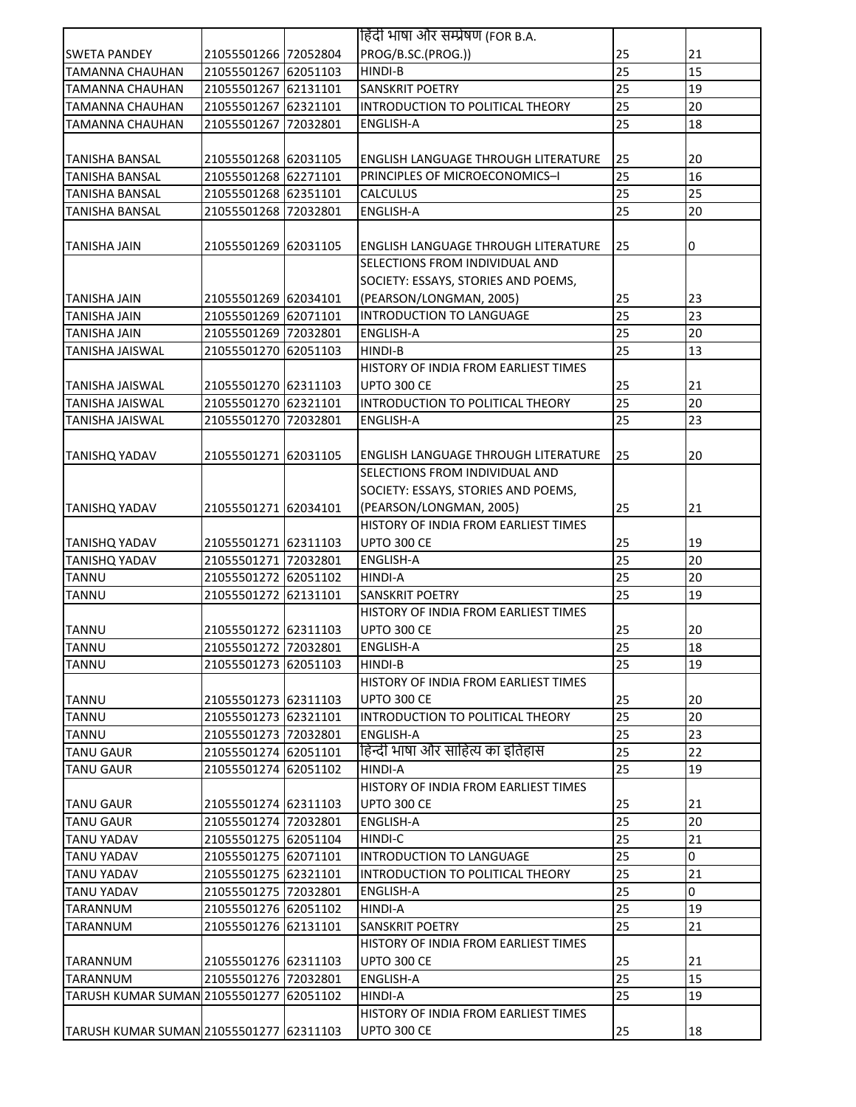|                                         |                      |          | हिंदी भाषा और सम्प्रेषण (FOR B.A.          |          |    |
|-----------------------------------------|----------------------|----------|--------------------------------------------|----------|----|
| <b>SWETA PANDEY</b>                     | 21055501266 72052804 |          | PROG/B.SC.(PROG.))                         | 25       | 21 |
| <b>TAMANNA CHAUHAN</b>                  | 21055501267 62051103 |          | HINDI-B                                    | 25       | 15 |
| TAMANNA CHAUHAN                         | 21055501267 62131101 |          | SANSKRIT POETRY                            | 25       | 19 |
| TAMANNA CHAUHAN                         | 21055501267 62321101 |          | INTRODUCTION TO POLITICAL THEORY           | 25       | 20 |
| TAMANNA CHAUHAN                         | 21055501267 72032801 |          | <b>ENGLISH-A</b>                           | 25       | 18 |
|                                         |                      |          |                                            |          |    |
| <b>TANISHA BANSAL</b>                   | 21055501268 62031105 |          | <b>ENGLISH LANGUAGE THROUGH LITERATURE</b> | 25       | 20 |
| <b>TANISHA BANSAL</b>                   | 21055501268 62271101 |          | PRINCIPLES OF MICROECONOMICS-I             | 25       | 16 |
| <b>TANISHA BANSAL</b>                   | 21055501268 62351101 |          | <b>CALCULUS</b>                            | 25       | 25 |
| <b>TANISHA BANSAL</b>                   | 21055501268 72032801 |          | <b>ENGLISH-A</b>                           | 25       | 20 |
|                                         |                      |          |                                            |          |    |
| TANISHA JAIN                            | 21055501269 62031105 |          | <b>ENGLISH LANGUAGE THROUGH LITERATURE</b> | 25       | 0  |
|                                         |                      |          | SELECTIONS FROM INDIVIDUAL AND             |          |    |
|                                         |                      |          | SOCIETY: ESSAYS, STORIES AND POEMS,        |          |    |
| <b>TANISHA JAIN</b>                     | 21055501269 62034101 |          | (PEARSON/LONGMAN, 2005)                    | 25       | 23 |
| <b>TANISHA JAIN</b>                     | 21055501269 62071101 |          | INTRODUCTION TO LANGUAGE                   | 25       | 23 |
| TANISHA JAIN                            | 21055501269 72032801 |          | <b>ENGLISH-A</b>                           | 25       | 20 |
| <b>TANISHA JAISWAL</b>                  | 21055501270 62051103 |          | HINDI-B                                    | 25       | 13 |
|                                         |                      |          | HISTORY OF INDIA FROM EARLIEST TIMES       |          |    |
| <b>TANISHA JAISWAL</b>                  | 21055501270 62311103 |          | UPTO 300 CE                                | 25       | 21 |
| <b>TANISHA JAISWAL</b>                  | 21055501270 62321101 |          | INTRODUCTION TO POLITICAL THEORY           | 25       | 20 |
| <b>TANISHA JAISWAL</b>                  | 21055501270 72032801 |          | <b>ENGLISH-A</b>                           | 25       | 23 |
|                                         |                      |          |                                            |          |    |
| <b>TANISHQ YADAV</b>                    | 21055501271 62031105 |          | <b>ENGLISH LANGUAGE THROUGH LITERATURE</b> | 25       | 20 |
|                                         |                      |          | SELECTIONS FROM INDIVIDUAL AND             |          |    |
|                                         |                      |          | SOCIETY: ESSAYS, STORIES AND POEMS,        |          |    |
| <b>TANISHQ YADAV</b>                    | 21055501271 62034101 |          | (PEARSON/LONGMAN, 2005)                    | 25       | 21 |
|                                         |                      |          | HISTORY OF INDIA FROM EARLIEST TIMES       |          |    |
| <b>TANISHQ YADAV</b>                    | 21055501271 62311103 |          | <b>UPTO 300 CE</b>                         | 25       | 19 |
| <b>TANISHQ YADAV</b>                    | 21055501271 72032801 |          | <b>ENGLISH-A</b>                           | 25       | 20 |
| <b>TANNU</b>                            | 21055501272 62051102 |          | <b>HINDI-A</b>                             | 25       | 20 |
| <b>TANNU</b>                            | 21055501272 62131101 |          | <b>SANSKRIT POETRY</b>                     | 25       | 19 |
|                                         |                      |          | HISTORY OF INDIA FROM EARLIEST TIMES       |          |    |
| <b>TANNU</b>                            | 21055501272 62311103 |          | <b>UPTO 300 CE</b>                         | 25       | 20 |
| <b>TANNU</b>                            | 21055501272 72032801 |          | <b>ENGLISH-A</b>                           | 25       | 18 |
| <b>TANNU</b>                            | 21055501273 62051103 |          | HINDI-B                                    | 25       | 19 |
|                                         |                      |          | HISTORY OF INDIA FROM EARLIEST TIMES       |          |    |
| <b>TANNU</b>                            | 21055501273 62311103 |          | <b>UPTO 300 CE</b>                         | 25       | 20 |
| <b>TANNU</b>                            | 21055501273 62321101 |          | INTRODUCTION TO POLITICAL THEORY           | 25       | 20 |
| <b>TANNU</b>                            | 21055501273 72032801 |          | <b>ENGLISH-A</b>                           | 25       | 23 |
| <b>TANU GAUR</b>                        | 21055501274 62051101 |          | हिन्दी भाषा और साहित्य का इतिहास           | 25       | 22 |
| <b>TANU GAUR</b>                        | 21055501274 62051102 |          | HINDI-A                                    | 25       | 19 |
|                                         |                      |          | HISTORY OF INDIA FROM EARLIEST TIMES       |          |    |
| <b>TANU GAUR</b>                        | 21055501274 62311103 |          | UPTO 300 CE                                | 25       | 21 |
| <b>TANU GAUR</b>                        | 21055501274 72032801 |          | <b>ENGLISH-A</b>                           | 25       | 20 |
| <b>TANU YADAV</b>                       | 21055501275 62051104 |          | HINDI-C                                    | 25       | 21 |
| <b>TANU YADAV</b>                       | 21055501275 62071101 |          | INTRODUCTION TO LANGUAGE                   | 25       | 0  |
| <b>TANU YADAV</b>                       | 21055501275 62321101 |          | INTRODUCTION TO POLITICAL THEORY           | 25       | 21 |
| <b>TANU YADAV</b>                       | 21055501275 72032801 |          | <b>ENGLISH-A</b>                           | 25       | 0  |
| <b>TARANNUM</b>                         | 21055501276 62051102 |          | HINDI-A                                    | 25       | 19 |
| <b>TARANNUM</b>                         | 21055501276 62131101 |          | SANSKRIT POETRY                            | 25       | 21 |
|                                         |                      |          | HISTORY OF INDIA FROM EARLIEST TIMES       |          |    |
|                                         |                      |          | <b>UPTO 300 CE</b>                         |          |    |
| <b>TARANNUM</b>                         | 21055501276 62311103 |          |                                            | 25<br>25 | 21 |
| TARANNUM                                | 21055501276 72032801 |          | <b>ENGLISH-A</b>                           | 25       | 15 |
| <b>TARUSH KUMAR SUMAN 21055501277</b>   |                      | 62051102 | HINDI-A                                    |          | 19 |
|                                         |                      |          | HISTORY OF INDIA FROM EARLIEST TIMES       |          |    |
| TARUSH KUMAR SUMAN 21055501277 62311103 |                      |          | <b>UPTO 300 CE</b>                         | 25       | 18 |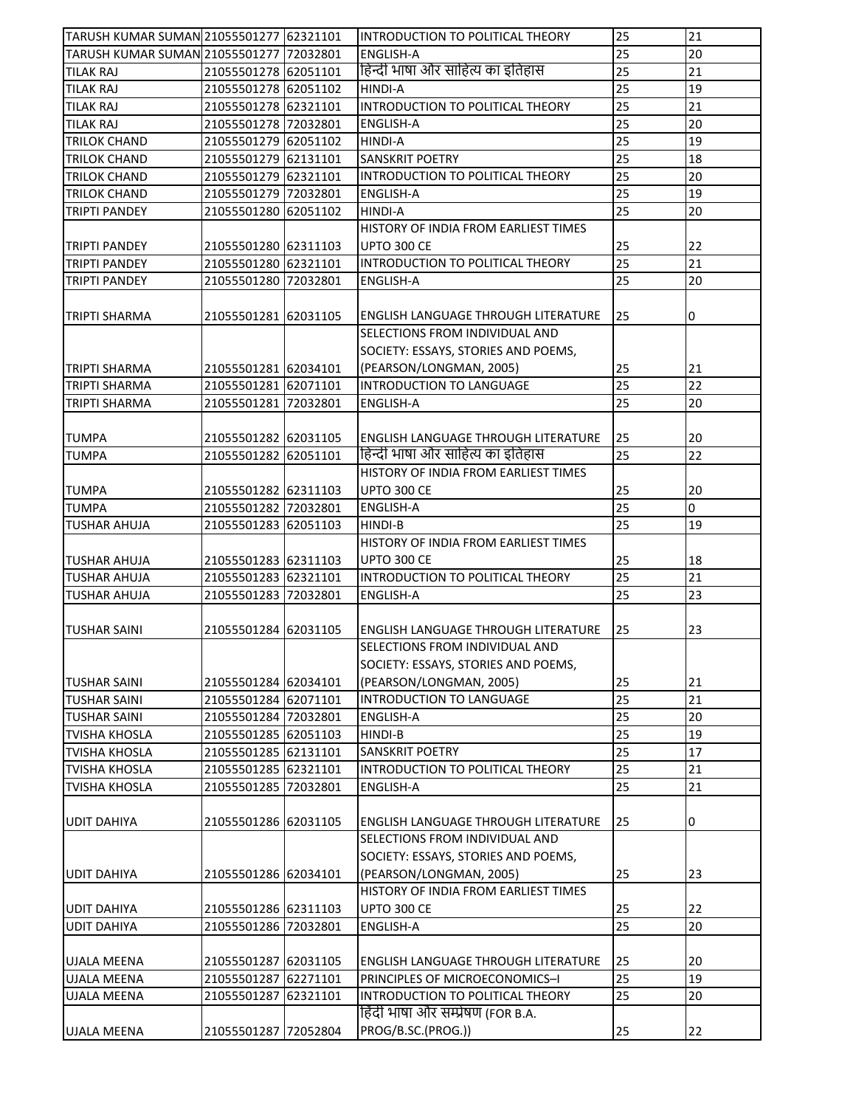| TARUSH KUMAR SUMAN 21055501277 62321101     |                      | INTRODUCTION TO POLITICAL THEORY           | 25              | 21              |
|---------------------------------------------|----------------------|--------------------------------------------|-----------------|-----------------|
| TARUSH KUMAR SUMAN 21055501277 72032801     |                      | <b>ENGLISH-A</b>                           | $\overline{25}$ | 20              |
| <b>TILAK RAJ</b>                            | 21055501278 62051101 | हिन्दी भाषा और साहित्य का इतिहास           | 25              | 21              |
| <b>TILAK RAJ</b>                            | 21055501278 62051102 | HINDI-A                                    | 25              | 19              |
| <b>TILAK RAJ</b>                            | 21055501278 62321101 | INTRODUCTION TO POLITICAL THEORY           | 25              | 21              |
| <b>TILAK RAJ</b>                            | 21055501278 72032801 | <b>ENGLISH-A</b>                           | 25              | 20              |
| <b>TRILOK CHAND</b>                         | 21055501279 62051102 | <b>HINDI-A</b>                             | 25              | 19              |
| <b>TRILOK CHAND</b>                         | 21055501279 62131101 | SANSKRIT POETRY                            | 25              | 18              |
| <b>TRILOK CHAND</b>                         | 21055501279 62321101 | INTRODUCTION TO POLITICAL THEORY           | 25              | 20              |
| <b>TRILOK CHAND</b>                         | 21055501279 72032801 | <b>ENGLISH-A</b>                           | 25              | 19              |
| <b>TRIPTI PANDEY</b>                        | 21055501280 62051102 | HINDI-A                                    | 25              | 20              |
|                                             |                      | HISTORY OF INDIA FROM EARLIEST TIMES       |                 |                 |
| TRIPTI PANDEY                               | 21055501280 62311103 | <b>UPTO 300 CE</b>                         | 25              | 22              |
| <b>TRIPTI PANDEY</b>                        | 21055501280 62321101 | INTRODUCTION TO POLITICAL THEORY           | $\overline{25}$ | $\overline{21}$ |
| <b>TRIPTI PANDEY</b>                        | 21055501280 72032801 | <b>ENGLISH-A</b>                           | 25              | 20              |
|                                             |                      |                                            |                 |                 |
| <b>TRIPTI SHARMA</b>                        | 21055501281 62031105 | ENGLISH LANGUAGE THROUGH LITERATURE        | 25              | 0               |
|                                             |                      | SELECTIONS FROM INDIVIDUAL AND             |                 |                 |
|                                             |                      | SOCIETY: ESSAYS, STORIES AND POEMS,        |                 |                 |
| <b>TRIPTI SHARMA</b>                        | 21055501281 62034101 | (PEARSON/LONGMAN, 2005)                    | 25              | 21              |
| TRIPTI SHARMA                               | 21055501281 62071101 | INTRODUCTION TO LANGUAGE                   | 25              | 22              |
| TRIPTI SHARMA                               | 21055501281 72032801 | <b>ENGLISH-A</b>                           | 25              | 20              |
|                                             |                      |                                            |                 |                 |
| <b>TUMPA</b>                                | 21055501282 62031105 | <b>ENGLISH LANGUAGE THROUGH LITERATURE</b> | 25              | 20              |
| <b>TUMPA</b>                                | 21055501282 62051101 | हिन्दी भाषा और साहित्य का इतिहास           | 25              | 22              |
|                                             |                      | HISTORY OF INDIA FROM EARLIEST TIMES       |                 |                 |
| <b>TUMPA</b>                                | 21055501282 62311103 | <b>UPTO 300 CE</b>                         | 25              | 20              |
| <b>TUMPA</b>                                | 21055501282 72032801 | <b>ENGLISH-A</b>                           | 25              | $\Omega$        |
| <b>TUSHAR AHUJA</b>                         | 21055501283 62051103 | HINDI-B                                    | 25              | 19              |
|                                             |                      | HISTORY OF INDIA FROM EARLIEST TIMES       |                 |                 |
| <b>TUSHAR AHUJA</b>                         | 21055501283 62311103 | <b>UPTO 300 CE</b>                         | 25              | 18              |
| <b>TUSHAR AHUJA</b>                         | 21055501283 62321101 | INTRODUCTION TO POLITICAL THEORY           | 25              | 21              |
| <b>TUSHAR AHUJA</b>                         | 21055501283 72032801 | ENGLISH-A                                  | 25              | 23              |
|                                             |                      |                                            |                 |                 |
| <b>TUSHAR SAINI</b>                         | 21055501284 62031105 | ENGLISH LANGUAGE THROUGH LITERATURE        | 25              | 23              |
|                                             |                      | SELECTIONS FROM INDIVIDUAL AND             |                 |                 |
|                                             |                      | SOCIETY: ESSAYS, STORIES AND POEMS,        |                 |                 |
|                                             | 21055501284 62034101 | (PEARSON/LONGMAN, 2005)                    | 25              | 21              |
| <b>TUSHAR SAINI</b><br><b>TUSHAR SAINI</b>  | 21055501284 62071101 | INTRODUCTION TO LANGUAGE                   | $\overline{25}$ | $\overline{21}$ |
|                                             | 21055501284 72032801 | ENGLISH-A                                  | 25              | 20              |
| <b>TUSHAR SAINI</b><br><b>TVISHA KHOSLA</b> | 21055501285 62051103 | HINDI-B                                    | 25              | 19              |
| <b>TVISHA KHOSLA</b>                        | 21055501285 62131101 | SANSKRIT POETRY                            | 25              | 17              |
| TVISHA KHOSLA                               | 21055501285 62321101 | INTRODUCTION TO POLITICAL THEORY           | 25              | 21              |
| <b>TVISHA KHOSLA</b>                        | 21055501285 72032801 | ENGLISH-A                                  | 25              | 21              |
|                                             |                      |                                            |                 |                 |
|                                             |                      |                                            |                 |                 |
| <b>UDIT DAHIYA</b>                          | 21055501286 62031105 | <b>ENGLISH LANGUAGE THROUGH LITERATURE</b> | 25              | 0               |
|                                             |                      | SELECTIONS FROM INDIVIDUAL AND             |                 |                 |
|                                             |                      | SOCIETY: ESSAYS, STORIES AND POEMS,        |                 |                 |
| <b>UDIT DAHIYA</b>                          | 21055501286 62034101 | (PEARSON/LONGMAN, 2005)                    | 25              | 23              |
|                                             |                      | HISTORY OF INDIA FROM EARLIEST TIMES       |                 |                 |
| <b>UDIT DAHIYA</b>                          | 21055501286 62311103 | <b>UPTO 300 CE</b>                         | 25              | 22              |
| <b>UDIT DAHIYA</b>                          | 21055501286 72032801 | ENGLISH-A                                  | 25              | 20              |
|                                             |                      |                                            |                 |                 |
| <b>UJALA MEENA</b>                          | 21055501287 62031105 | ENGLISH LANGUAGE THROUGH LITERATURE        | 25              | 20              |
| <b>UJALA MEENA</b>                          | 21055501287 62271101 | PRINCIPLES OF MICROECONOMICS-I             | 25              | 19              |
| <b>UJALA MEENA</b>                          | 21055501287 62321101 | INTRODUCTION TO POLITICAL THEORY           | 25              | 20              |
|                                             |                      | हिंदी भाषा और सम्प्रेषण (FOR B.A.          |                 |                 |
| <b>UJALA MEENA</b>                          | 21055501287 72052804 | PROG/B.SC.(PROG.))                         | 25              | 22              |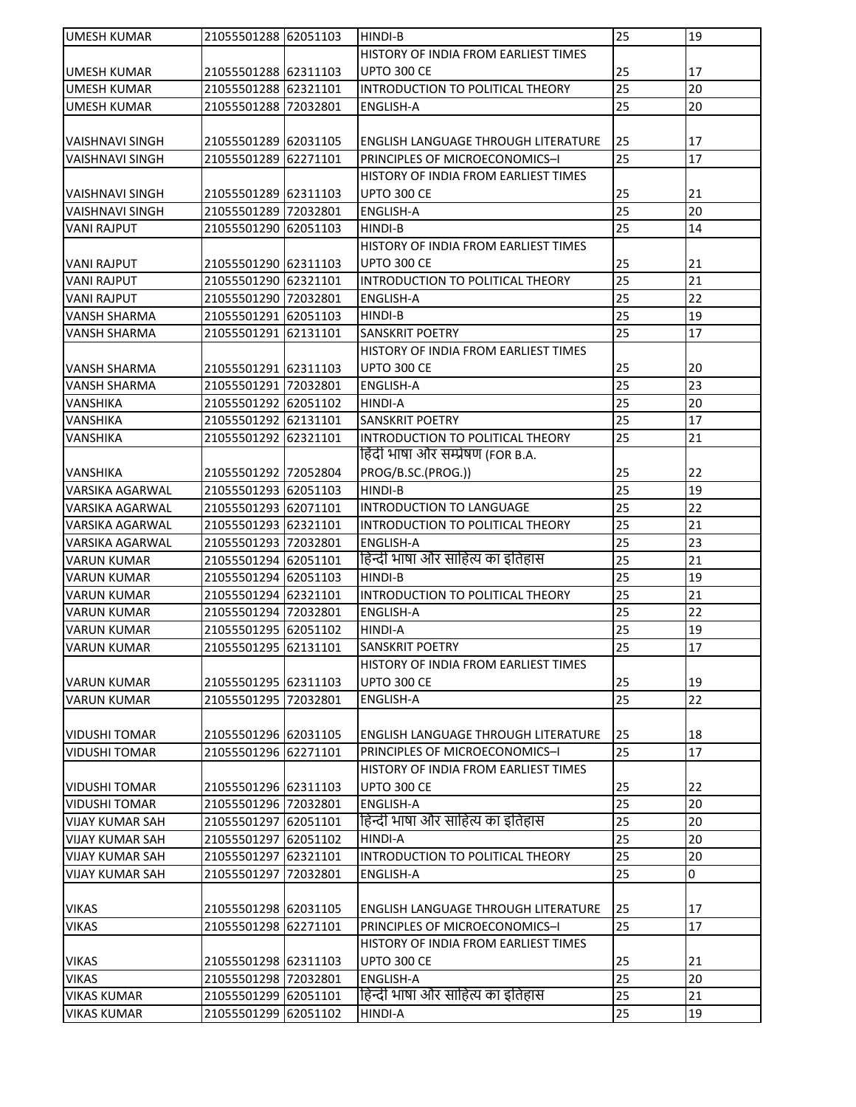| <b>UMESH KUMAR</b>                       | 21055501288 62051103 |          | <b>HINDI-B</b>                             | 25                    | 19       |
|------------------------------------------|----------------------|----------|--------------------------------------------|-----------------------|----------|
|                                          |                      |          | HISTORY OF INDIA FROM EARLIEST TIMES       |                       |          |
| <b>UMESH KUMAR</b>                       | 21055501288 62311103 |          | UPTO 300 CE                                | 25                    | 17       |
| UMESH KUMAR                              | 21055501288 62321101 |          | INTRODUCTION TO POLITICAL THEORY           | 25                    | 20       |
| <b>UMESH KUMAR</b>                       | 21055501288 72032801 |          | ENGLISH-A                                  | 25                    | 20       |
|                                          |                      |          |                                            |                       |          |
| <b>VAISHNAVI SINGH</b>                   | 21055501289 62031105 |          | <b>ENGLISH LANGUAGE THROUGH LITERATURE</b> | 25                    | 17       |
| <b>VAISHNAVI SINGH</b>                   | 21055501289 62271101 |          | PRINCIPLES OF MICROECONOMICS-I             | 25                    | 17       |
|                                          |                      |          | HISTORY OF INDIA FROM EARLIEST TIMES       |                       |          |
| <b>VAISHNAVI SINGH</b>                   | 21055501289 62311103 |          | <b>UPTO 300 CE</b>                         | 25                    | 21       |
| <b>VAISHNAVI SINGH</b>                   | 21055501289 72032801 |          | <b>ENGLISH-A</b>                           | 25                    | 20       |
| <b>VANI RAJPUT</b>                       | 21055501290 62051103 |          | HINDI-B                                    | 25                    | 14       |
|                                          |                      |          | HISTORY OF INDIA FROM EARLIEST TIMES       |                       |          |
| <b>VANI RAJPUT</b>                       | 21055501290 62311103 |          | <b>UPTO 300 CE</b>                         | 25                    | 21       |
| <b>VANI RAJPUT</b>                       | 21055501290 62321101 |          | INTRODUCTION TO POLITICAL THEORY           | 25                    | 21       |
| <b>VANI RAJPUT</b>                       | 21055501290 72032801 |          | <b>ENGLISH-A</b>                           | 25                    | 22       |
| <b>VANSH SHARMA</b>                      | 21055501291 62051103 |          | HINDI-B                                    | 25                    | 19       |
| VANSH SHARMA                             | 21055501291 62131101 |          | <b>SANSKRIT POETRY</b>                     | 25                    | 17       |
|                                          |                      |          | HISTORY OF INDIA FROM EARLIEST TIMES       |                       |          |
| VANSH SHARMA                             | 21055501291 62311103 |          | <b>UPTO 300 CE</b>                         | 25                    | 20       |
| <b>VANSH SHARMA</b>                      | 21055501291 72032801 |          | <b>ENGLISH-A</b>                           | 25                    | 23       |
| <b>VANSHIKA</b>                          | 21055501292 62051102 |          | <b>HINDI-A</b>                             | 25                    | 20       |
| VANSHIKA                                 | 21055501292 62131101 |          | <b>SANSKRIT POETRY</b>                     | 25                    | 17       |
| <b>VANSHIKA</b>                          | 21055501292 62321101 |          | INTRODUCTION TO POLITICAL THEORY           | 25                    | 21       |
|                                          |                      |          | हिंदी भाषा और सम्प्रेषण (FOR B.A.          |                       |          |
| VANSHIKA                                 | 21055501292 72052804 |          | PROG/B.SC.(PROG.))                         | 25                    | 22       |
| <b>VARSIKA AGARWAL</b>                   | 21055501293 62051103 |          | <b>HINDI-B</b>                             | 25                    | 19       |
| <b>VARSIKA AGARWAL</b>                   | 21055501293 62071101 |          | INTRODUCTION TO LANGUAGE                   | 25                    | 22       |
| <b>VARSIKA AGARWAL</b>                   | 21055501293 62321101 |          | INTRODUCTION TO POLITICAL THEORY           | 25                    | 21       |
| VARSIKA AGARWAL                          | 21055501293 72032801 |          | <b>ENGLISH-A</b>                           | 25                    | 23       |
| <b>VARUN KUMAR</b>                       | 21055501294 62051101 |          | हिन्दी भाषा और साहित्य का इतिहास           | 25                    | 21       |
| <b>VARUN KUMAR</b>                       | 21055501294 62051103 |          | HINDI-B                                    | 25                    | 19       |
| <b>VARUN KUMAR</b>                       | 21055501294 62321101 |          | INTRODUCTION TO POLITICAL THEORY           | 25                    | 21       |
| <b>VARUN KUMAR</b>                       | 21055501294 72032801 |          | <b>ENGLISH-A</b>                           | 25                    | 22       |
| <b>VARUN KUMAR</b>                       | 21055501295 62051102 |          | <b>HINDI-A</b>                             | 25                    | 19       |
| <b>VARUN KUMAR</b>                       | 21055501295 62131101 |          | <b>SANSKRIT POETRY</b>                     | 25                    | 17       |
|                                          |                      |          | HISTORY OF INDIA FROM EARLIEST TIMES       |                       |          |
| <b>VARUN KUMAR</b><br><b>VARUN KUMAR</b> | 21055501295 62311103 |          | <b>UPTO 300 CE</b><br><b>ENGLISH-A</b>     | 25<br>$\overline{25}$ | 19<br>22 |
|                                          | 21055501295 72032801 |          |                                            |                       |          |
| <b>VIDUSHI TOMAR</b>                     | 21055501296 62031105 |          | ENGLISH LANGUAGE THROUGH LITERATURE        | 25                    | 18       |
| <b>VIDUSHI TOMAR</b>                     | 21055501296 62271101 |          | PRINCIPLES OF MICROECONOMICS-I             | 25                    | 17       |
|                                          |                      |          | HISTORY OF INDIA FROM EARLIEST TIMES       |                       |          |
| <b>VIDUSHI TOMAR</b>                     | 21055501296 62311103 |          | <b>UPTO 300 CE</b>                         | 25                    | 22       |
| <b>VIDUSHI TOMAR</b>                     | 21055501296 72032801 |          | <b>ENGLISH-A</b>                           | 25                    | 20       |
| <b>VIJAY KUMAR SAH</b>                   | 21055501297 62051101 |          | हिन्दी भाषा और साहित्य का इतिहास           | 25                    | 20       |
| <b>VIJAY KUMAR SAH</b>                   | 21055501297 62051102 |          | HINDI-A                                    | 25                    | 20       |
| <b>VIJAY KUMAR SAH</b>                   | 21055501297 62321101 |          | INTRODUCTION TO POLITICAL THEORY           | 25                    | 20       |
| <b>VIJAY KUMAR SAH</b>                   | 21055501297          | 72032801 | ENGLISH-A                                  | 25                    | 0        |
|                                          |                      |          |                                            |                       |          |
| <b>VIKAS</b>                             | 21055501298 62031105 |          | <b>ENGLISH LANGUAGE THROUGH LITERATURE</b> | 25                    | 17       |
| <b>VIKAS</b>                             | 21055501298 62271101 |          | PRINCIPLES OF MICROECONOMICS-I             | 25                    | 17       |
|                                          |                      |          | HISTORY OF INDIA FROM EARLIEST TIMES       |                       |          |
| <b>VIKAS</b>                             | 21055501298 62311103 |          | <b>UPTO 300 CE</b>                         | 25                    | 21       |
| <b>VIKAS</b>                             | 21055501298 72032801 |          | <b>ENGLISH-A</b>                           | 25                    | 20       |
| <b>VIKAS KUMAR</b>                       | 21055501299 62051101 |          | हिन्दी भाषा और साहित्य का इतिहास           | 25                    | 21       |
| <b>VIKAS KUMAR</b>                       | 21055501299 62051102 |          | HINDI-A                                    | 25                    | 19       |
|                                          |                      |          |                                            |                       |          |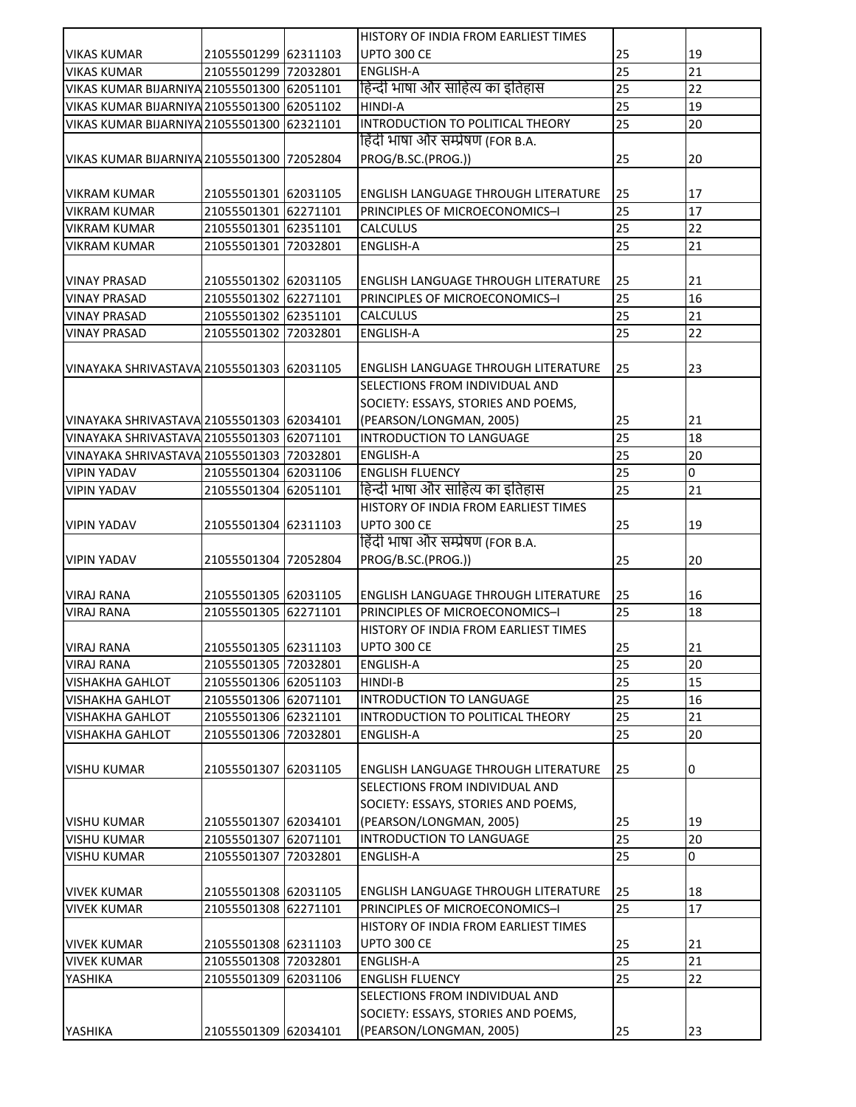|                                            |                      |          | HISTORY OF INDIA FROM EARLIEST TIMES       |                 |    |
|--------------------------------------------|----------------------|----------|--------------------------------------------|-----------------|----|
| <b>VIKAS KUMAR</b>                         | 21055501299 62311103 |          | <b>UPTO 300 CE</b>                         | 25              | 19 |
| <b>VIKAS KUMAR</b>                         | 21055501299 72032801 |          | <b>ENGLISH-A</b>                           | 25              | 21 |
| VIKAS KUMAR BIJARNIYA 21055501300 62051101 |                      |          | हिन्दी भाषा और साहित्य का इतिहास           | 25              | 22 |
| VIKAS KUMAR BIJARNIYA 21055501300 62051102 |                      |          | HINDI-A                                    | 25              | 19 |
| VIKAS KUMAR BIJARNIYA 21055501300 62321101 |                      |          | INTRODUCTION TO POLITICAL THEORY           | 25              | 20 |
|                                            |                      |          | हिंदी भाषा और सम्प्रेषण (FOR B.A.          |                 |    |
|                                            |                      |          |                                            |                 |    |
| VIKAS KUMAR BIJARNIYA 21055501300 72052804 |                      |          | PROG/B.SC.(PROG.))                         | 25              | 20 |
|                                            |                      |          |                                            |                 |    |
| <b>VIKRAM KUMAR</b>                        | 21055501301 62031105 |          | <b>ENGLISH LANGUAGE THROUGH LITERATURE</b> | 25              | 17 |
| <b>VIKRAM KUMAR</b>                        | 21055501301 62271101 |          | PRINCIPLES OF MICROECONOMICS-I             | 25              | 17 |
| <b>VIKRAM KUMAR</b>                        | 21055501301 62351101 |          | <b>CALCULUS</b>                            | 25              | 22 |
| <b>VIKRAM KUMAR</b>                        | 21055501301 72032801 |          | <b>ENGLISH-A</b>                           | 25              | 21 |
|                                            |                      |          |                                            |                 |    |
| <b>VINAY PRASAD</b>                        | 21055501302 62031105 |          | ENGLISH LANGUAGE THROUGH LITERATURE        | 25              | 21 |
| <b>VINAY PRASAD</b>                        | 21055501302 62271101 |          | PRINCIPLES OF MICROECONOMICS-I             | 25              | 16 |
| <b>VINAY PRASAD</b>                        | 21055501302 62351101 |          | <b>CALCULUS</b>                            | 25              | 21 |
| <b>VINAY PRASAD</b>                        | 21055501302 72032801 |          | <b>ENGLISH-A</b>                           | 25              | 22 |
|                                            |                      |          |                                            |                 |    |
| VINAYAKA SHRIVASTAVA 21055501303 62031105  |                      |          | <b>ENGLISH LANGUAGE THROUGH LITERATURE</b> | 25              | 23 |
|                                            |                      |          | SELECTIONS FROM INDIVIDUAL AND             |                 |    |
|                                            |                      |          | SOCIETY: ESSAYS, STORIES AND POEMS,        |                 |    |
| VINAYAKA SHRIVASTAVA 21055501303 62034101  |                      |          | (PEARSON/LONGMAN, 2005)                    | 25              | 21 |
| VINAYAKA SHRIVASTAVA 21055501303 62071101  |                      |          | INTRODUCTION TO LANGUAGE                   | 25              | 18 |
| VINAYAKA SHRIVASTAVA 21055501303 72032801  |                      |          | <b>ENGLISH-A</b>                           | 25              | 20 |
|                                            |                      |          | <b>ENGLISH FLUENCY</b>                     | 25              | 0  |
| <b>VIPIN YADAV</b>                         | 21055501304 62031106 |          | हिन्दी भाषा और साहित्य का इतिहास           |                 |    |
| <b>VIPIN YADAV</b>                         | 21055501304 62051101 |          |                                            | 25              | 21 |
|                                            |                      |          | HISTORY OF INDIA FROM EARLIEST TIMES       |                 |    |
| <b>VIPIN YADAV</b>                         | 21055501304 62311103 |          | <b>UPTO 300 CE</b>                         | 25              | 19 |
|                                            |                      |          | हिंदी भाषा और सम्प्रेषण (FOR B.A.          |                 |    |
| <b>VIPIN YADAV</b>                         | 21055501304 72052804 |          | PROG/B.SC.(PROG.))                         | 25              | 20 |
|                                            |                      |          |                                            |                 |    |
| VIRAJ RANA                                 | 21055501305 62031105 |          | <b>ENGLISH LANGUAGE THROUGH LITERATURE</b> | 25              | 16 |
| <b>VIRAJ RANA</b>                          | 21055501305 62271101 |          | PRINCIPLES OF MICROECONOMICS-I             | 25              | 18 |
|                                            |                      |          | HISTORY OF INDIA FROM EARLIEST TIMES       |                 |    |
| <b>VIRAJ RANA</b>                          | 21055501305 62311103 |          | <b>UPTO 300 CE</b>                         | 25              | 21 |
| <b>VIRAJ RANA</b>                          | 21055501305 72032801 |          | <b>ENGLISH-A</b>                           | 25              | 20 |
| <b>VISHAKHA GAHLOT</b>                     | 21055501306 62051103 |          | HINDI-B                                    | 25              | 15 |
| <b>VISHAKHA GAHLOT</b>                     | 21055501306 62071101 |          | INTRODUCTION TO LANGUAGE                   | $\overline{25}$ | 16 |
| <b>VISHAKHA GAHLOT</b>                     | 21055501306 62321101 |          | INTRODUCTION TO POLITICAL THEORY           | 25              | 21 |
| <b>VISHAKHA GAHLOT</b>                     | 21055501306 72032801 |          | <b>ENGLISH-A</b>                           | 25              | 20 |
|                                            |                      |          |                                            |                 |    |
| <b>VISHU KUMAR</b>                         | 21055501307 62031105 |          | <b>ENGLISH LANGUAGE THROUGH LITERATURE</b> | 25              | 0  |
|                                            |                      |          | SELECTIONS FROM INDIVIDUAL AND             |                 |    |
|                                            |                      |          | SOCIETY: ESSAYS, STORIES AND POEMS,        |                 |    |
| <b>VISHU KUMAR</b>                         | 21055501307 62034101 |          | (PEARSON/LONGMAN, 2005)                    | 25              | 19 |
| <b>VISHU KUMAR</b>                         | 21055501307          | 62071101 | INTRODUCTION TO LANGUAGE                   | 25              | 20 |
|                                            |                      |          |                                            |                 |    |
| <b>VISHU KUMAR</b>                         | 21055501307          | 72032801 | ENGLISH-A                                  | 25              | 0  |
|                                            |                      |          |                                            |                 |    |
| <b>VIVEK KUMAR</b>                         | 21055501308 62031105 |          | <b>ENGLISH LANGUAGE THROUGH LITERATURE</b> | 25              | 18 |
| <b>VIVEK KUMAR</b>                         | 21055501308 62271101 |          | PRINCIPLES OF MICROECONOMICS-I             | 25              | 17 |
|                                            |                      |          | HISTORY OF INDIA FROM EARLIEST TIMES       |                 |    |
| <b>VIVEK KUMAR</b>                         | 21055501308 62311103 |          | UPTO 300 CE                                | 25              | 21 |
| <b>VIVEK KUMAR</b>                         | 21055501308 72032801 |          | <b>ENGLISH-A</b>                           | 25              | 21 |
| YASHIKA                                    | 21055501309 62031106 |          | <b>ENGLISH FLUENCY</b>                     | 25              | 22 |
|                                            |                      |          | SELECTIONS FROM INDIVIDUAL AND             |                 |    |
|                                            |                      |          | SOCIETY: ESSAYS, STORIES AND POEMS,        |                 |    |
| YASHIKA                                    | 21055501309 62034101 |          | (PEARSON/LONGMAN, 2005)                    | 25              | 23 |